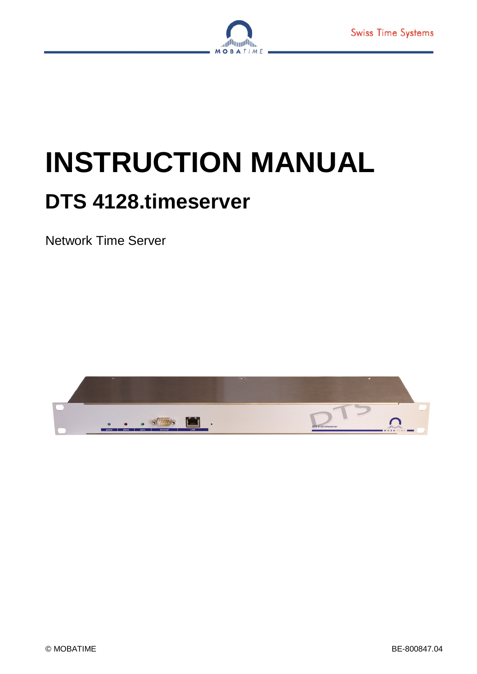

# **INSTRUCTION MANUAL**

## **DTS 4128.timeserver**

Network Time Server

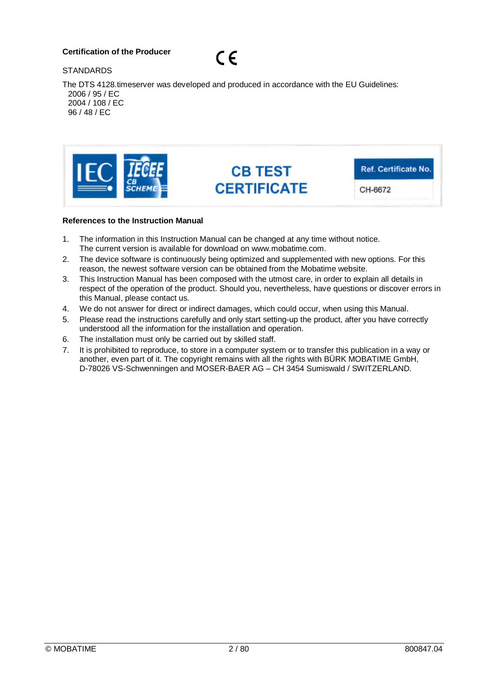### **Certification of the Producer**



**STANDARDS** 

The DTS 4128.timeserver was developed and produced in accordance with the EU Guidelines: 2006 / 95 / EC 2004 / 108 / EC 96 / 48 / EC



#### **References to the Instruction Manual**

- 1. The information in this Instruction Manual can be changed at any time without notice. The current version is available for download on www.mobatime.com.
- 2. The device software is continuously being optimized and supplemented with new options. For this reason, the newest software version can be obtained from the Mobatime website.
- 3. This Instruction Manual has been composed with the utmost care, in order to explain all details in respect of the operation of the product. Should you, nevertheless, have questions or discover errors in this Manual, please contact us.
- 4. We do not answer for direct or indirect damages, which could occur, when using this Manual.
- 5. Please read the instructions carefully and only start setting-up the product, after you have correctly understood all the information for the installation and operation.
- 6. The installation must only be carried out by skilled staff.
- 7. It is prohibited to reproduce, to store in a computer system or to transfer this publication in a way or another, even part of it. The copyright remains with all the rights with BÜRK MOBATIME GmbH. D-78026 VS-Schwenningen and MOSER-BAER AG – CH 3454 Sumiswald / SWITZERLAND.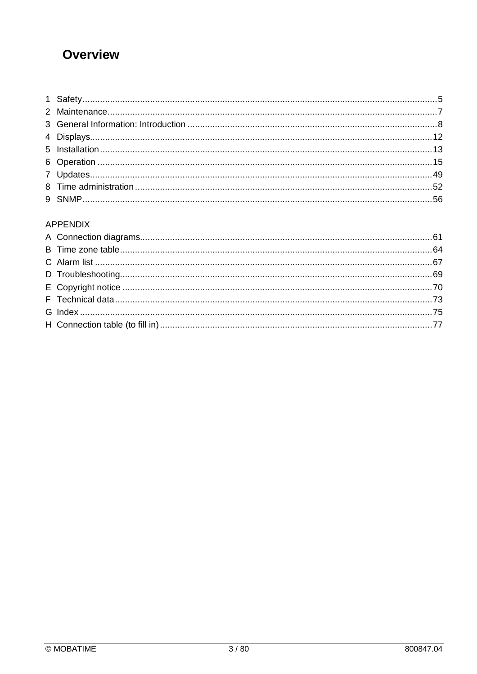### **Overview**

### **APPENDIX**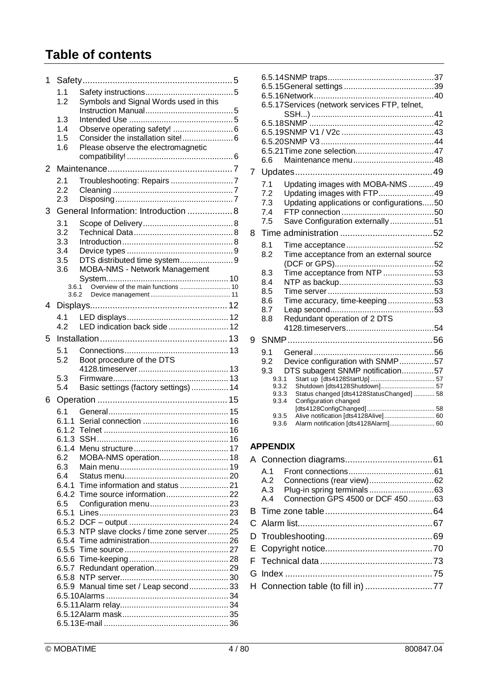### **Table of contents**

| 1 |                |                                              |  |
|---|----------------|----------------------------------------------|--|
|   | 1.1            |                                              |  |
|   | 1.2            | Symbols and Signal Words used in this        |  |
|   |                |                                              |  |
|   | 1.3            |                                              |  |
|   | 1.4            |                                              |  |
|   | 1.5            | Consider the installation site! 6            |  |
|   | 1.6            | Please observe the electromagnetic           |  |
|   |                |                                              |  |
| 2 |                |                                              |  |
|   | 2.1            | Troubleshooting: Repairs 7                   |  |
|   | 2.2            |                                              |  |
|   | 2.3            |                                              |  |
| 3 |                | General Information: Introduction  8         |  |
|   | 3.1            |                                              |  |
|   | 3.2            |                                              |  |
|   | 3.3            |                                              |  |
|   | 3.4            |                                              |  |
|   | 3.5            | DTS distributed time system9                 |  |
|   | 3.6            | <b>MOBA-NMS - Network Management</b>         |  |
|   |                |                                              |  |
|   | 3.6.1<br>3.6.2 |                                              |  |
|   |                |                                              |  |
| 4 |                |                                              |  |
|   | 4.1            |                                              |  |
|   | 42             | LED indication back side 12                  |  |
| 5 |                |                                              |  |
|   | 5.1            |                                              |  |
|   | 5.2            | Boot procedure of the DTS                    |  |
|   |                |                                              |  |
|   | 5.3            |                                              |  |
|   | 5.4            | Basic settings (factory settings)  14        |  |
| 6 |                |                                              |  |
|   | 6.1            |                                              |  |
|   | 6.1.1          |                                              |  |
|   | 6.1.2          |                                              |  |
|   |                |                                              |  |
|   |                |                                              |  |
|   | 6.2            | MOBA-NMS operation 18                        |  |
|   | 6.3            |                                              |  |
|   | 6.4            |                                              |  |
|   |                |                                              |  |
|   |                |                                              |  |
|   | 6.5            |                                              |  |
|   |                |                                              |  |
|   |                | 6.5.3 NTP slave clocks / time zone server 25 |  |
|   |                |                                              |  |
|   |                |                                              |  |
|   |                |                                              |  |
|   |                |                                              |  |
|   |                |                                              |  |
|   |                | 6.5.9 Manual time set / Leap second 33       |  |
|   |                |                                              |  |
|   |                |                                              |  |
|   |                |                                              |  |
|   |                |                                              |  |

|   |                                                                         | 6.5.17 Services (network services FTP, telnet,                                                                                                                                                                                                              |  |
|---|-------------------------------------------------------------------------|-------------------------------------------------------------------------------------------------------------------------------------------------------------------------------------------------------------------------------------------------------------|--|
|   | 6.6                                                                     |                                                                                                                                                                                                                                                             |  |
| 7 |                                                                         |                                                                                                                                                                                                                                                             |  |
|   | 7.1<br>7.2<br>7.3<br>7.4<br>7.5                                         | Updating images with MOBA-NMS 49<br>Updating images with FTP49<br>Updating applications or configurations50<br>Save Configuration externally51                                                                                                              |  |
| 8 |                                                                         |                                                                                                                                                                                                                                                             |  |
|   | 8.1<br>8.2                                                              | Time acceptance from an external source                                                                                                                                                                                                                     |  |
|   | 8.3<br>8.4<br>8.5<br>8.6<br>8.7<br>8.8                                  | Time acceptance from NTP 53<br>Time accuracy, time-keeping53<br>Redundant operation of 2 DTS                                                                                                                                                                |  |
|   |                                                                         |                                                                                                                                                                                                                                                             |  |
| 9 |                                                                         |                                                                                                                                                                                                                                                             |  |
|   | 9.1<br>9.2<br>9.3<br>9.3.1<br>9.3.2<br>9.3.3<br>9.3.4<br>9.3.5<br>9.3.6 | Device configuration with SNMP57<br>DTS subagent SNMP notification57<br>Shutdown [dts4128Shutdown] 57<br>Status changed [dts4128StatusChanged]  58<br>Configuration changed<br>Alive notification [dts4128Alive] 60<br>Alarm notification [dts4128Alarm] 60 |  |

### **APPENDIX**

|  | A.4 Connection GPS 4500 or DCF 45063 |  |
|--|--------------------------------------|--|
|  |                                      |  |
|  |                                      |  |
|  |                                      |  |
|  |                                      |  |
|  |                                      |  |
|  |                                      |  |
|  |                                      |  |
|  |                                      |  |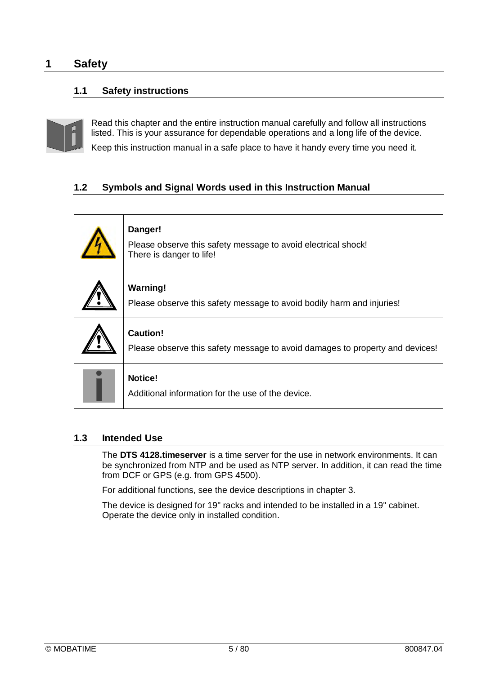### **1 Safety**

### **1.1 Safety instructions**



Read this chapter and the entire instruction manual carefully and follow all instructions listed. This is your assurance for dependable operations and a long life of the device. Keep this instruction manual in a safe place to have it handy every time you need it.

### **1.2 Symbols and Signal Words used in this Instruction Manual**

| Danger!<br>Please observe this safety message to avoid electrical shock!<br>There is danger to life! |
|------------------------------------------------------------------------------------------------------|
| <b>Warning!</b><br>Please observe this safety message to avoid bodily harm and injuries!             |
| <b>Caution!</b><br>Please observe this safety message to avoid damages to property and devices!      |
| <b>Notice!</b><br>Additional information for the use of the device.                                  |

### **1.3 Intended Use**

The **DTS 4128.timeserver** is a time server for the use in network environments. It can be synchronized from NTP and be used as NTP server. In addition, it can read the time from DCF or GPS (e.g. from GPS 4500).

For additional functions, see the device descriptions in chapter 3.

The device is designed for 19" racks and intended to be installed in a 19" cabinet. Operate the device only in installed condition.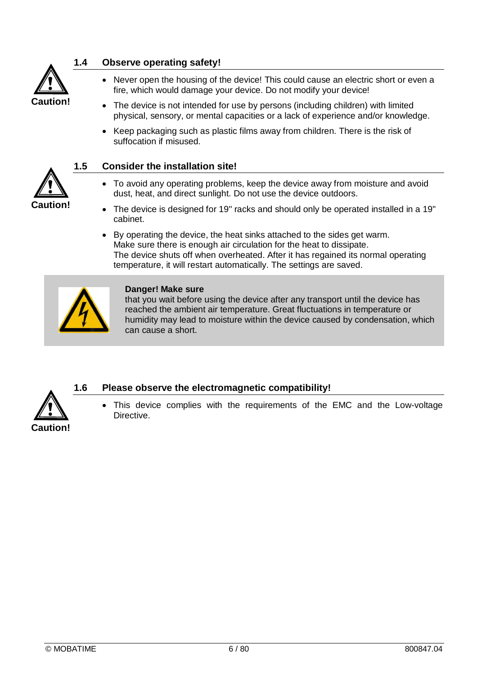

**!**

**Caution!**

### **1.4 Observe operating safety!**

- Never open the housing of the device! This could cause an electric short or even a fire, which would damage your device. Do not modify your device!
- The device is not intended for use by persons (including children) with limited physical, sensory, or mental capacities or a lack of experience and/or knowledge.
- Keep packaging such as plastic films away from children. There is the risk of suffocation if misused.



- To avoid any operating problems, keep the device away from moisture and avoid dust, heat, and direct sunlight. Do not use the device outdoors.
- The device is designed for 19" racks and should only be operated installed in a 19" cabinet.
- By operating the device, the heat sinks attached to the sides get warm. Make sure there is enough air circulation for the heat to dissipate. The device shuts off when overheated. After it has regained its normal operating temperature, it will restart automatically. The settings are saved.



### **Danger! Make sure**

that you wait before using the device after any transport until the device has reached the ambient air temperature. Great fluctuations in temperature or humidity may lead to moisture within the device caused by condensation, which can cause a short.



### **1.6 Please observe the electromagnetic compatibility!**

 This device complies with the requirements of the EMC and the Low-voltage Directive.

© MOBATIME 6 / 80 800847.04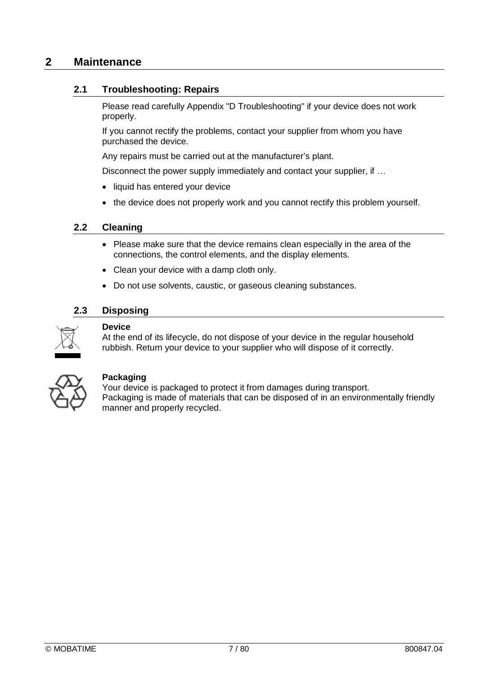### **2 Maintenance**

### **2.1 Troubleshooting: Repairs**

Please read carefully Appendix "D Troubleshooting" if your device does not work properly.

If you cannot rectify the problems, contact your supplier from whom you have purchased the device.

Any repairs must be carried out at the manufacturer's plant.

Disconnect the power supply immediately and contact your supplier, if ...

- liquid has entered your device
- the device does not properly work and you cannot rectify this problem yourself.

### **2.2 Cleaning**

- Please make sure that the device remains clean especially in the area of the connections, the control elements, and the display elements.
- Clean your device with a damp cloth only.
- Do not use solvents, caustic, or gaseous cleaning substances.

### **2.3 Disposing**



### **Device**

At the end of its lifecycle, do not dispose of your device in the regular household rubbish. Return your device to your supplier who will dispose of it correctly.



### **Packaging**

Your device is packaged to protect it from damages during transport. Packaging is made of materials that can be disposed of in an environmentally friendly manner and properly recycled.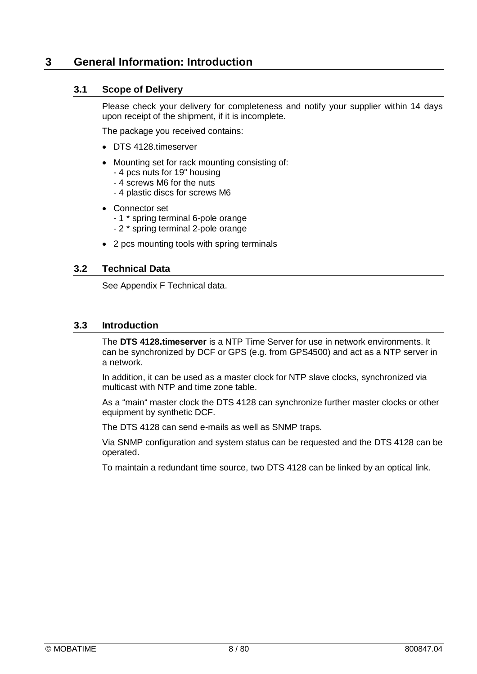### **3 General Information: Introduction**

### **3.1 Scope of Delivery**

Please check your delivery for completeness and notify your supplier within 14 days upon receipt of the shipment, if it is incomplete.

The package you received contains:

- DTS 4128.timeserver
- Mounting set for rack mounting consisting of:
	- 4 pcs nuts for 19" housing
	- 4 screws M6 for the nuts
	- 4 plastic discs for screws M6
- Connector set
	- 1 \* spring terminal 6-pole orange
	- 2 \* spring terminal 2-pole orange
- 2 pcs mounting tools with spring terminals

### **3.2 Technical Data**

See Appendix F Technical data.

### **3.3 Introduction**

The **DTS 4128.timeserver** is a NTP Time Server for use in network environments. It can be synchronized by DCF or GPS (e.g. from GPS4500) and act as a NTP server in a network.

In addition, it can be used as a master clock for NTP slave clocks, synchronized via multicast with NTP and time zone table.

As a "main" master clock the DTS 4128 can synchronize further master clocks or other equipment by synthetic DCF.

The DTS 4128 can send e-mails as well as SNMP traps.

Via SNMP configuration and system status can be requested and the DTS 4128 can be operated.

To maintain a redundant time source, two DTS 4128 can be linked by an optical link.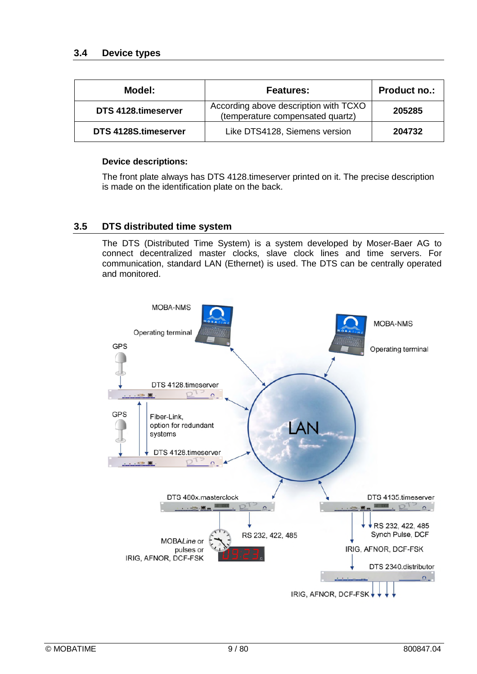| Model:               | <b>Features:</b>                                                          | <b>Product no.:</b> |
|----------------------|---------------------------------------------------------------------------|---------------------|
| DTS 4128.timeserver  | According above description with TCXO<br>(temperature compensated quartz) | 205285              |
| DTS 4128S.timeserver | Like DTS4128, Siemens version                                             | 204732              |

### **Device descriptions:**

The front plate always has DTS 4128.timeserver printed on it. The precise description is made on the identification plate on the back.

### **3.5 DTS distributed time system**

The DTS (Distributed Time System) is a system developed by Moser-Baer AG to connect decentralized master clocks, slave clock lines and time servers. For communication, standard LAN (Ethernet) is used. The DTS can be centrally operated and monitored.

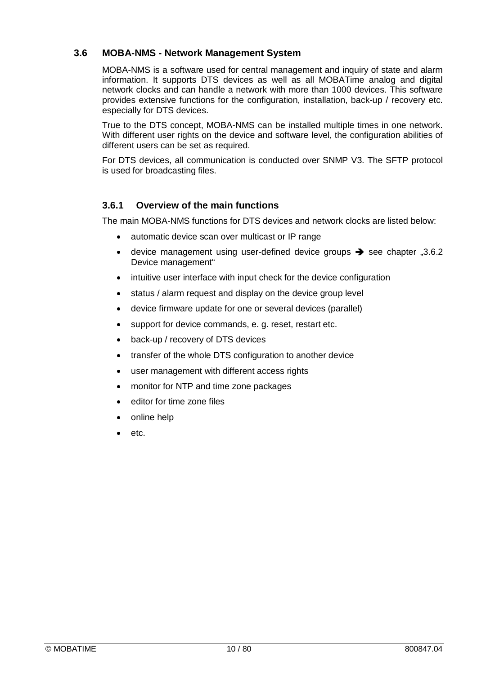### **3.6 MOBA-NMS - Network Management System**

MOBA-NMS is a software used for central management and inquiry of state and alarm information. It supports DTS devices as well as all MOBATime analog and digital network clocks and can handle a network with more than 1000 devices. This software provides extensive functions for the configuration, installation, back-up / recovery etc. especially for DTS devices.

True to the DTS concept, MOBA-NMS can be installed multiple times in one network. With different user rights on the device and software level, the configuration abilities of different users can be set as required.

For DTS devices, all communication is conducted over SNMP V3. The SFTP protocol is used for broadcasting files.

### **3.6.1 Overview of the main functions**

The main MOBA-NMS functions for DTS devices and network clocks are listed below:

- automatic device scan over multicast or IP range
- device management using user-defined device groups  $\rightarrow$  see chapter "3.6.2 Device management"
- intuitive user interface with input check for the device configuration
- status / alarm request and display on the device group level
- device firmware update for one or several devices (parallel)
- support for device commands, e. g. reset, restart etc.
- back-up / recovery of DTS devices
- transfer of the whole DTS configuration to another device
- user management with different access rights
- monitor for NTP and time zone packages
- editor for time zone files
- online help
- etc.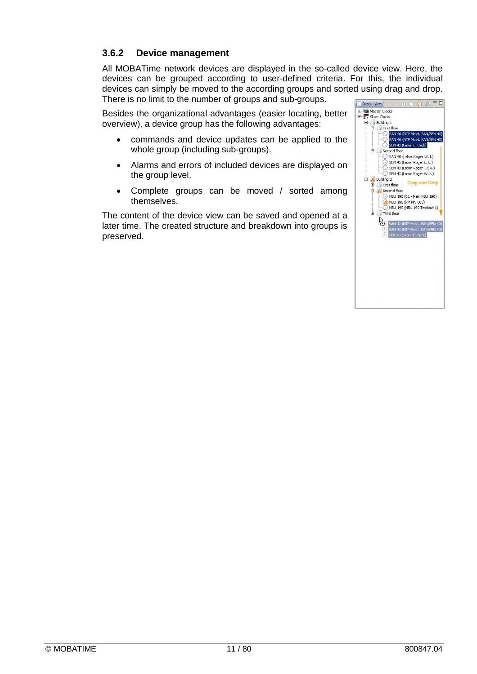### **3.6.2 Device management**

All MOBATime network devices are displayed in the so-called device view. Here, the devices can be grouped according to user-defined criteria. For this, the individual devices can simply be moved to the according groups and sorted using drag and drop. There is no limit to the number of groups and sub-groups.

Besides the organizational advantages (easier locating, better overview), a device group has the following advantages:

- commands and device updates can be applied to the whole group (including sub-groups).
- Alarms and errors of included devices are displayed on the group level.
- Complete groups can be moved / sorted among themselves.

The content of the device view can be saved and opened at a later time. The created structure and breakdown into groups is preserved.

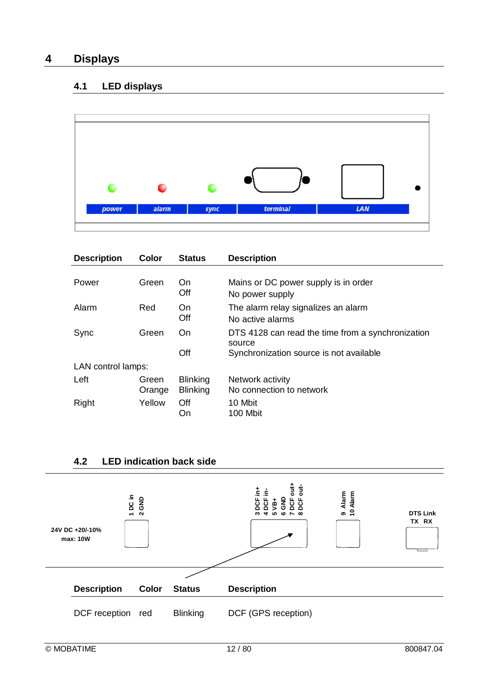### **4 Displays**

### **4.1 LED displays**



| <b>Description</b> | Color           | <b>Status</b>                      | <b>Description</b>                                                                                     |
|--------------------|-----------------|------------------------------------|--------------------------------------------------------------------------------------------------------|
| Power              | Green           | On.<br>Off                         | Mains or DC power supply is in order<br>No power supply                                                |
| Alarm              | Red             | On<br>Off                          | The alarm relay signalizes an alarm<br>No active alarms                                                |
| Sync               | Green           | On<br>Off                          | DTS 4128 can read the time from a synchronization<br>source<br>Synchronization source is not available |
| LAN control lamps: |                 |                                    |                                                                                                        |
| Left               | Green<br>Orange | <b>Blinking</b><br><b>Blinking</b> | Network activity<br>No connection to network                                                           |
| Right              | Yellow          | Off<br>On                          | 10 Mbit<br>100 Mbit                                                                                    |



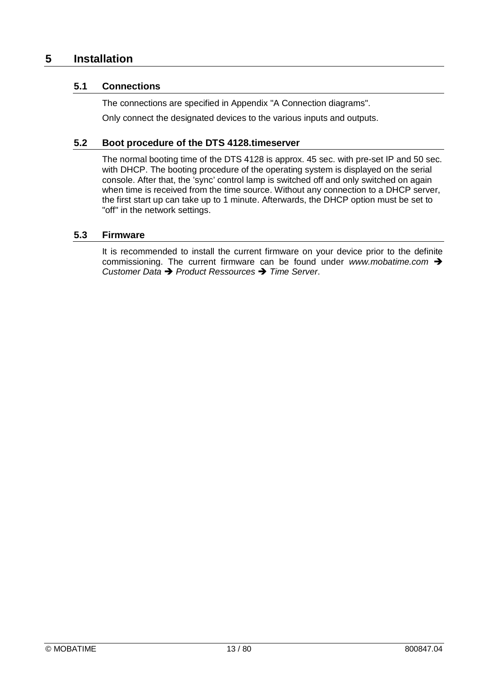### **5 Installation**

### **5.1 Connections**

The connections are specified in Appendix "A Connection diagrams".

Only connect the designated devices to the various inputs and outputs.

### **5.2 Boot procedure of the DTS 4128.timeserver**

The normal booting time of the DTS 4128 is approx. 45 sec. with pre-set IP and 50 sec. with DHCP. The booting procedure of the operating system is displayed on the serial console. After that, the 'sync' control lamp is switched off and only switched on again when time is received from the time source. Without any connection to a DHCP server, the first start up can take up to 1 minute. Afterwards, the DHCP option must be set to "off" in the network settings.

### **5.3 Firmware**

It is recommended to install the current firmware on your device prior to the definite commissioning. The current firmware can be found under *www.mobatime.com Customer Data Product Ressources Time Server*.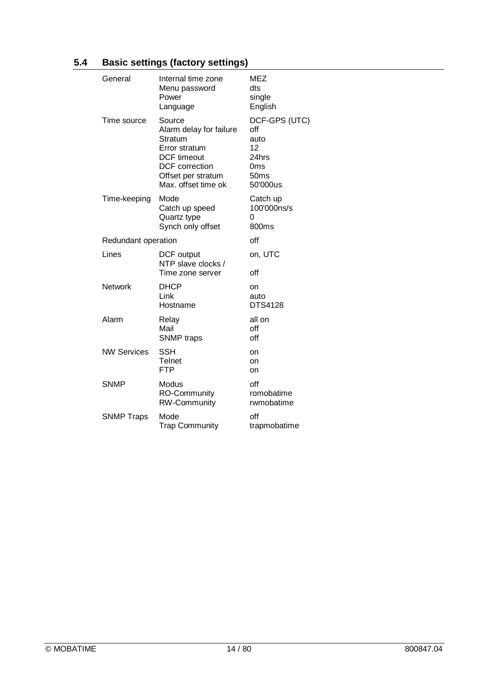### **5.4 Basic settings (factory settings)**

| General             | Internal time zone<br>Menu password<br>Power<br>Language                                                                                                  | MEZ<br>dts<br>single<br>English                                        |
|---------------------|-----------------------------------------------------------------------------------------------------------------------------------------------------------|------------------------------------------------------------------------|
| Time source         | Source<br>Alarm delay for failure<br>Stratum<br>Error stratum<br><b>DCF</b> timeout<br><b>DCF</b> correction<br>Offset per stratum<br>Max. offset time ok | DCF-GPS (UTC)<br>off<br>auto<br>12<br>24hrs<br>0ms<br>50ms<br>50'000us |
| Time-keeping        | Mode<br>Catch up speed<br>Quartz type<br>Synch only offset                                                                                                | Catch up<br>100'000ns/s<br>0<br>800ms                                  |
| Redundant operation |                                                                                                                                                           | ∩ff                                                                    |
| Lines               | DCF output<br>NTP slave clocks /<br>Time zone server                                                                                                      | on, UTC<br>off                                                         |
| <b>Network</b>      | <b>DHCP</b><br>Link<br>Hostname                                                                                                                           | on<br>auto<br><b>DTS4128</b>                                           |
| Alarm               | Relay<br>Mail<br><b>SNMP</b> traps                                                                                                                        | all on<br>off<br>off                                                   |
| <b>NW Services</b>  | <b>SSH</b><br>Telnet<br><b>FTP</b>                                                                                                                        | on<br>on<br>on                                                         |
| <b>SNMP</b>         | Modus<br>RO-Community<br><b>RW-Community</b>                                                                                                              | off<br>romobatime<br>rwmobatime                                        |
| <b>SNMP Traps</b>   | Mode<br><b>Trap Community</b>                                                                                                                             | off<br>trapmobatime                                                    |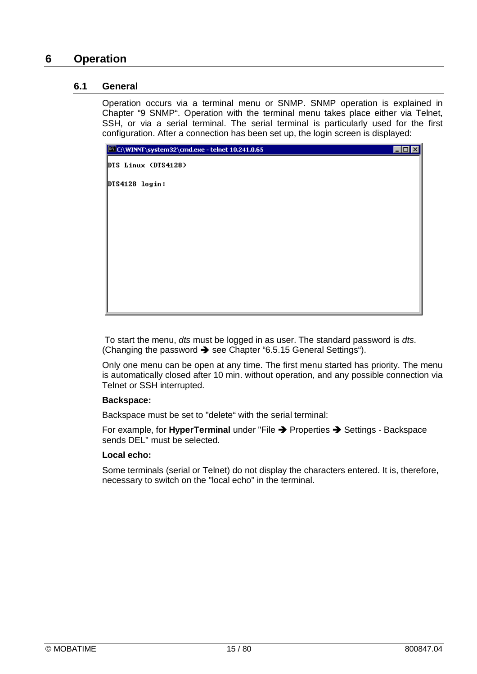### **6 Operation**

### **6.1 General**

Operation occurs via a terminal menu or SNMP. SNMP operation is explained in Chapter "9 SNMP". Operation with the terminal menu takes place either via Telnet, SSH, or via a serial terminal. The serial terminal is particularly used for the first configuration. After a connection has been set up, the login screen is displayed:



To start the menu, *dts* must be logged in as user. The standard password is *dts*. (Changing the password  $\rightarrow$  see Chapter "6.5.15 General Settings").

Only one menu can be open at any time. The first menu started has priority. The menu is automatically closed after 10 min. without operation, and any possible connection via Telnet or SSH interrupted.

### **Backspace:**

Backspace must be set to "delete" with the serial terminal:

For example, for **HyperTerminal** under "File  $\rightarrow$  Properties  $\rightarrow$  Settings - Backspace sends DEL" must be selected.

### **Local echo:**

Some terminals (serial or Telnet) do not display the characters entered. It is, therefore, necessary to switch on the "local echo" in the terminal.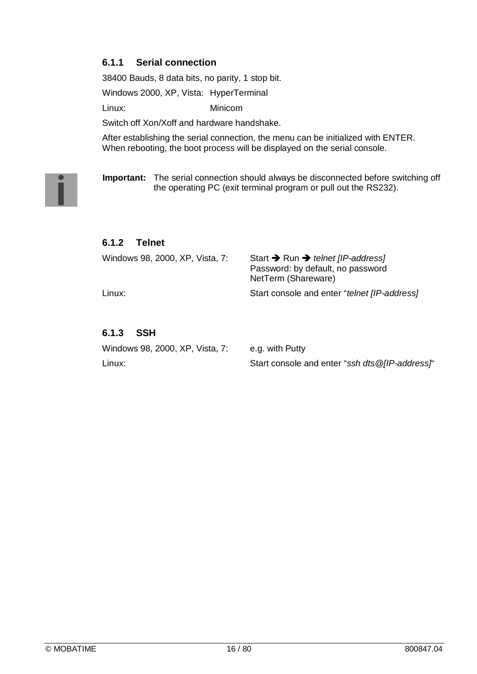### **6.1.1 Serial connection**

38400 Bauds, 8 data bits, no parity, 1 stop bit.

Windows 2000, XP, Vista: HyperTerminal

Linux: Minicom

Switch off Xon/Xoff and hardware handshake.

After establishing the serial connection, the menu can be initialized with ENTER. When rebooting, the boot process will be displayed on the serial console.

**Important:** The serial connection should always be disconnected before switching off the operating PC (exit terminal program or pull out the RS232).

### **6.1.2 Telnet**

| Windows 98, 2000, XP, Vista, 7: | Start $\rightarrow$ Run $\rightarrow$ telnet [IP-address]<br>Password: by default, no password<br>NetTerm (Shareware) |
|---------------------------------|-----------------------------------------------------------------------------------------------------------------------|
| Linux:                          | Start console and enter "telnet [IP-address]                                                                          |

### **6.1.3 SSH**

| Windows 98, 2000, XP, Vista, 7: | e.g. with Putty                                 |
|---------------------------------|-------------------------------------------------|
| Linux:                          | Start console and enter "ssh dts @[IP-address]" |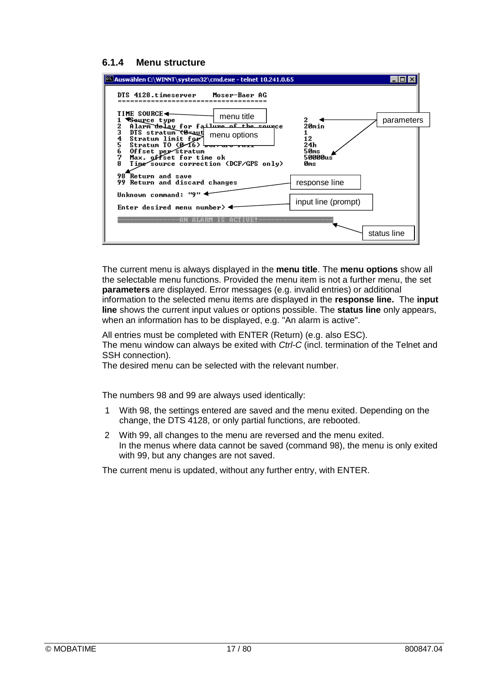### **6.1.4 Menu structure**

| <sup>65</sup> Auswählen C:\WINNT\system32\cmd.exe - telnet 10.241.0.65                                                                                                                                                                                     |             |
|------------------------------------------------------------------------------------------------------------------------------------------------------------------------------------------------------------------------------------------------------------|-------------|
| DTS 4128.timeserver Moser-Baer AG                                                                                                                                                                                                                          |             |
| TIME SOURCE◀<br>menu title<br>2<br>¶Seurce type<br>Alarm delay for failure of the source<br>20min<br>2                                                                                                                                                     | parameters  |
| 3<br>DTS stratum (8=aut)<br>menu options<br>Stratum limit for<br>12<br>5<br>Stratum TO (Ø⁄16)<br>24h<br>Offset per stratum<br>50ms<br>6<br>Max. offset for time ok<br>50000us<br>Time source correction (DCF/GPS only)<br>Йms<br><b>98 Return and save</b> |             |
| response line<br>99 Return and discard changes                                                                                                                                                                                                             |             |
| Unknown command: "9"<br>input line (prompt)<br>Enter desired menu number> $\blacktriangleleft$                                                                                                                                                             |             |
|                                                                                                                                                                                                                                                            | status line |

The current menu is always displayed in the **menu title**. The **menu options** show all the selectable menu functions. Provided the menu item is not a further menu, the set **parameters** are displayed. Error messages (e.g. invalid entries) or additional information to the selected menu items are displayed in the **response line.** The **input line** shows the current input values or options possible. The **status line** only appears, when an information has to be displayed, e.g. "An alarm is active".

All entries must be completed with ENTER (Return) (e.g. also ESC).

The menu window can always be exited with *Ctrl-C* (incl. termination of the Telnet and SSH connection).

The desired menu can be selected with the relevant number.

The numbers 98 and 99 are always used identically:

- 1 With 98, the settings entered are saved and the menu exited. Depending on the change, the DTS 4128, or only partial functions, are rebooted.
- 2 With 99, all changes to the menu are reversed and the menu exited. In the menus where data cannot be saved (command 98), the menu is only exited with 99, but any changes are not saved.

The current menu is updated, without any further entry, with ENTER.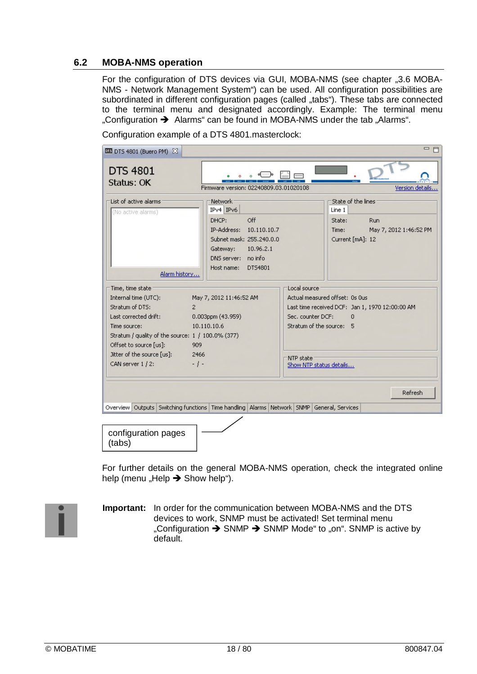### **6.2 MOBA-NMS operation**

For the configuration of DTS devices via GUI, MOBA-NMS (see chapter "3.6 MOBA-NMS - Network Management System") can be used. All configuration possibilities are subordinated in different configuration pages (called "tabs"). These tabs are connected to the terminal menu and designated accordingly. Example: The terminal menu "Configuration  $\rightarrow$  Alarms" can be found in MOBA-NMS under the tab "Alarms".

| <b>DE DTS 4801 (Buero PM) 23</b>                                                                                                                                                                                                            |                                                                                                                                                                              |                                                |                                                                                                                                                      | □ 日                           |
|---------------------------------------------------------------------------------------------------------------------------------------------------------------------------------------------------------------------------------------------|------------------------------------------------------------------------------------------------------------------------------------------------------------------------------|------------------------------------------------|------------------------------------------------------------------------------------------------------------------------------------------------------|-------------------------------|
| <b>DTS 4801</b><br>Status: OK                                                                                                                                                                                                               | Firmware version: 02240809.03.01020108                                                                                                                                       |                                                |                                                                                                                                                      | Version details               |
| List of active alarms<br>(No active alarms)<br>Alarm history                                                                                                                                                                                | Network-<br>$IPv4$ $IPv6$<br>Off<br>DHCP:<br>IP-Address:<br>10.110.10.7<br>Subnet mask: 255.240.0.0<br>10.96.2.1<br>Gateway:<br>DNS server: no info<br>DT54801<br>Host name: |                                                | State of the lines<br>Line 1<br>State:<br>Time:<br>Current [mA]: 12                                                                                  | Run<br>May 7, 2012 1:46:52 PM |
| Time, time state<br>Internal time (UTC):<br>Stratum of DTS:<br>2<br>Last corrected drift:<br>Time source:<br>Stratum / quality of the source: 1 / 100.0% (377)<br>Offset to source [us]:<br>Jitter of the source [us]:<br>CAN server 1 / 2: | May 7, 2012 11:46:52 AM<br>0.003ppm (43.959)<br>10.110.10.6<br>909<br>2466<br>$-1-$                                                                                          | Local source<br>Sec. counter DCF:<br>NTP state | Actual measured offset: Os Ous<br>Last time received DCF: Jan 1, 1970 12:00:00 AM<br>$\Omega$<br>Stratum of the source: 5<br>Show NTP status details |                               |
| Overview   Outputs   Switching functions   Time handling   Alarms   Network   SNMP   General, Services                                                                                                                                      |                                                                                                                                                                              |                                                |                                                                                                                                                      | Refresh                       |
| configuration pages<br>(tabs)                                                                                                                                                                                                               |                                                                                                                                                                              |                                                |                                                                                                                                                      |                               |

Configuration example of a DTS 4801.masterclock:

For further details on the general MOBA-NMS operation, check the integrated online help (menu "Help  $\rightarrow$  Show help").

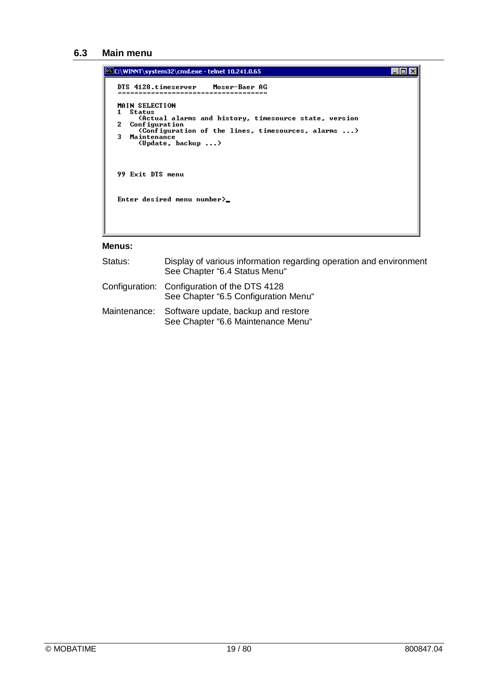### **6.3 Main menu**

```
C:\WINNT\system32\cmd.exe - telnet 10.241.0.65
                                                                                                                      EDX
     DTS 4128.timeserver Moser-Baer AG
     MAIN SELECTION
    main SELECTION<br>1 Status<br>Chetual alarms and history, timesource state, version<br>2 Configuration<br>(Configuration of the lines, timesources, alarms ...)<br>3 Maintenance<br>(Update, backup ...)
     99 Exit DTS menu
     Enter desired menu number>_
```
#### **Menus:**

| Status: | Display of various information regarding operation and environment<br>See Chapter "6.4 Status Menu" |
|---------|-----------------------------------------------------------------------------------------------------|
|         | Configuration: Configuration of the DTS 4128<br>See Chapter "6.5 Configuration Menu"                |
|         | Maintenance: Software update, backup and restore<br>See Chapter "6.6 Maintenance Menu"              |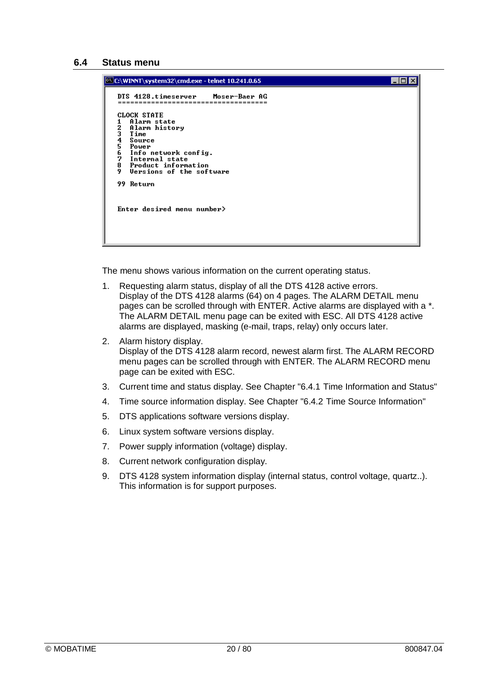#### **6.4 Status menu**



The menu shows various information on the current operating status.

- 1. Requesting alarm status, display of all the DTS 4128 active errors. Display of the DTS 4128 alarms (64) on 4 pages. The ALARM DETAIL menu pages can be scrolled through with ENTER. Active alarms are displayed with a \*. The ALARM DETAIL menu page can be exited with ESC. All DTS 4128 active alarms are displayed, masking (e-mail, traps, relay) only occurs later.
- 2. Alarm history display. Display of the DTS 4128 alarm record, newest alarm first. The ALARM RECORD menu pages can be scrolled through with ENTER. The ALARM RECORD menu page can be exited with ESC.
- 3. Current time and status display. See Chapter "6.4.1 Time Information and Status"
- 4. Time source information display. See Chapter "6.4.2 Time Source Information"
- 5. DTS applications software versions display.
- 6. Linux system software versions display.
- 7. Power supply information (voltage) display.
- 8. Current network configuration display.
- 9. DTS 4128 system information display (internal status, control voltage, quartz..). This information is for support purposes.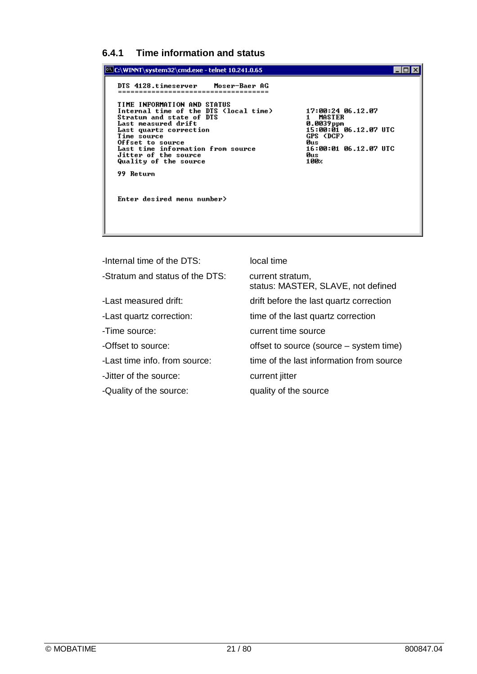### **6.4.1 Time information and status**



-Internal time of the DTS: local time -Stratum and status of the DTS: current stratum, status: MASTER, SLAVE, not defined -Last measured drift: drift before the last quartz correction -Last quartz correction: time of the last quartz correction -Time source: current time source -Offset to source: offset to source (source – system time) -Last time info. from source: time of the last information from source -Jitter of the source: current jitter -Quality of the source: quality of the source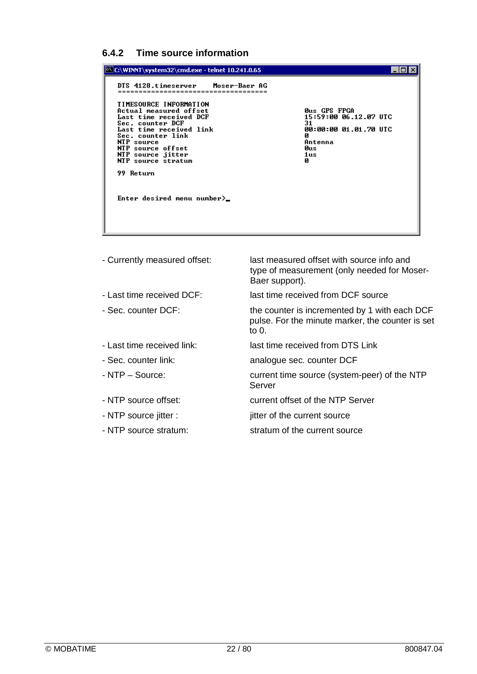### **6.4.2 Time source information**

| C:\WINNT\system32\cmd.exe - telnet 10.241.0.65                                                                                                                                                                                                                                                                     |                                                                                                                        |
|--------------------------------------------------------------------------------------------------------------------------------------------------------------------------------------------------------------------------------------------------------------------------------------------------------------------|------------------------------------------------------------------------------------------------------------------------|
| DTS 4128.timeserver Moser-Baer AG<br>TIMESOURCE INFORMATION<br>Actual measured offset<br>Last time received DCF<br>Sec. counter DCF<br>Last time received link<br>Sec. counter link<br>NTP source<br>NTP source offset<br>NTP source jitter<br>NTP source stratum<br>99 Return<br>Enter desired menu number $\geq$ | <b>Øus GPS FPGA</b><br>15:59:00 06.12.07 UTC<br>31<br>00:00:00 01.01.70 UTC<br>Ø<br>Antenna<br><b>ศินธ</b><br>1us<br>Й |

- 
- 
- 
- 
- 
- 
- 
- 
- 

- Currently measured offset: last measured offset with source info and type of measurement (only needed for Moser-Baer support).

- Last time received DCF: last time received from DCF source

- Sec. counter DCF: the counter is incremented by 1 with each DCF pulse. For the minute marker, the counter is set  $\frac{1}{10}$  0.

- Last time received link: last time received from DTS Link
- Sec. counter link: analogue sec. counter DCF
- NTP Source: current time source (system-peer) of the NTP Server
- NTP source offset:<br>
current offset of the NTP Server
- NTP source jitter : jitter of the current source
- NTP source stratum: stratum of the current source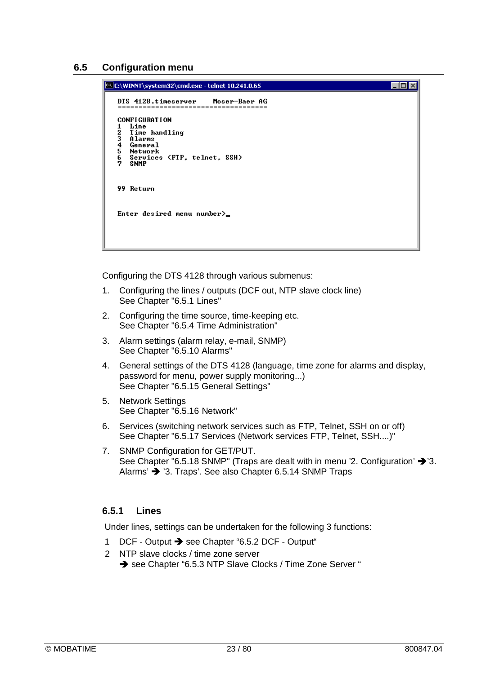### **6.5 Configuration menu**

| C:\WINNT\system32\cmd.exe - telnet 10.241.0.65                                                                                                                         |
|------------------------------------------------------------------------------------------------------------------------------------------------------------------------|
| DTS 4128.timeserver Moser-Baer AG                                                                                                                                      |
| <b>CONFIGURATION</b><br>Line<br>1.<br>$\frac{2}{3}$<br>Time handling<br>Alarms<br>4<br>5<br>General<br>Network<br>6<br>Services (FTP, telnet, SSH)<br>2<br><b>SNMP</b> |
| 99 Return                                                                                                                                                              |
| Enter desired menu number $\sum$                                                                                                                                       |

Configuring the DTS 4128 through various submenus:

- 1. Configuring the lines / outputs (DCF out, NTP slave clock line) See Chapter "6.5.1 Lines"
- 2. Configuring the time source, time-keeping etc. See Chapter "6.5.4 Time Administration"
- 3. Alarm settings (alarm relay, e-mail, SNMP) See Chapter "6.5.10 Alarms"
- 4. General settings of the DTS 4128 (language, time zone for alarms and display, password for menu, power supply monitoring...) See Chapter "6.5.15 General Settings"
- 5. Network Settings See Chapter "6.5.16 Network"
- 6. Services (switching network services such as FTP, Telnet, SSH on or off) See Chapter "6.5.17 Services (Network services FTP, Telnet, SSH....)"
- 7. SNMP Configuration for GET/PUT. See Chapter "6.5.18 SNMP" (Traps are dealt with in menu '2. Configuration'  $\rightarrow$  '3. Alarms'  $\rightarrow$  '3. Traps'. See also Chapter 6.5.14 SNMP Traps

### **6.5.1 Lines**

Under lines, settings can be undertaken for the following 3 functions:

- 1 DCF Output → see Chapter "6.5.2 DCF Output"
- 2 NTP slave clocks / time zone server See Chapter "6.5.3 NTP Slave Clocks / Time Zone Server "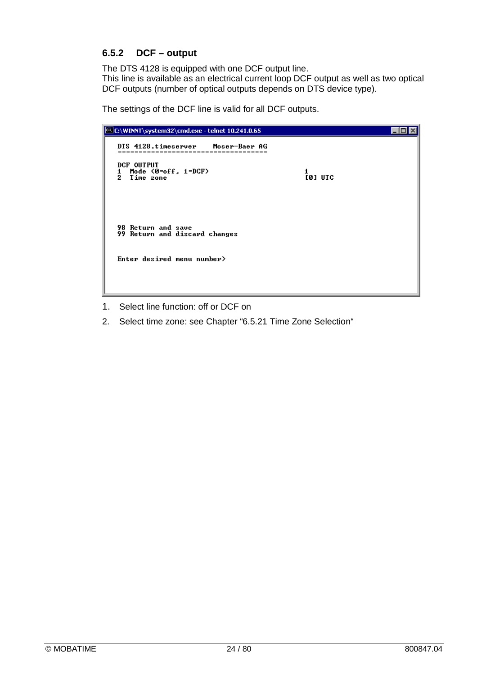### **6.5.2 DCF – output**

The DTS 4128 is equipped with one DCF output line. This line is available as an electrical current loop DCF output as well as two optical DCF outputs (number of optical outputs depends on DTS device type).

The settings of the DCF line is valid for all DCF outputs.



- 1. Select line function: off or DCF on
- 2. Select time zone: see Chapter "6.5.21 Time Zone Selection"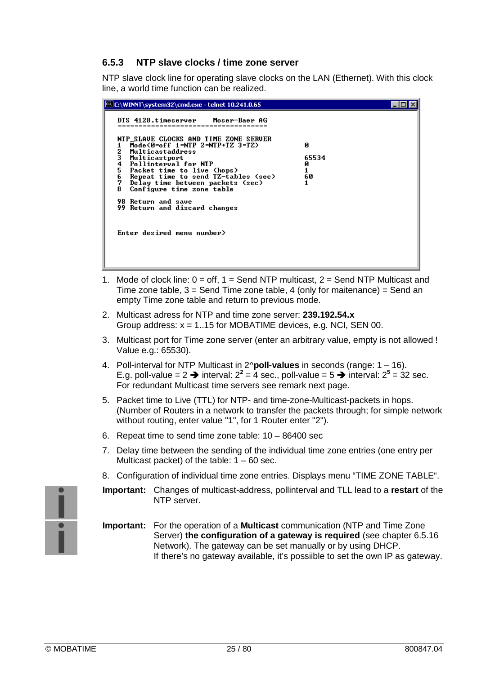### **6.5.3 NTP slave clocks / time zone server**

NTP slave clock line for operating slave clocks on the LAN (Ethernet). With this clock line, a world time function can be realized.



- 1. Mode of clock line:  $0 = \text{off. } 1 = \text{Send NTP multicast. } 2 = \text{Send NTP Multicast and } 1$ Time zone table,  $3 =$  Send Time zone table, 4 (only for maitenance) = Send an empty Time zone table and return to previous mode.
- 2. Multicast adress for NTP and time zone server: **239.192.54.x** Group address: x = 1..15 for MOBATIME devices, e.g. NCI, SEN 00.
- 3. Multicast port for Time zone server (enter an arbitrary value, empty is not allowed ! Value e.g.: 65530).
- 4. Poll-interval for NTP Multicast in 2^**poll-values** in seconds (range: 1 16). E.g. poll-value =  $2 \rightarrow$  interval:  $2^2 = 4$  sec., poll-value =  $5 \rightarrow$  interval:  $2^5 = 32$  sec. For redundant Multicast time servers see remark next page.
- 5. Packet time to Live (TTL) for NTP- and time-zone-Multicast-packets in hops. (Number of Routers in a network to transfer the packets through; for simple network without routing, enter value "1", for 1 Router enter "2").
- 6. Repeat time to send time zone table: 10 86400 sec
- 7. Delay time between the sending of the individual time zone entries (one entry per Multicast packet) of the table: 1 – 60 sec.
- 8. Configuration of individual time zone entries. Displays menu "TIME ZONE TABLE".
- **Important:** Changes of multicast-address, pollinterval and TLL lead to a **restart** of the NTP server.
- **Important:** For the operation of a **Multicast** communication (NTP and Time Zone Server) **the configuration of a gateway is required** (see chapter 6.5.16 Network). The gateway can be set manually or by using DHCP. If there's no gateway available, it's possiible to set the own IP as gateway.

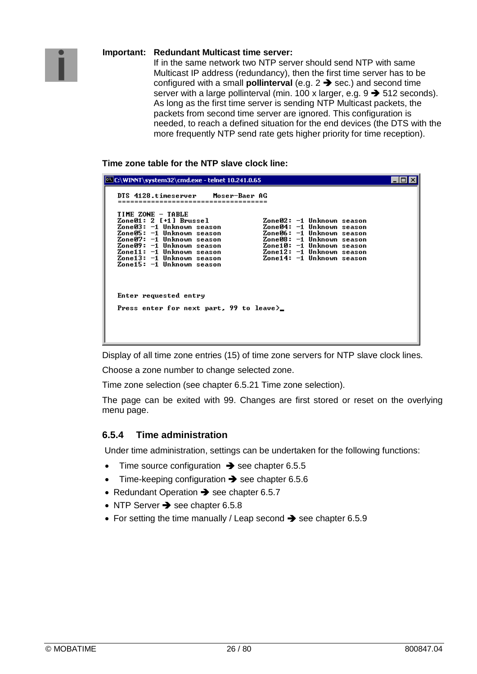### **Important: Redundant Multicast time server:**

If in the same network two NTP server should send NTP with same Multicast IP address (redundancy), then the first time server has to be configured with a small **pollinterval** (e.g.  $2 \rightarrow$  sec.) and second time server with a large pollinterval (min. 100 x larger, e.g.  $9 \rightarrow 512$  seconds). As long as the first time server is sending NTP Multicast packets, the packets from second time server are ignored. This configuration is needed, to reach a defined situation for the end devices (the DTS with the more frequently NTP send rate gets higher priority for time reception).

**Time zone table for the NTP slave clock line:**

| C:\WINNT\system32\cmd.exe - telnet 10.241.0.65                                                                                                                                                                                                                                                                                                                                                                                                                    |  |
|-------------------------------------------------------------------------------------------------------------------------------------------------------------------------------------------------------------------------------------------------------------------------------------------------------------------------------------------------------------------------------------------------------------------------------------------------------------------|--|
| DTS 4128.timeserver Moser-Baer AG                                                                                                                                                                                                                                                                                                                                                                                                                                 |  |
| TIME ZONE - TABLE<br>Zone01: 2 [+1] Brussel<br>Zone02: −1 Unknown season<br>Zone03: −1 Unknown season<br>Zone04: −1 Unknown season<br>Zone05: −1 Unknown season<br>Zone06: −1 Unknown season<br>Zone07: −1 Unknown season<br>Zone08: −1 Unknown season<br>Zone09: -1 Unknown season<br>Zone10: -1 Unknown season<br>Zone11: -1 Unknown season<br>Zone12: −1 Unknown season<br>Zone14: -1 Unknown season<br>Zone13: −1 Unknown season<br>Zone15: −1 Unknown season |  |
| Enter requested entry<br>Press enter for next part, 99 to leave>_                                                                                                                                                                                                                                                                                                                                                                                                 |  |

Display of all time zone entries (15) of time zone servers for NTP slave clock lines.

Choose a zone number to change selected zone.

Time zone selection (see chapter 6.5.21 Time zone selection).

The page can be exited with 99. Changes are first stored or reset on the overlying menu page.

### **6.5.4 Time administration**

Under time administration, settings can be undertaken for the following functions:

- Time source configuration  $\rightarrow$  see chapter 6.5.5
- Time-keeping configuration  $\rightarrow$  see chapter 6.5.6
- Redundant Operation  $\rightarrow$  see chapter 6.5.7
- $\bullet$  NTP Server  $\rightarrow$  see chapter 6.5.8
- For setting the time manually / Leap second  $\rightarrow$  see chapter 6.5.9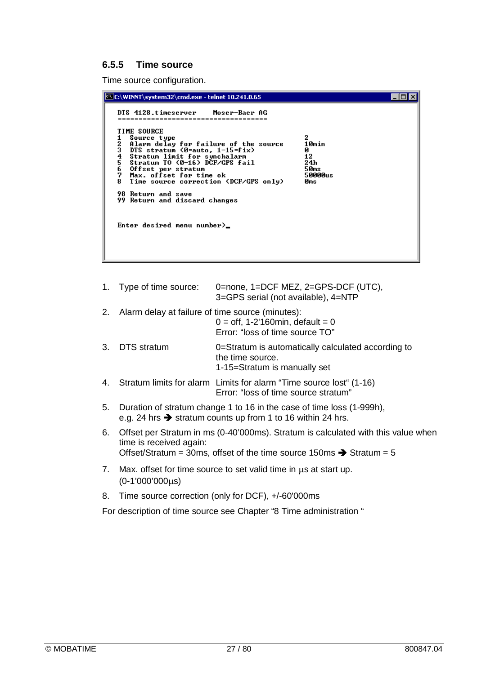### **6.5.5 Time source**

Time source configuration.

| C:\WINNT\system32\cmd.exe - telnet 10.241.0.65                                                                                                                                                                                                                                                                                                                                                                                                 |                                                        |
|------------------------------------------------------------------------------------------------------------------------------------------------------------------------------------------------------------------------------------------------------------------------------------------------------------------------------------------------------------------------------------------------------------------------------------------------|--------------------------------------------------------|
| DTS 4128.timeserver Moser-Baer AG<br><b>TIME SOURCE</b><br>Source type<br>23456<br>Alarm delay for failure of the source<br>DTS stratum $\Theta$ =auto, 1-15=fix)<br>Stratum limit for synchalarm<br>Stratum TO (0-16) DCF/GPS fail<br>Offset per stratum<br>7<br>Max. offset for time ok<br>8<br>Time source correction (DCF/GPS only)<br><b>98 Return and save</b><br>99 Return and discard changes<br>Enter desired menu number $\rangle$ _ | 2<br>10min<br>и<br>12<br>24h<br>50ms<br>50000us<br>Øms |

|    | 1. Type of time source:                                                                                                                                                                          | 0=none, 1=DCF MEZ, 2=GPS-DCF (UTC),<br>3=GPS serial (not available), 4=NTP                                  |
|----|--------------------------------------------------------------------------------------------------------------------------------------------------------------------------------------------------|-------------------------------------------------------------------------------------------------------------|
|    | 2. Alarm delay at failure of time source (minutes):                                                                                                                                              | $0 =$ off, 1-2'160 min, default = 0<br>Error: "loss of time source TO"                                      |
|    | 3. DTS stratum                                                                                                                                                                                   | 0=Stratum is automatically calculated according to<br>the time source.<br>1-15=Stratum is manually set      |
| 4. |                                                                                                                                                                                                  | Stratum limits for alarm Limits for alarm "Time source lost" (1-16)<br>Error: "loss of time source stratum" |
| 5. | Duration of stratum change 1 to 16 in the case of time loss (1-999h),<br>e.g. 24 hrs $\rightarrow$ stratum counts up from 1 to 16 within 24 hrs.                                                 |                                                                                                             |
| 6. | Offset per Stratum in ms (0-40'000ms). Stratum is calculated with this value when<br>time is received again:<br>Offset/Stratum = 30ms, offset of the time source 150ms $\rightarrow$ Stratum = 5 |                                                                                                             |

- 7. Max. offset for time source to set valid time in  $\mu$ s at start up.  $(0-1'000'000\mu s)$
- 8. Time source correction (only for DCF), +/-60'000ms

For description of time source see Chapter "8 Time administration "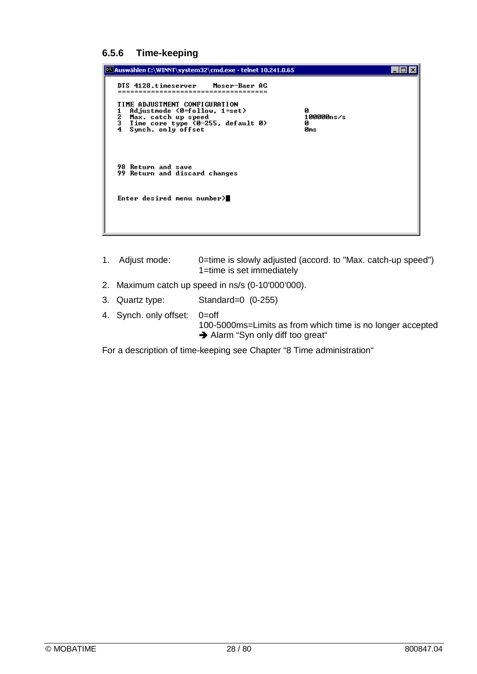### **6.5.6 Time-keeping**

| <sup>65</sup> Auswählen C:\WINNT\system32\cmd.exe - telnet 10.241.0.65                                                                                              |                             |  |
|---------------------------------------------------------------------------------------------------------------------------------------------------------------------|-----------------------------|--|
| DTS 4128.timeserver Moser-Baer AG                                                                                                                                   |                             |  |
| TIME ADJUSTMENT CONFIGURATION<br>Adjustmode (0=follow, 1=set)<br>1<br>2<br>Max. catch up speed<br>3<br>Time core type (0-255, default 0)<br>Synch. only offset<br>4 | Й<br>100000ns/s<br>Й<br>Øms |  |
| <b>98 Return and save</b><br>99 Return and discard changes                                                                                                          |                             |  |
| Enter desired menu number $\rangle$                                                                                                                                 |                             |  |
|                                                                                                                                                                     |                             |  |

- 1. Adjust mode: 0=time is slowly adjusted (accord. to "Max. catch-up speed") 1=time is set immediately 2. Maximum catch up speed in ns/s (0-10'000'000). 3. Quartz type: Standard=0 (0-255)
- 4. Synch. only offset: 0=off 100-5000ms=Limits as from which time is no longer accepted Alarm "Syn only diff too great"

For a description of time-keeping see Chapter "8 Time administration"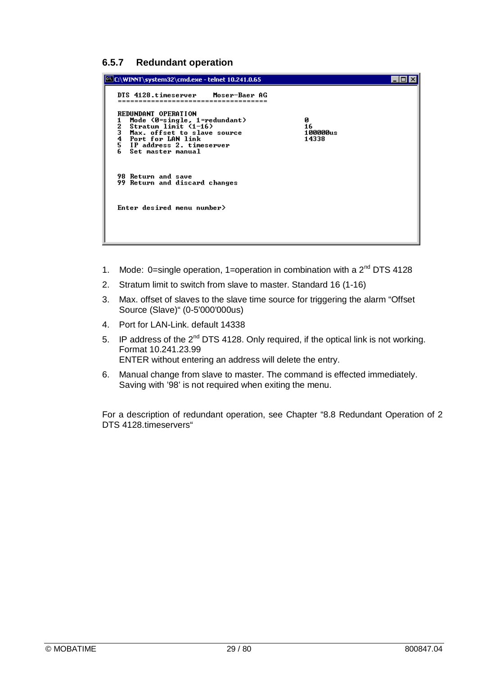### **6.5.7 Redundant operation**

| C:\WINNT\system32\cmd.exe - telnet 10.241.0.65                                                                                                                                                            |                              |  |
|-----------------------------------------------------------------------------------------------------------------------------------------------------------------------------------------------------------|------------------------------|--|
| DTS 4128.timeserver Moser-Baer AG                                                                                                                                                                         |                              |  |
| REDUNDANT OPERATION<br>Mode $(0 = single, 1 = redundant)$<br>Stratum limit (1-16)<br>2<br>3<br>Max. offset to slave source<br>4<br>Port for LAN link<br>5 IP address 2. timeserver<br>6 Set master manual | Й<br>16<br>100000us<br>14338 |  |
| <b>98 Return and save</b><br>99 Return and discard changes                                                                                                                                                |                              |  |
| Enter desired menu number>                                                                                                                                                                                |                              |  |

- 1. Mode: 0=single operation, 1=operation in combination with a  $2^{nd}$  DTS 4128
- 2. Stratum limit to switch from slave to master. Standard 16 (1-16)
- 3. Max. offset of slaves to the slave time source for triggering the alarm "Offset Source (Slave)" (0-5'000'000us)
- 4. Port for LAN-Link. default 14338
- 5. IP address of the  $2^{nd}$  DTS 4128. Only required, if the optical link is not working. Format 10.241.23.99 ENTER without entering an address will delete the entry.
- 6. Manual change from slave to master. The command is effected immediately. Saving with '98' is not required when exiting the menu.

For a description of redundant operation, see Chapter "8.8 Redundant Operation of 2 DTS 4128.timeservers"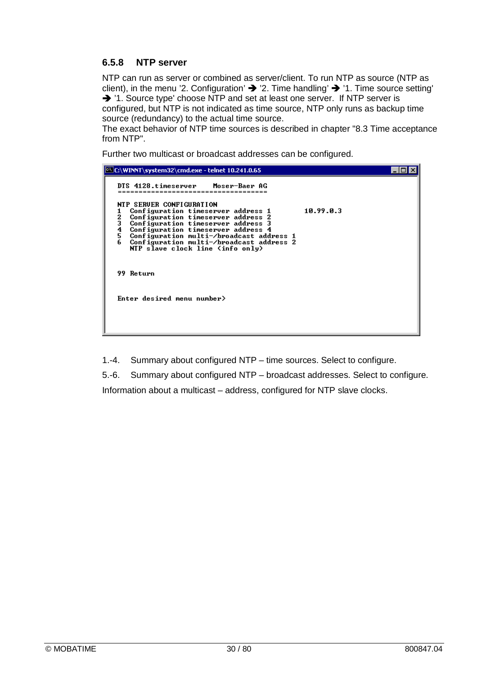### **6.5.8 NTP server**

NTP can run as server or combined as server/client. To run NTP as source (NTP as client), in the menu '2. Configuration'  $\rightarrow$  '2. Time handling'  $\rightarrow$  '1. Time source setting' → '1. Source type' choose NTP and set at least one server. If NTP server is configured, but NTP is not indicated as time source, NTP only runs as backup time source (redundancy) to the actual time source.

The exact behavior of NTP time sources is described in chapter "8.3 Time acceptance from NTP".

Further two multicast or broadcast addresses can be configured.



1.-4. Summary about configured NTP – time sources. Select to configure.

5.-6. Summary about configured NTP – broadcast addresses. Select to configure. Information about a multicast – address, configured for NTP slave clocks.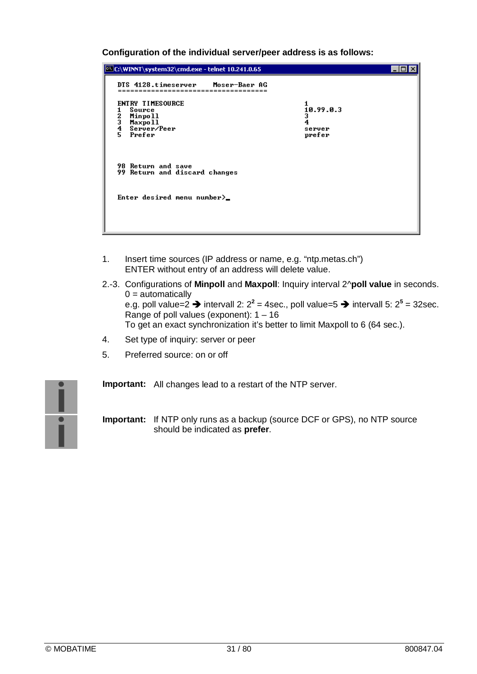**Configuration of the individual server/peer address is as follows:**

| C:\WINNT\system32\cmd.exe - telnet 10.241.0.65                                          |                                         |  |
|-----------------------------------------------------------------------------------------|-----------------------------------------|--|
| DTS 4128.timeserver Moser-Baer AG                                                       |                                         |  |
| ENTRY TIMESOURCE<br>Source<br>1<br>2345<br>Minpoll<br>Maxpo 11<br>Server/Peer<br>Prefer | 10.99.0.3<br>3<br>4<br>server<br>prefer |  |
| <b>98 Return and save</b><br>99 Return and discard changes                              |                                         |  |
| Enter desired menu number $\sum$                                                        |                                         |  |
|                                                                                         |                                         |  |

- 1. Insert time sources (IP address or name, e.g. "ntp.metas.ch") ENTER without entry of an address will delete value.
- 2.-3. Configurations of **Minpoll** and **Maxpoll**: Inquiry interval 2^**poll value** in seconds.  $0 =$ automatically e.g. poll value=2  $\rightarrow$  intervall 2: 2<sup>2</sup> = 4sec., poll value=5  $\rightarrow$  intervall 5: 2<sup>5</sup> = 32sec. Range of poll values (exponent): 1 – 16 To get an exact synchronization it's better to limit Maxpoll to 6 (64 sec.).
- 4. Set type of inquiry: server or peer
- 5. Preferred source: on or off



**Important:** All changes lead to a restart of the NTP server.

**Important:** If NTP only runs as a backup (source DCF or GPS), no NTP source should be indicated as **prefer**.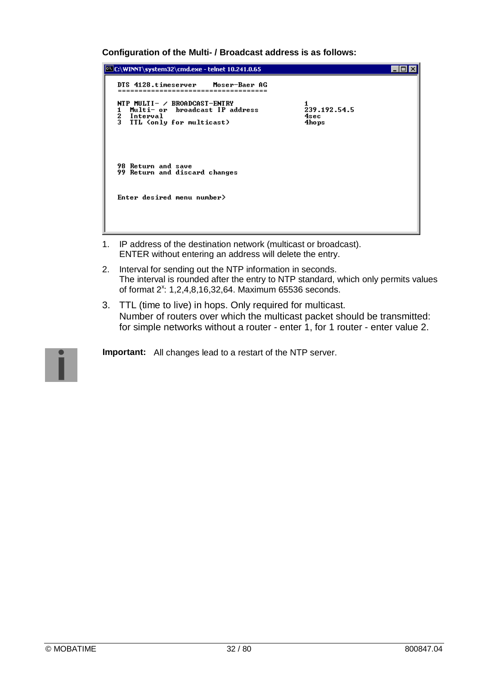**Configuration of the Multi- / Broadcast address is as follows:**

```
C:\WINNT\system32\cmd.exe - telnet 10.241.0.65
                                                                                                    \Boxo\boxtimesDTS 4128.timeserver
                                     Moser-Baer AG
    NTP MULTI- / BROADCAST-ENTRY<br>1 Multi- or  broadcast IP address
                                                                     1<br>239.192.54.5
       Interval<br>TTL (only for multicast)
    \frac{2}{3}4sec
                                                                      4hops
    98 Return and save<br>99 Return and discard changes
    Enter desired menu number>
```
- 1. IP address of the destination network (multicast or broadcast). ENTER without entering an address will delete the entry.
- 2. Interval for sending out the NTP information in seconds. The interval is rounded after the entry to NTP standard, which only permits values of format 2<sup>x</sup>: 1,2,4,8,16,32,64. Maximum 65536 seconds.
- 3. TTL (time to live) in hops. Only required for multicast. Number of routers over which the multicast packet should be transmitted: for simple networks without a router - enter 1, for 1 router - enter value 2.

**Important:** All changes lead to a restart of the NTP server.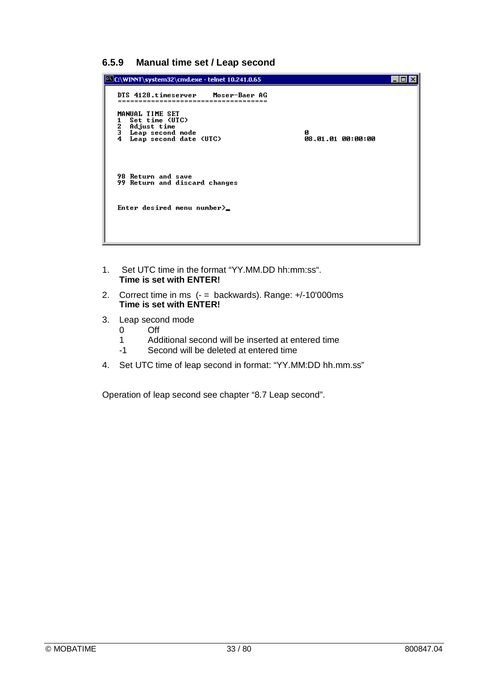**6.5.9 Manual time set / Leap second**



- 1. Set UTC time in the format "YY.MM.DD hh:mm:ss". **Time is set with ENTER!**
- 2. Correct time in ms (- = backwards). Range: +/-10'000ms **Time is set with ENTER!**
- 3. Leap second mode
	- 0 Off
	- 1 Additional second will be inserted at entered time
	- -1 Second will be deleted at entered time
- 4. Set UTC time of leap second in format: "YY.MM:DD hh.mm.ss"

Operation of leap second see chapter "8.7 Leap second".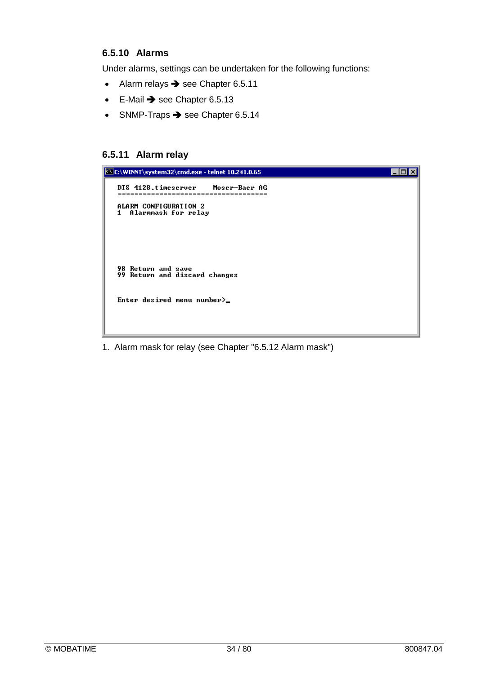### **6.5.10 Alarms**

Under alarms, settings can be undertaken for the following functions:

- $\bullet$  Alarm relays  $\rightarrow$  see Chapter 6.5.11
- $\bullet$  E-Mail  $\rightarrow$  see Chapter 6.5.13
- $\bullet$  SNMP-Traps  $\rightarrow$  see Chapter 6.5.14

### **6.5.11 Alarm relay**



1. Alarm mask for relay (see Chapter "6.5.12 Alarm mask")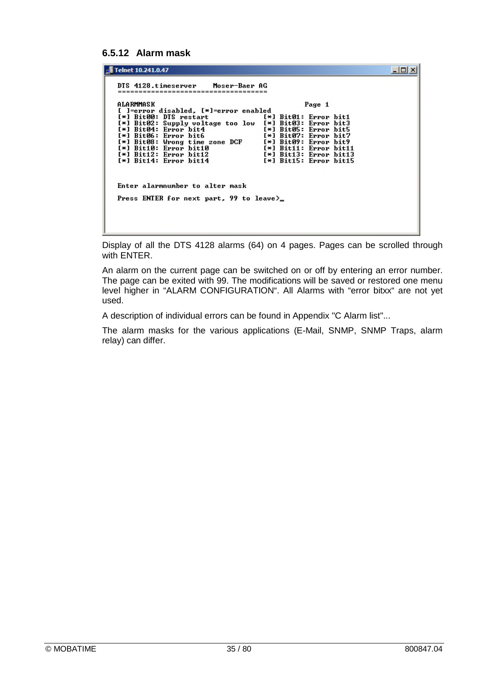### **6.5.12 Alarm mask**

| Telnet 10.241.0.47                                                                                                                                                                                                                                                                                                                                                                                                                                                                             | $\blacksquare$ $\blacksquare$ |
|------------------------------------------------------------------------------------------------------------------------------------------------------------------------------------------------------------------------------------------------------------------------------------------------------------------------------------------------------------------------------------------------------------------------------------------------------------------------------------------------|-------------------------------|
| DTS 4128.timeserver Moser-Baer AG                                                                                                                                                                                                                                                                                                                                                                                                                                                              |                               |
| ALARMMASK<br>Page 1                                                                                                                                                                                                                                                                                                                                                                                                                                                                            |                               |
| [ ]=error disabled, [*]=error enabled<br>[*] Bit00: DTS restart<br>$[\ast]$ Bit01: Error bit1<br>[*] Bit02: Supply voltage too low [*] Bit03: Error bit3<br>[*] Bit05: Error bit5<br>[*] Bit04: Error bit4<br>[*] Bit06: Error bit6<br>[*] Bit07: Error bit7<br>[*] Bit08: Wrong time zone DCF<br>$[*]$ Bit09: Error bit9<br>[*] Bit10: Error bit10<br>[*] Bit11: Error bit11<br>$[*]$ Bit12: Error bit12<br>[*] Bit13: Error bit13<br>$[*]$ Bit14: Error bit14<br>$[\ast]$ Bit15: Error bit15 |                               |
| Enter alarmnumber to alter mask                                                                                                                                                                                                                                                                                                                                                                                                                                                                |                               |
| Press ENTER for next part, 99 to leave)                                                                                                                                                                                                                                                                                                                                                                                                                                                        |                               |
|                                                                                                                                                                                                                                                                                                                                                                                                                                                                                                |                               |

Display of all the DTS 4128 alarms (64) on 4 pages. Pages can be scrolled through with ENTER.

An alarm on the current page can be switched on or off by entering an error number. The page can be exited with 99. The modifications will be saved or restored one menu level higher in "ALARM CONFIGURATION". All Alarms with "error bitxx" are not yet used.

A description of individual errors can be found in Appendix "C Alarm list"...

The alarm masks for the various applications (E-Mail, SNMP, SNMP Traps, alarm relay) can differ.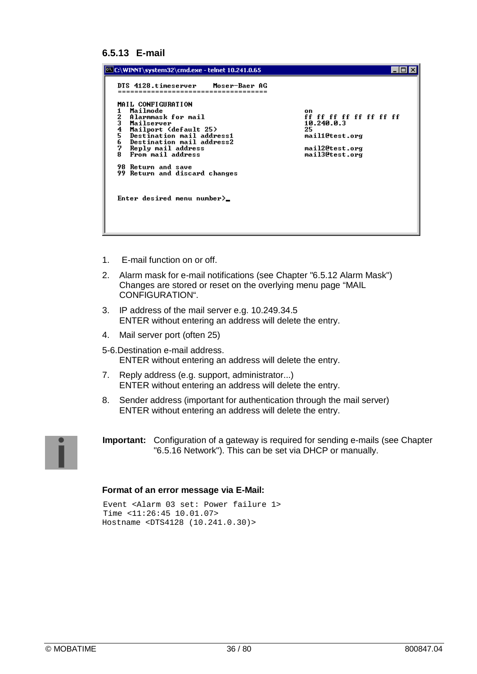#### **6.5.13 E-mail**

| C:\WINNT\system32\cmd.exe - telnet 10.241.0.65                                                                                                                                                                                                                                                                                                                   |                                                                                                         |
|------------------------------------------------------------------------------------------------------------------------------------------------------------------------------------------------------------------------------------------------------------------------------------------------------------------------------------------------------------------|---------------------------------------------------------------------------------------------------------|
| DTS 4128.timeserver - Moser-Baer AG<br>MAIL CONFIGURATION<br>Mailmode<br>23456<br>Alarmmask for mail<br>Mailserver<br>Mailport (default 25)<br>Destination mail address1<br>Destination mail address2<br>7<br>Reply mail address<br>From mail address<br>8.<br><b>98 Return and save</b><br>99 Return and discard changes<br>Enter desired menu number $\rangle$ | on<br>ff ff ff ff ff ff ff ff<br>10.240.0.3<br>25<br>mail1@test.org<br>mail2@test.org<br>mail3@test.org |

- 1. E-mail function on or off.
- 2. Alarm mask for e-mail notifications (see Chapter "6.5.12 Alarm Mask") Changes are stored or reset on the overlying menu page "MAIL CONFIGURATION".
- 3. IP address of the mail server e.g. 10.249.34.5 ENTER without entering an address will delete the entry.
- 4. Mail server port (often 25)
- 5-6.Destination e-mail address. ENTER without entering an address will delete the entry.
- 7. Reply address (e.g. support, administrator...) ENTER without entering an address will delete the entry.
- 8. Sender address (important for authentication through the mail server) ENTER without entering an address will delete the entry.



**Important:** Configuration of a gateway is required for sending e-mails (see Chapter "6.5.16 Network"). This can be set via DHCP or manually.

#### **Format of an error message via E-Mail:**

```
Event <Alarm 03 set: Power failure 1>
Time <11:26:45 10.01.07>
Hostname <DTS4128 (10.241.0.30)>
```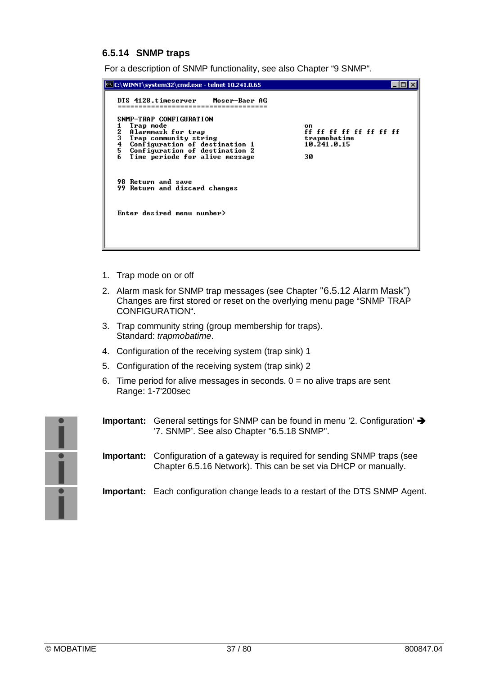#### **6.5.14 SNMP traps**

For a description of SNMP functionality, see also Chapter "9 SNMP".

```
C:\WINNT\system32\cmd.exe - telnet 10.241.0.65
                                                                                                                        \Boxo\boxtimesDTS 4128.timeserver
                                          Moser-Baer AG
 SNMP-TRAP CONFIGURATION
     n Imm Sourresmire<br>Trap mode<br>Alarmmask for trap
                                                                                   on
\frac{1}{2}on<br>ff ff ff ff ff ff ff ff
     Trap community string<br>Configuration of destination 1<br>Configuration of destination 2<br>Time periode for alive message
ā
                                                                                  trapmobatime<br>10.241.0.15
 ĭ
                                                                                  30
\tilde{6}98 Return and save<br>99 Return and discard changes
Enter desired menu number>
```
- 1. Trap mode on or off
- 2. Alarm mask for SNMP trap messages (see Chapter "6.5.12 Alarm Mask") Changes are first stored or reset on the overlying menu page "SNMP TRAP CONFIGURATION".
- 3. Trap community string (group membership for traps). Standard: *trapmobatime*.
- 4. Configuration of the receiving system (trap sink) 1
- 5. Configuration of the receiving system (trap sink) 2
- 6. Time period for alive messages in seconds.  $0 =$  no alive traps are sent Range: 1-7'200sec



- **Important:** General settings for SNMP can be found in menu '2. Configuration' '7. SNMP'. See also Chapter "6.5.18 SNMP".
- **Important:** Configuration of a gateway is required for sending SNMP traps (see Chapter 6.5.16 Network). This can be set via DHCP or manually.

**Important:** Each configuration change leads to a restart of the DTS SNMP Agent.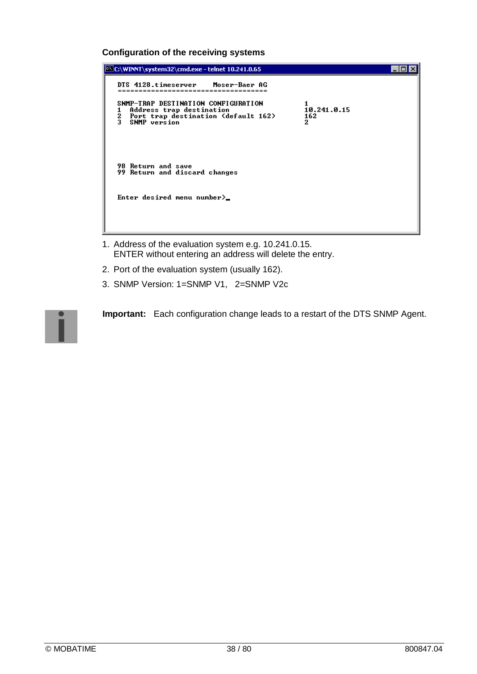#### **Configuration of the receiving systems**



- 1. Address of the evaluation system e.g. 10.241.0.15. ENTER without entering an address will delete the entry.
- 2. Port of the evaluation system (usually 162).
- 3. SNMP Version: 1=SNMP V1, 2=SNMP V2c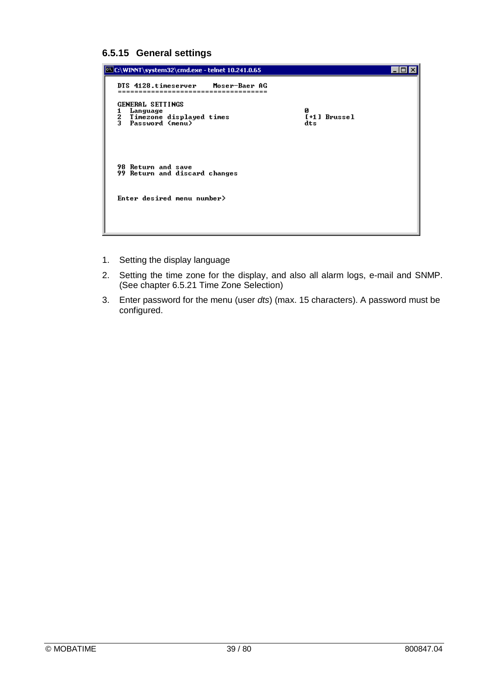### **6.5.15 General settings**



- 1. Setting the display language
- 2. Setting the time zone for the display, and also all alarm logs, e-mail and SNMP. (See chapter 6.5.21 Time Zone Selection)
- 3. Enter password for the menu (user *dts*) (max. 15 characters). A password must be configured.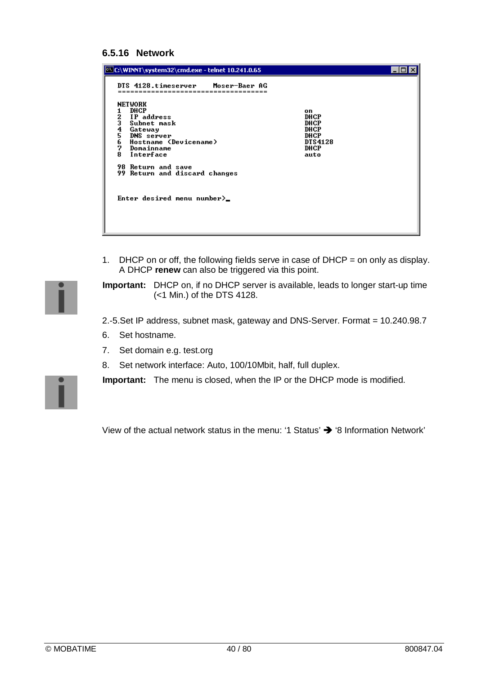#### **6.5.16 Network**

| C:\WINNT\system32\cmd.exe - telnet 10.241.0.65                                                                                                                                                                                                                                              |                                                               |  |
|---------------------------------------------------------------------------------------------------------------------------------------------------------------------------------------------------------------------------------------------------------------------------------------------|---------------------------------------------------------------|--|
| DTS 4128.timeserver Moser-Baer AG<br><b>NETWORK</b><br>DHCP<br>23456<br>IP address<br>Subnet mask<br>Gateway<br>DNS server<br>Hostname (Devicename)<br>7<br>Domainname<br>8.<br>Interface<br><b>98 Return and save</b><br>99 Return and discard changes<br>Enter desired menu number $\geq$ | on<br>DHCP<br>DHCP<br>DHCP<br>DHCP<br>DTS4128<br>DHCP<br>auto |  |

1. DHCP on or off, the following fields serve in case of DHCP = on only as display. A DHCP **renew** can also be triggered via this point.

**Important:** DHCP on, if no DHCP server is available, leads to longer start-up time (<1 Min.) of the DTS 4128.

2.-5.Set IP address, subnet mask, gateway and DNS-Server. Format = 10.240.98.7

- 6. Set hostname.
- 7. Set domain e.g. test.org
- 8. Set network interface: Auto, 100/10Mbit, half, full duplex.

**Important:** The menu is closed, when the IP or the DHCP mode is modified.

View of the actual network status in the menu: '1 Status'  $\rightarrow$  '8 Information Network'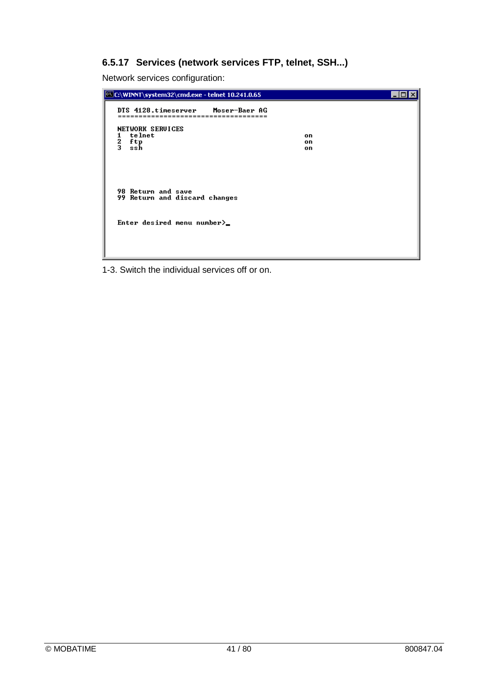## **6.5.17 Services (network services FTP, telnet, SSH...)**

Network services configuration:



1-3. Switch the individual services off or on.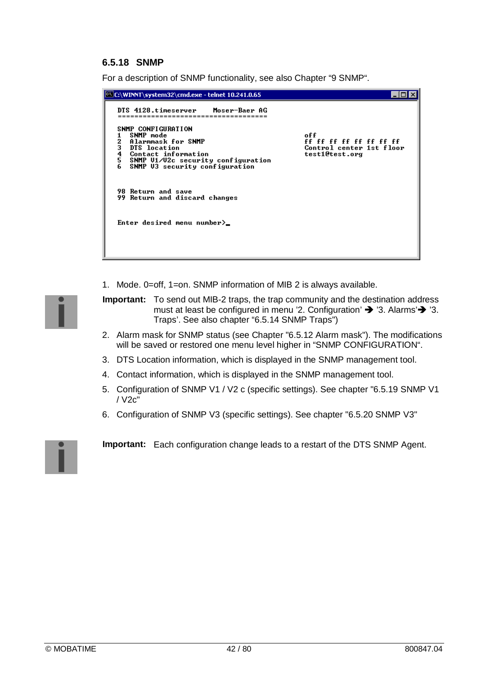## **6.5.18 SNMP**

For a description of SNMP functionality, see also Chapter "9 SNMP".

| <mark>¤\Let\WINNT\system32\cmd.exe - telnet 10.241.0.65</mark>                                                                                                                                   |                                                                              |
|--------------------------------------------------------------------------------------------------------------------------------------------------------------------------------------------------|------------------------------------------------------------------------------|
| DTS 4128.timeserver Moser-Baer AG<br>SNMP CONFIGURATION<br>SNMP mode<br>2<br>3<br>4<br>5<br>Alarmmask for SNMP<br>DTS location<br>Contact information<br>SNMP U1/U2c security configuration<br>6 | off<br>ff ff ff ff ff ff ff ff<br>Control center 1st floor<br>test1@test.org |
| SNMP U3 security configuration<br><b>98 Return and save</b>                                                                                                                                      |                                                                              |
| 99 Return and discard changes<br>Enter desired menu number $\rangle$                                                                                                                             |                                                                              |
|                                                                                                                                                                                                  |                                                                              |

1. Mode. 0=off, 1=on. SNMP information of MIB 2 is always available.

**Important:** To send out MIB-2 traps, the trap community and the destination address must at least be configured in menu '2. Configuration'  $\rightarrow$  '3. Alarms' $\rightarrow$  '3. Traps'. See also chapter "6.5.14 SNMP Traps")

- 2. Alarm mask for SNMP status (see Chapter "6.5.12 Alarm mask"). The modifications will be saved or restored one menu level higher in "SNMP CONFIGURATION".
- 3. DTS Location information, which is displayed in the SNMP management tool.
- 4. Contact information, which is displayed in the SNMP management tool.
- 5. Configuration of SNMP V1 / V2 c (specific settings). See chapter "6.5.19 SNMP V1 / V2c"
- 6. Configuration of SNMP V3 (specific settings). See chapter "6.5.20 SNMP V3"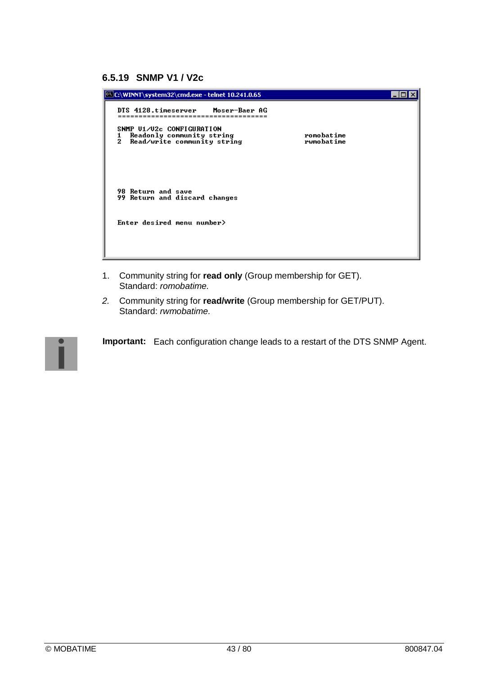| C:\WINNT\system32\cmd.exe - telnet 10.241.0.65                                           |                          |  |
|------------------------------------------------------------------------------------------|--------------------------|--|
| DTS 4128.timeserver Moser-Baer AG                                                        |                          |  |
| SNMP U1/U2c CONFIGURATION                                                                |                          |  |
| Readonly community string<br>1<br>2<br>Read/write community string                       | romobatime<br>rwmobatime |  |
| <b>98 Return and save</b><br>99 Return and discard changes<br>Enter desired menu number> |                          |  |

- 1. Community string for **read only** (Group membership for GET). Standard: *romobatime.*
- *2.* Community string for **read/write** (Group membership for GET/PUT). Standard: *rwmobatime.*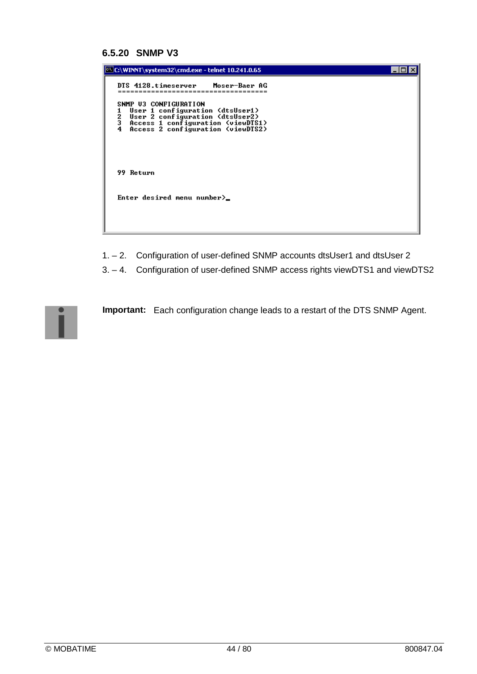#### **6.5.20 SNMP V3**

| C:\WINNT\system32\cmd.exe - telnet 10.241.0.65                                                                                                                                       |  |
|--------------------------------------------------------------------------------------------------------------------------------------------------------------------------------------|--|
| DTS 4128.timeserver Moser-Baer AG                                                                                                                                                    |  |
| SNMP U3 CONFIGURATION<br>User 1 configuration (dtsUser1)<br>2<br>3<br>User 2 configuration (dtsUser2)<br>Access 1 configuration (viewDTS1)<br>Access 2 configuration (viewDTS2)<br>4 |  |
| 99 Return                                                                                                                                                                            |  |
| Enter desired menu number $\geq$                                                                                                                                                     |  |
|                                                                                                                                                                                      |  |

1. – 2. Configuration of user-defined SNMP accounts dtsUser1 and dtsUser 2

3. – 4. Configuration of user-defined SNMP access rights viewDTS1 and viewDTS2

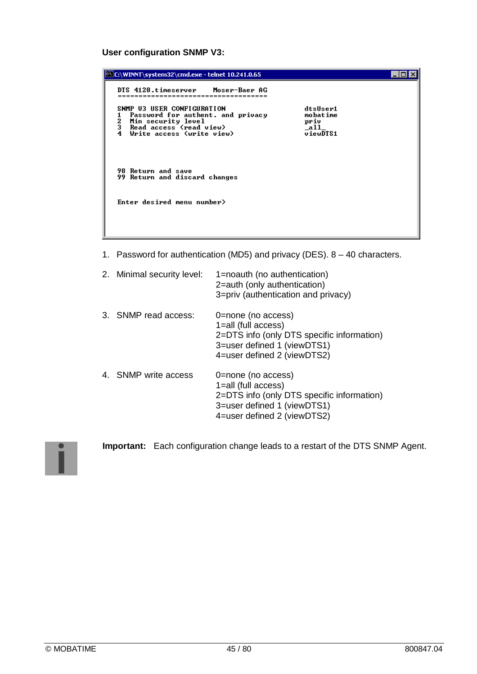## **User configuration SNMP V3:**

| <b>EX C:\WINNT\system32\cmd.exe - telnet 10.241.0.65</b>                                                                                                                 |                                                                   |  |
|--------------------------------------------------------------------------------------------------------------------------------------------------------------------------|-------------------------------------------------------------------|--|
| DTS 4128.timeserver Moser-Baer AG                                                                                                                                        |                                                                   |  |
| SNMP U3 USER CONFIGURATION<br>Password for authent. and privacy<br>1<br>$\frac{2}{3}$<br>Min security level<br>Read access (read view)<br>Write access (write view)<br>4 | dtsUser1<br>mobatime<br>priv<br>$\_all$<br>$\overline{u}$ iewDTS1 |  |
| <b>98 Return and save</b><br>99 Return and discard changes                                                                                                               |                                                                   |  |
| Enter desired menu number>                                                                                                                                               |                                                                   |  |

1. Password for authentication (MD5) and privacy (DES). 8 – 40 characters.

| 2. Minimal security level: | 1=noauth (no authentication)<br>2=auth (only authentication)<br>3=priv (authentication and privacy)                                                   |
|----------------------------|-------------------------------------------------------------------------------------------------------------------------------------------------------|
| 3. SNMP read access:       | 0=none (no access)<br>1=all (full access)<br>2=DTS info (only DTS specific information)<br>3=user defined 1 (viewDTS1)<br>4=user defined 2 (viewDTS2) |
| 4. SNMP write access       | 0=none (no access)<br>1=all (full access)<br>2=DTS info (only DTS specific information)<br>3=user defined 1 (viewDTS1)<br>4=user defined 2 (viewDTS2) |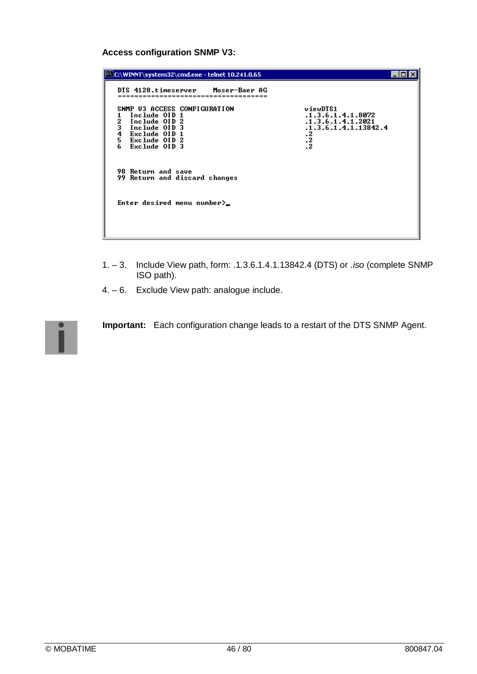### **Access configuration SNMP V3:**

| C:\WINNT\system32\cmd.exe - telnet 10.241.0.65                                                                                                              |                                                                                                               |
|-------------------------------------------------------------------------------------------------------------------------------------------------------------|---------------------------------------------------------------------------------------------------------------|
| DTS 4128.timeserver Moser-Baer AG                                                                                                                           |                                                                                                               |
| SNMP U3 ACCESS CONFIGURATION<br>Include OID 1<br>2<br>3<br>4<br>5<br>6<br>Include OID 2<br>Include OID 3<br>Exclude OID 1<br>Exclude OID 2<br>Exclude OID 3 | viewDTS1<br>.1.3.6.1.4.1.8072<br>.1.3.6.1.4.1.2021<br>.1.3.6.1.4.1.13842.4<br>$\cdot^2$<br>$\cdot$<br>$\cdot$ |
| <b>98 Return and save</b><br>99 Return and discard changes                                                                                                  |                                                                                                               |
| Enter desired menu number $\rangle$                                                                                                                         |                                                                                                               |

- 1. 3. Include View path, form: .1.3.6.1.4.1.13842.4 (DTS) or *.iso* (complete SNMP ISO path).
- 4. 6. Exclude View path: analogue include.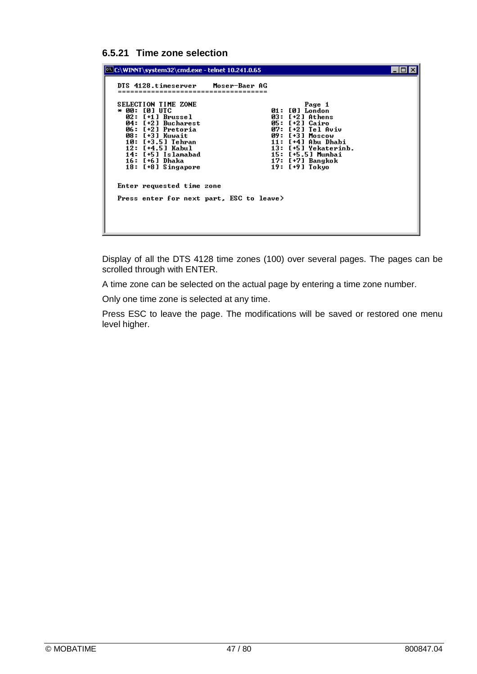### **6.5.21 Time zone selection**

| C:\WINNT\system32\cmd.exe - telnet 10.241.0.65                                                                                                                                         |                                    |                                                                                                                     |  |
|----------------------------------------------------------------------------------------------------------------------------------------------------------------------------------------|------------------------------------|---------------------------------------------------------------------------------------------------------------------|--|
| DTS 4128.timeserver<br>SELECTION TIME ZONE<br>* 00: [0] UTC<br>02: [+1] Brussel<br>04: [+2] Bucharest<br>06: [+2] Pretoria<br>08: [+3] Kuwait<br>10: [+3.5] Tehran<br>12: [+4.5] Kabul | Moser-Baer AG<br>Й7:<br>11:<br>13: | Page 1<br>01: [0] London<br>03: [+2] Athens<br>05: [+2] Cairo<br>[+2] Tel Aviv<br>09: [+3] Moscow<br>[+4] Abu Dhabi |  |
| 14: [+5] Islamabad<br>16: [+6] Dhaka<br>18: [+8] Singapore                                                                                                                             |                                    | [+5] Yekaterinb.<br>15: [+5.5] Mumbai<br>17: [+7] Bangkok<br>19: [+9] Tokyo                                         |  |
| Enter requested time zone<br>Press enter for next part, ESC to leave>                                                                                                                  |                                    |                                                                                                                     |  |
|                                                                                                                                                                                        |                                    |                                                                                                                     |  |

Display of all the DTS 4128 time zones (100) over several pages. The pages can be scrolled through with ENTER.

A time zone can be selected on the actual page by entering a time zone number.

Only one time zone is selected at any time.

Press ESC to leave the page. The modifications will be saved or restored one menu level higher.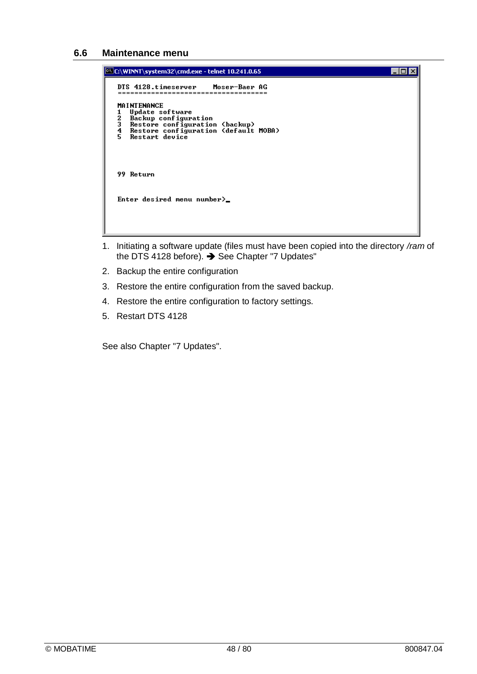#### **6.6 Maintenance menu**

```
\Boxo\boxtimesC:\WINNT\system32\cmd.exe - telnet 10.241.0.65
 DTS 4128.timeserver
                                            Moser-Baer AG
                     -------------------<br>-----------------
 MAINTENANCE
    HINIENHNGE<br>Update software<br>Backup configuration<br>Restore configuration (backup)<br>Restore configuration (default MOBA)<br>Restart device
 \frac{1}{2}\frac{5}{4}ś
 99 Return
 Enter desired menu number>_
```
- 1. Initiating a software update (files must have been copied into the directory */ram* of the DTS 4128 before). → See Chapter "7 Updates"
- 2. Backup the entire configuration
- 3. Restore the entire configuration from the saved backup.
- 4. Restore the entire configuration to factory settings.
- 5. Restart DTS 4128

See also Chapter "7 Updates".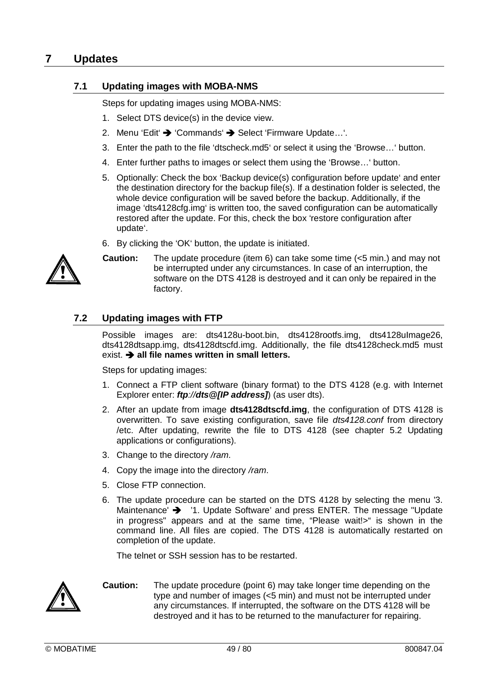## **7 Updates**

## **7.1 Updating images with MOBA-NMS**

Steps for updating images using MOBA-NMS:

- 1. Select DTS device(s) in the device view.
- 2. Menu 'Edit' → 'Commands' → Select 'Firmware Update...'.
- 3. Enter the path to the file 'dtscheck.md5' or select it using the 'Browse…' button.
- 4. Enter further paths to images or select them using the 'Browse…' button.
- 5. Optionally: Check the box 'Backup device(s) configuration before update' and enter the destination directory for the backup file(s). If a destination folder is selected, the whole device configuration will be saved before the backup. Additionally, if the image 'dts4128cfg.img' is written too, the saved configuration can be automatically restored after the update. For this, check the box 'restore configuration after update'.
- 6. By clicking the 'OK' button, the update is initiated.



**Caution:** The update procedure (item 6) can take some time (<5 min.) and may not be interrupted under any circumstances. In case of an interruption, the software on the DTS 4128 is destroyed and it can only be repaired in the factory.

## **7.2 Updating images with FTP**

Possible images are: dts4128u-boot.bin, dts4128rootfs.img, dts4128uImage26, dts4128dtsapp.img, dts4128dtscfd.img. Additionally, the file dts4128check.md5 must exist.  $\rightarrow$  all file names written in small letters.

Steps for updating images:

- 1. Connect a FTP client software (binary format) to the DTS 4128 (e.g. with Internet Explorer enter: *ftp://dts@[IP address]*) (as user dts).
- 2. After an update from image **dts4128dtscfd.img**, the configuration of DTS 4128 is overwritten. To save existing configuration, save file *dts4128.conf* from directory /etc. After updating, rewrite the file to DTS 4128 (see chapter 5.2 Updating applications or configurations).
- 3. Change to the directory */ram*.
- 4. Copy the image into the directory */ram*.
- 5. Close FTP connection.
- 6. The update procedure can be started on the DTS 4128 by selecting the menu '3. Maintenance'  $\rightarrow$  '1. Update Software' and press ENTER. The message "Update" in progress" appears and at the same time, "Please wait!>" is shown in the command line. All files are copied. The DTS 4128 is automatically restarted on completion of the update.

The telnet or SSH session has to be restarted.



**Caution:** The update procedure (point 6) may take longer time depending on the type and number of images (<5 min) and must not be interrupted under any circumstances. If interrupted, the software on the DTS 4128 will be destroyed and it has to be returned to the manufacturer for repairing.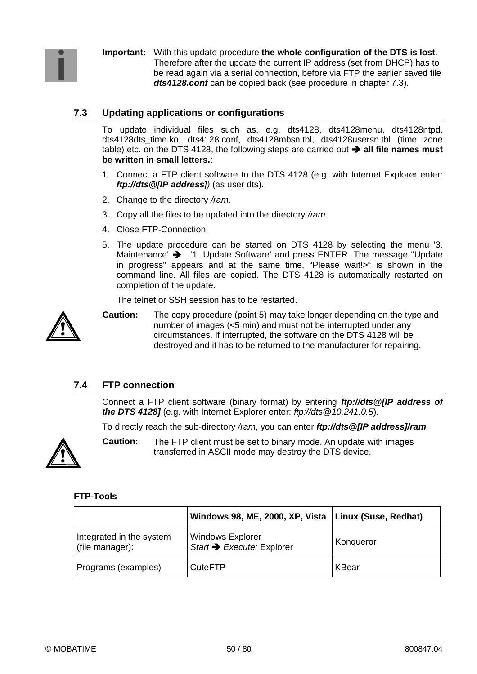**Important:** With this update procedure **the whole configuration of the DTS is lost**. Therefore after the update the current IP address (set from DHCP) has to be read again via a serial connection, before via FTP the earlier saved file *dts4128.conf* can be copied back (see procedure in chapter 7.3).

## **7.3 Updating applications or configurations**

To update individual files such as, e.g. dts4128, dts4128menu, dts4128ntpd, dts4128dts\_time.ko, dts4128.conf, dts4128mbsn.tbl, dts4128usersn.tbl (time zone table) etc. on the DTS 4128, the following steps are carried out  $\rightarrow$  all file names must **be written in small letters.**:

- 1. Connect a FTP client software to the DTS 4128 (e.g. with Internet Explorer enter: *ftp://dts@[IP address])* (as user dts).
- 2. Change to the directory */ram*.
- 3. Copy all the files to be updated into the directory */ram*.
- 4. Close FTP-Connection.
- 5. The update procedure can be started on DTS 4128 by selecting the menu '3. Maintenance'  $\rightarrow$  '1. Update Software' and press ENTER. The message "Update" in progress" appears and at the same time, "Please wait!>" is shown in the command line. All files are copied. The DTS 4128 is automatically restarted on completion of the update.

The telnet or SSH session has to be restarted.



**Caution:** The copy procedure (point 5) may take longer depending on the type and number of images (<5 min) and must not be interrupted under any circumstances. If interrupted, the software on the DTS 4128 will be destroyed and it has to be returned to the manufacturer for repairing.

## **7.4 FTP connection**

Connect a FTP client software (binary format) by entering *ftp://dts@[IP address of the DTS 4128]* (e.g. with Internet Explorer enter: *ftp://dts@10.241.0.5*).

To directly reach the sub-directory */ram*, you can enter *ftp://dts@[IP address]/ram.*



**Caution:** The FTP client must be set to binary mode. An update with images transferred in ASCII mode may destroy the DTS device.

### **FTP-Tools**

|                                             | Windows 98, ME, 2000, XP, Vista   Linux (Suse, Redhat) |           |
|---------------------------------------------|--------------------------------------------------------|-----------|
| Integrated in the system<br>(file manager): | <b>Windows Explorer</b><br>Start → Execute: Explorer   | Konqueror |
| Programs (examples)                         | <b>CuteFTP</b>                                         | KBear     |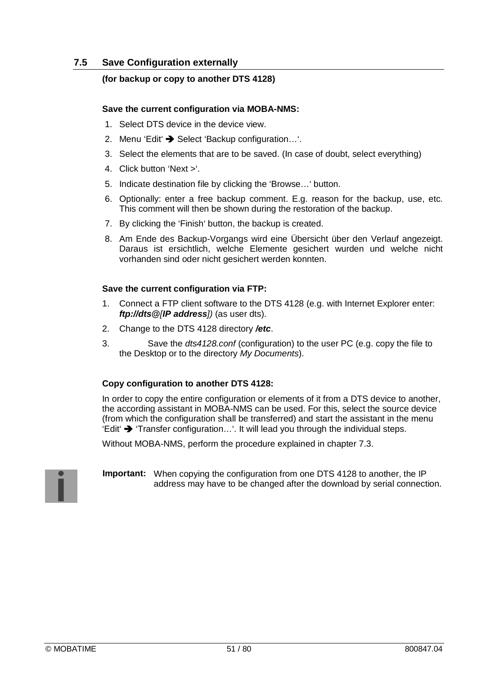## **7.5 Save Configuration externally**

### **(for backup or copy to another DTS 4128)**

#### **Save the current configuration via MOBA-NMS:**

- 1. Select DTS device in the device view.
- 2. Menu 'Edit' → Select 'Backup configuration...'.
- 3. Select the elements that are to be saved. (In case of doubt, select everything)
- 4. Click button 'Next >'.
- 5. Indicate destination file by clicking the 'Browse…' button.
- 6. Optionally: enter a free backup comment. E.g. reason for the backup, use, etc. This comment will then be shown during the restoration of the backup.
- 7. By clicking the 'Finish' button, the backup is created.
- 8. Am Ende des Backup-Vorgangs wird eine Übersicht über den Verlauf angezeigt. Daraus ist ersichtlich, welche Elemente gesichert wurden und welche nicht vorhanden sind oder nicht gesichert werden konnten.

#### **Save the current configuration via FTP:**

- 1. Connect a FTP client software to the DTS 4128 (e.g. with Internet Explorer enter: *ftp://dts@[IP address])* (as user dts).
- 2. Change to the DTS 4128 directory */etc*.
- 3. Save the *dts4128.conf* (configuration) to the user PC (e.g. copy the file to the Desktop or to the directory *My Documents*).

### **Copy configuration to another DTS 4128:**

In order to copy the entire configuration or elements of it from a DTS device to another, the according assistant in MOBA-NMS can be used. For this, select the source device (from which the configuration shall be transferred) and start the assistant in the menu 'Edit'  $\rightarrow$  'Transfer configuration...'. It will lead you through the individual steps.

Without MOBA-NMS, perform the procedure explained in chapter 7.3.

**Important:** When copying the configuration from one DTS 4128 to another, the IP address may have to be changed after the download by serial connection.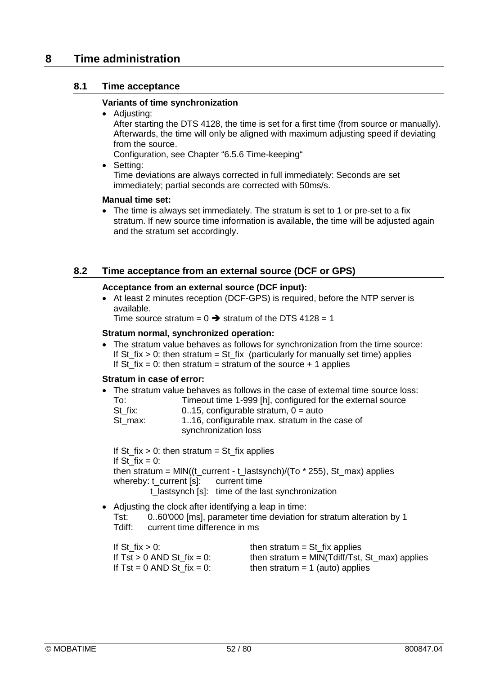## **8 Time administration**

## **8.1 Time acceptance**

#### **Variants of time synchronization**

• Adjusting:

After starting the DTS 4128, the time is set for a first time (from source or manually). Afterwards, the time will only be aligned with maximum adjusting speed if deviating from the source.

Configuration, see Chapter "6.5.6 Time-keeping"

• Setting:

Time deviations are always corrected in full immediately: Seconds are set immediately; partial seconds are corrected with 50ms/s.

#### **Manual time set:**

• The time is always set immediately. The stratum is set to 1 or pre-set to a fix stratum. If new source time information is available, the time will be adjusted again and the stratum set accordingly.

## **8.2 Time acceptance from an external source (DCF or GPS)**

#### **Acceptance from an external source (DCF input):**

• At least 2 minutes reception (DCF-GPS) is required, before the NTP server is available.

Time source stratum =  $0 \rightarrow$  stratum of the DTS 4128 = 1

#### **Stratum normal, synchronized operation:**

 The stratum value behaves as follows for synchronization from the time source: If St\_fix  $> 0$ : then stratum = St\_fix (particularly for manually set time) applies If St  $fix = 0$ : then stratum = stratum of the source + 1 applies

#### **Stratum in case of error:**

• The stratum value behaves as follows in the case of external time source loss:<br> $T_{\text{C}}$ :  $T_{\text{C}}$   $T_{\text{C}}$   $T_{\text{C}}$   $T_{\text{C}}$   $T_{\text{C}}$   $T_{\text{C}}$   $T_{\text{C}}$   $T_{\text{C}}$   $T_{\text{C}}$   $T_{\text{C}}$   $T_{\text{C}}$   $T_{\text{C}}$   $T_{\text{C}}$ 

| To:     | Timeout time 1-999 [h], configured for the external source |
|---------|------------------------------------------------------------|
| St fix: | 015, configurable stratum, $0 =$ auto                      |
| St max: | 1.16, configurable max. stratum in the case of             |
|         | synchronization loss                                       |

If St  $fix > 0$ : then stratum = St  $fix$  applies If St  $fix = 0$ : then stratum = MIN((t\_current - t\_lastsynch)/(To  $*$  255), St\_max) applies whereby: t\_current [s]: current time t lastsynch [s]: time of the last synchronization

 Adjusting the clock after identifying a leap in time: Tst: 0..60'000 [ms], parameter time deviation for stratum alteration by 1 Tdiff: current time difference in ms

| If St $fix > 0$ :               | then stratum = $St$ fix applies                 |
|---------------------------------|-------------------------------------------------|
| If $Tst > 0$ AND St $fix = 0$ : | then stratum = $MIN(Tdiff/Tst, St_max)$ applies |
| If $Tst = 0$ AND St $fix = 0$ : | then stratum $= 1$ (auto) applies               |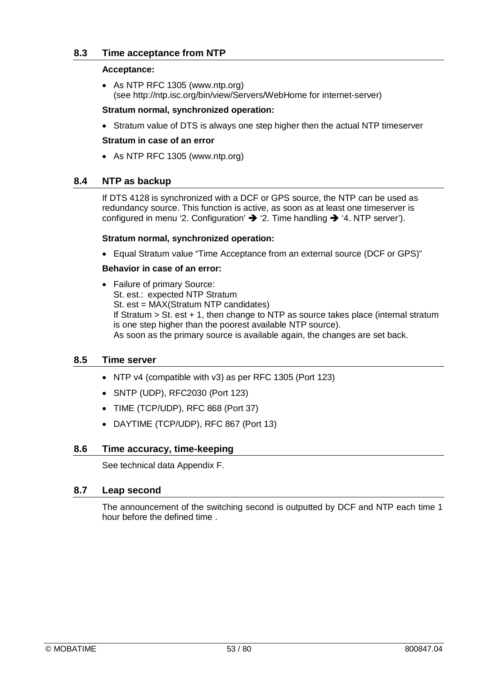## **8.3 Time acceptance from NTP**

#### **Acceptance:**

 As NTP RFC 1305 (www.ntp.org) (see http://ntp.isc.org/bin/view/Servers/WebHome for internet-server)

#### **Stratum normal, synchronized operation:**

• Stratum value of DTS is always one step higher then the actual NTP timeserver

#### **Stratum in case of an error**

As NTP RFC 1305 (www.ntp.org)

### **8.4 NTP as backup**

If DTS 4128 is synchronized with a DCF or GPS source, the NTP can be used as redundancy source. This function is active, as soon as at least one timeserver is configured in menu '2. Configuration'  $\rightarrow$  '2. Time handling  $\rightarrow$  '4. NTP server').

#### **Stratum normal, synchronized operation:**

Equal Stratum value "Time Acceptance from an external source (DCF or GPS)"

#### **Behavior in case of an error:**

• Failure of primary Source: St. est.: expected NTP Stratum St. est = MAX(Stratum NTP candidates) If Stratum > St. est + 1, then change to NTP as source takes place (internal stratum is one step higher than the poorest available NTP source). As soon as the primary source is available again, the changes are set back.

### **8.5 Time server**

- NTP v4 (compatible with v3) as per RFC 1305 (Port 123)
- SNTP (UDP), RFC2030 (Port 123)
- TIME (TCP/UDP), RFC 868 (Port 37)
- DAYTIME (TCP/UDP), RFC 867 (Port 13)

### **8.6 Time accuracy, time-keeping**

See technical data Appendix F.

### **8.7 Leap second**

The announcement of the switching second is outputted by DCF and NTP each time 1 hour before the defined time .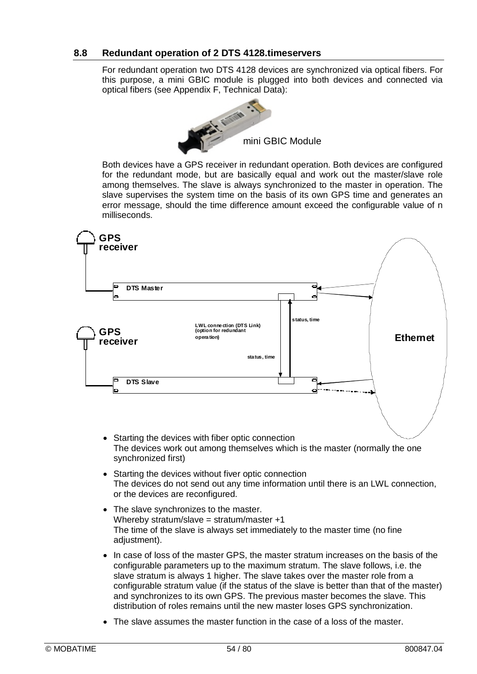## **8.8 Redundant operation of 2 DTS 4128.timeservers**

For redundant operation two DTS 4128 devices are synchronized via optical fibers. For this purpose, a mini GBIC module is plugged into both devices and connected via optical fibers (see Appendix F, Technical Data):



Both devices have a GPS receiver in redundant operation. Both devices are configured for the redundant mode, but are basically equal and work out the master/slave role among themselves. The slave is always synchronized to the master in operation. The slave supervises the system time on the basis of its own GPS time and generates an error message, should the time difference amount exceed the configurable value of n milliseconds.



- Starting the devices with fiber optic connection The devices work out among themselves which is the master (normally the one synchronized first)
- Starting the devices without fiver optic connection The devices do not send out any time information until there is an LWL connection, or the devices are reconfigured.
- The slave synchronizes to the master. Whereby stratum/slave = stratum/master  $+1$ The time of the slave is always set immediately to the master time (no fine adjustment).
- In case of loss of the master GPS, the master stratum increases on the basis of the configurable parameters up to the maximum stratum. The slave follows, i.e. the slave stratum is always 1 higher. The slave takes over the master role from a configurable stratum value (if the status of the slave is better than that of the master) and synchronizes to its own GPS. The previous master becomes the slave. This distribution of roles remains until the new master loses GPS synchronization.
- The slave assumes the master function in the case of a loss of the master.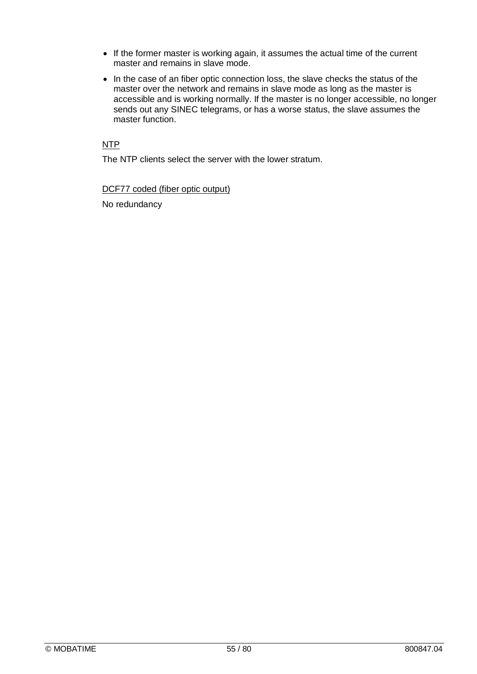- If the former master is working again, it assumes the actual time of the current master and remains in slave mode.
- In the case of an fiber optic connection loss, the slave checks the status of the master over the network and remains in slave mode as long as the master is accessible and is working normally. If the master is no longer accessible, no longer sends out any SINEC telegrams, or has a worse status, the slave assumes the master function.

#### NTP

The NTP clients select the server with the lower stratum.

DCF77 coded (fiber optic output)

No redundancy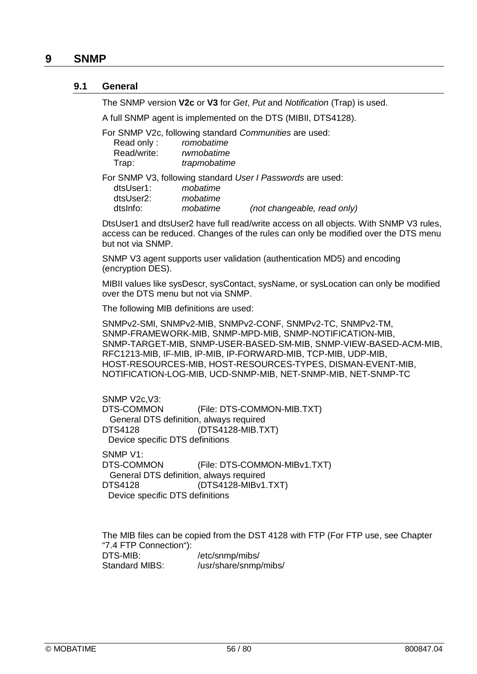#### **9.1 General**

The SNMP version **V2c** or **V3** for *Get*, *Put* and *Notification* (Trap) is used.

A full SNMP agent is implemented on the DTS (MIBII, DTS4128).

For SNMP V2c, following standard *Communities* are used:

| Read only:  | romobatime   |
|-------------|--------------|
| Read/write: | rwmobatime   |
| Trap:       | trapmobatime |

For SNMP V3, following standard *User I Passwords* are used:

| dtsUser1: | mobatime |                             |
|-----------|----------|-----------------------------|
| dtsUser2: | mobatime |                             |
| dtslnfo:  | mobatime | (not changeable, read only) |

DtsUser1 and dtsUser2 have full read/write access on all objects. With SNMP V3 rules, access can be reduced. Changes of the rules can only be modified over the DTS menu but not via SNMP.

SNMP V3 agent supports user validation (authentication MD5) and encoding (encryption DES).

MIBII values like sysDescr, sysContact, sysName, or sysLocation can only be modified over the DTS menu but not via SNMP.

The following MIB definitions are used:

SNMPv2-SMI, SNMPv2-MIB, SNMPv2-CONF, SNMPv2-TC, SNMPv2-TM, SNMP-FRAMEWORK-MIB, SNMP-MPD-MIB, SNMP-NOTIFICATION-MIB, SNMP-TARGET-MIB, SNMP-USER-BASED-SM-MIB, SNMP-VIEW-BASED-ACM-MIB, RFC1213-MIB, IF-MIB, IP-MIB, IP-FORWARD-MIB, TCP-MIB, UDP-MIB, HOST-RESOURCES-MIB, HOST-RESOURCES-TYPES, DISMAN-EVENT-MIB, NOTIFICATION-LOG-MIB, UCD-SNMP-MIB, NET-SNMP-MIB, NET-SNMP-TC

SNMP V2c,V3: DTS-COMMON (File: DTS-COMMON-MIB.TXT) General DTS definition, always required DTS4128 (DTS4128-MIB.TXT) Device specific DTS definitions SNMP V1:

DTS-COMMON (File: DTS-COMMON-MIBv1.TXT) General DTS definition, always required DTS4128 (DTS4128-MIBv1.TXT) Device specific DTS definitions

The MIB files can be copied from the DST 4128 with FTP (For FTP use, see Chapter "7.4 FTP Connection"): DTS-MIB: //etc/snmp/mibs/<br>Standard MIBS: //usr/share/snmp /usr/share/snmp/mibs/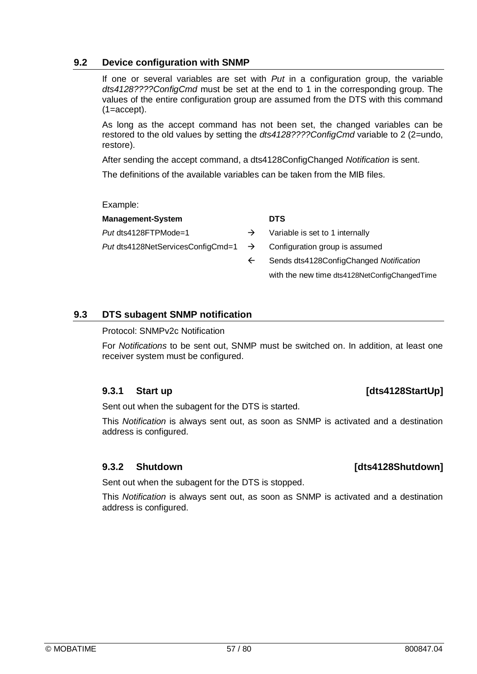## **9.2 Device configuration with SNMP**

If one or several variables are set with *Put* in a configuration group, the variable *dts4128????ConfigCmd* must be set at the end to 1 in the corresponding group. The values of the entire configuration group are assumed from the DTS with this command (1=accept).

As long as the accept command has not been set, the changed variables can be restored to the old values by setting the *dts4128????ConfigCmd* variable to 2 (2=undo, restore).

After sending the accept command, a dts4128ConfigChanged *Notification* is sent.

The definitions of the available variables can be taken from the MIB files.

Example:

| <b>Management-System</b>                                                       |               | <b>DTS</b>                                                  |  |
|--------------------------------------------------------------------------------|---------------|-------------------------------------------------------------|--|
| Put dts4128FTPMode=1                                                           | $\rightarrow$ | Variable is set to 1 internally                             |  |
| Put dts4128NetServicesConfigCmd=1 $\rightarrow$ Configuration group is assumed |               |                                                             |  |
|                                                                                | $\leftarrow$  | Sends dts4128ConfigChanged Notification                     |  |
|                                                                                |               | with the new time $dt = 4400 \text{MHz}$ entiroperated Time |  |

## **9.3 DTS subagent SNMP notification**

### Protocol: SNMPv2c Notification

For *Notifications* to be sent out, SNMP must be switched on. In addition, at least one receiver system must be configured.

## **9.3.1 Start up 19.3.1 Start Up 19.3.1 Start Up**

Sent out when the subagent for the DTS is started.

This *Notification* is always sent out, as soon as SNMP is activated and a destination address is configured.

## **9.3.2 Shutdown [dts4128Shutdown]**

Sent out when the subagent for the DTS is stopped.

This *Notification* is always sent out, as soon as SNMP is activated and a destination address is configured.

with the new time dts4128NetConfigChangedTime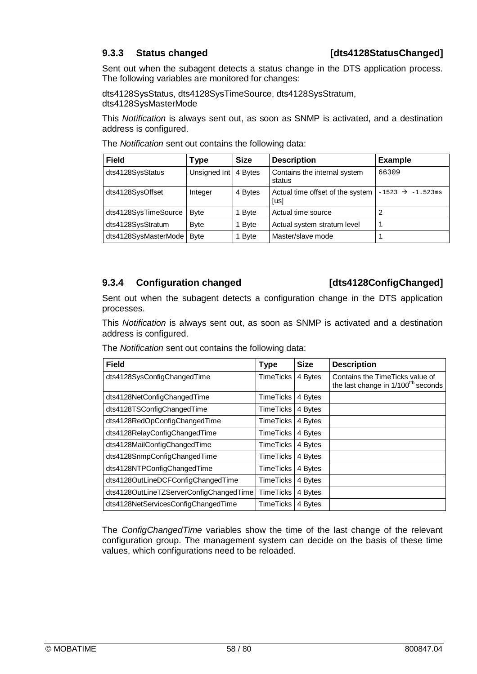Sent out when the subagent detects a status change in the DTS application process. The following variables are monitored for changes:

dts4128SysStatus, dts4128SysTimeSource, dts4128SysStratum, dts4128SysMasterMode

This *Notification* is always sent out, as soon as SNMP is activated, and a destination address is configured.

| <b>Field</b>         | Type         | <b>Size</b> | <b>Description</b>                       | <b>Example</b>                |
|----------------------|--------------|-------------|------------------------------------------|-------------------------------|
| dts4128SysStatus     | Unsigned Int | 4 Bytes     | Contains the internal system<br>status   | 66309                         |
| dts4128SysOffset     | Integer      | 4 Bytes     | Actual time offset of the system<br>[us] | $-1523 \rightarrow -1.523$ ms |
| dts4128SysTimeSource | <b>Byte</b>  | 1 Byte      | Actual time source                       |                               |
| dts4128SysStratum    | <b>Byte</b>  | 1 Byte      | Actual system stratum level              |                               |
| dts4128SysMasterMode | <b>Byte</b>  | 1 Byte      | Master/slave mode                        |                               |

The *Notification* sent out contains the following data:

## **9.3.4 Configuration changed [dts4128ConfigChanged]**

Sent out when the subagent detects a configuration change in the DTS application processes.

This *Notification* is always sent out, as soon as SNMP is activated and a destination address is configured.

| The Notification sent out contains the following data: |  |
|--------------------------------------------------------|--|
|                                                        |  |

| <b>Field</b>                            | <b>Type</b>      | <b>Size</b> | <b>Description</b>                                                                 |
|-----------------------------------------|------------------|-------------|------------------------------------------------------------------------------------|
| dts4128SysConfigChangedTime             | <b>TimeTicks</b> | 4 Bytes     | Contains the TimeTicks value of<br>the last change in 1/100 <sup>tth</sup> seconds |
| dts4128NetConfigChangedTime             | <b>TimeTicks</b> | 4 Bytes     |                                                                                    |
| dts4128TSConfigChangedTime              | <b>TimeTicks</b> | 4 Bytes     |                                                                                    |
| dts4128RedOpConfigChangedTime           | <b>TimeTicks</b> | 4 Bytes     |                                                                                    |
| dts4128RelayConfigChangedTime           | <b>TimeTicks</b> | 4 Bytes     |                                                                                    |
| dts4128MailConfigChangedTime            | <b>TimeTicks</b> | 4 Bytes     |                                                                                    |
| dts4128SnmpConfigChangedTime            | <b>TimeTicks</b> | 4 Bytes     |                                                                                    |
| dts4128NTPConfigChangedTime             | <b>TimeTicks</b> | 4 Bytes     |                                                                                    |
| dts4128OutLineDCFConfigChangedTime      | <b>TimeTicks</b> | 4 Bytes     |                                                                                    |
| dts4128OutLineTZServerConfigChangedTime | <b>TimeTicks</b> | 4 Bytes     |                                                                                    |
| dts4128NetServicesConfigChangedTime     | <b>TimeTicks</b> | 4 Bytes     |                                                                                    |

The *ConfigChangedTime* variables show the time of the last change of the relevant configuration group. The management system can decide on the basis of these time values, which configurations need to be reloaded.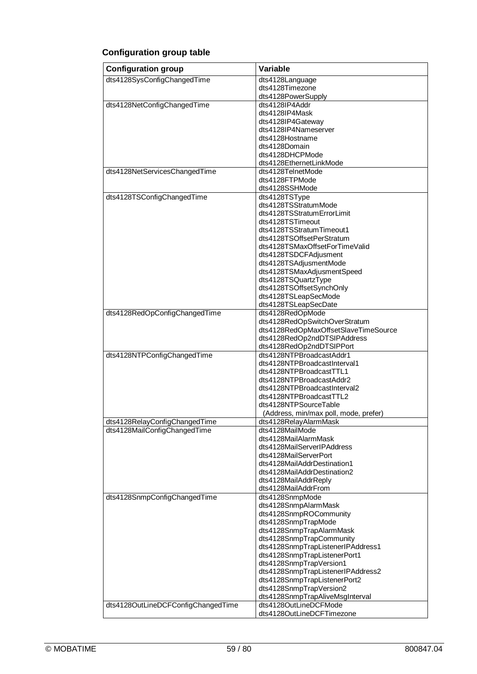# **Configuration group table**

| <b>Configuration group</b>         | Variable                                                            |
|------------------------------------|---------------------------------------------------------------------|
| dts4128SysConfigChangedTime        | dts4128Language                                                     |
|                                    | dts4128Timezone                                                     |
| dts4128NetConfigChangedTime        | dts4128PowerSupply<br>dts4128IP4Addr                                |
|                                    | dts4128IP4Mask                                                      |
|                                    | dts4128IP4Gateway                                                   |
|                                    | dts4128IP4Nameserver                                                |
|                                    | dts4128Hostname                                                     |
|                                    | dts4128Domain                                                       |
|                                    | dts4128DHCPMode                                                     |
|                                    | dts4128EthernetLinkMode                                             |
| dts4128NetServicesChangedTime      | dts4128TelnetMode<br>dts4128FTPMode                                 |
|                                    | dts4128SSHMode                                                      |
| dts4128TSConfigChangedTime         | dts4128TSType                                                       |
|                                    | dts4128TSStratumMode                                                |
|                                    | dts4128TSStratumErrorLimit                                          |
|                                    | dts4128TSTimeout                                                    |
|                                    | dts4128TSStratumTimeout1                                            |
|                                    | dts4128TSOffsetPerStratum                                           |
|                                    | dts4128TSMaxOffsetForTimeValid                                      |
|                                    | dts4128TSDCFAdjusment<br>dts4128TSAdjusmentMode                     |
|                                    | dts4128TSMaxAdjusmentSpeed                                          |
|                                    | dts4128TSQuartzType                                                 |
|                                    | dts4128TSOffsetSynchOnly                                            |
|                                    | dts4128TSLeapSecMode                                                |
|                                    | dts4128TSLeapSecDate                                                |
| dts4128RedOpConfigChangedTime      | dts4128RedOpMode                                                    |
|                                    | dts4128RedOpSwitchOverStratum                                       |
|                                    | dts4128RedOpMaxOffsetSlaveTimeSource<br>dts4128RedOp2ndDTSIPAddress |
|                                    | dts4128RedOp2ndDTSIPPort                                            |
| dts4128NTPConfigChangedTime        | dts4128NTPBroadcastAddr1                                            |
|                                    | dts4128NTPBroadcastInterval1                                        |
|                                    | dts4128NTPBroadcastTTL1                                             |
|                                    | dts4128NTPBroadcastAddr2                                            |
|                                    | dts4128NTPBroadcastInterval2                                        |
|                                    | dts4128NTPBroadcastTTL2<br>dts4128NTPSourceTable                    |
|                                    | (Address, min/max poll, mode, prefer)                               |
| dts4128RelayConfigChanged I ime    | dts4128RelayAlarmMask                                               |
| dts4128MailConfigChangedTime       | dts4128MailMode                                                     |
|                                    | dts4128MailAlarmMask                                                |
|                                    | dts4128MailServerIPAddress                                          |
|                                    | dts4128MailServerPort                                               |
|                                    | dts4128MailAddrDestination1                                         |
|                                    | dts4128MailAddrDestination2<br>dts4128MailAddrReply                 |
|                                    | dts4128MailAddrFrom                                                 |
| dts4128SnmpConfigChangedTime       | dts4128SnmpMode                                                     |
|                                    | dts4128SnmpAlarmMask                                                |
|                                    | dts4128SnmpROCommunity                                              |
|                                    | dts4128SnmpTrapMode                                                 |
|                                    | dts4128SnmpTrapAlarmMask                                            |
|                                    | dts4128SnmpTrapCommunity<br>dts4128SnmpTrapListenerIPAddress1       |
|                                    | dts4128SnmpTrapListenerPort1                                        |
|                                    | dts4128SnmpTrapVersion1                                             |
|                                    | dts4128SnmpTrapListenerIPAddress2                                   |
|                                    | dts4128SnmpTrapListenerPort2                                        |
|                                    | dts4128SnmpTrapVersion2                                             |
|                                    | dts4128SnmpTrapAliveMsgInterval                                     |
| dts4128OutLineDCFConfigChangedTime | dts4128OutLineDCFMode                                               |
|                                    | dts4128OutLineDCFTimezone                                           |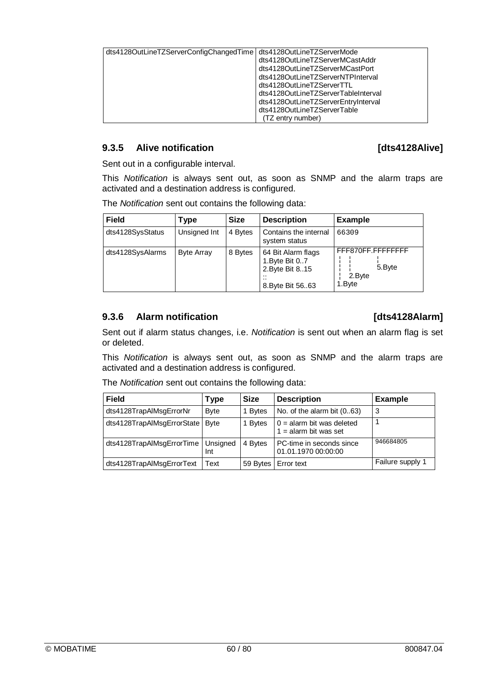| dts4128OutLineTZServerConfigChangedTime dts4128OutLineTZServerMode |                                     |
|--------------------------------------------------------------------|-------------------------------------|
|                                                                    | dts4128OutLineTZServerMCastAddr     |
|                                                                    | dts4128OutLineTZServerMCastPort     |
|                                                                    | dts4128OutLineTZServerNTPInterval   |
|                                                                    | dts4128OutLineTZServerTTL           |
|                                                                    | dts4128OutLineTZServerTableInterval |
|                                                                    | dts4128OutLineTZServerEntryInterval |
|                                                                    | dts4128OutLineTZServerTable         |
|                                                                    | (TZ entry number)                   |

## **9.3.5 Alive notification 19.3.5 Alive notification**

Sent out in a configurable interval.

This *Notification* is always sent out, as soon as SNMP and the alarm traps are activated and a destination address is configured.

| <b>Field</b>     | <b>Type</b>       | <b>Size</b> | <b>Description</b>                                                            | <b>Example</b>                                  |
|------------------|-------------------|-------------|-------------------------------------------------------------------------------|-------------------------------------------------|
| dts4128SysStatus | Unsigned Int      | 4 Bytes     | Contains the internal<br>system status                                        | 66309                                           |
| dts4128SysAlarms | <b>Byte Array</b> | 8 Bytes     | 64 Bit Alarm flags<br>1. Byte Bit 0 7<br>2. Byte Bit 8 15<br>8. Byte Bit 5663 | FFF870FF.FFFFFFFF<br>5.Byte<br>2.Byte<br>1.Bvte |

## **9.3.6 Alarm notification 19.3.6 Alarm notification**

Sent out if alarm status changes, i.e. *Notification* is sent out when an alarm flag is set or deleted.

This *Notification* is always sent out, as soon as SNMP and the alarm traps are activated and a destination address is configured.

|  | The Notification sent out contains the following data: |
|--|--------------------------------------------------------|
|--|--------------------------------------------------------|

| <b>Field</b>                         | Type         | <b>Size</b> | <b>Description</b>                                     | <b>Example</b>   |
|--------------------------------------|--------------|-------------|--------------------------------------------------------|------------------|
| dts4128TrapAlMsgErrorNr              | <b>Byte</b>  | 1 Bytes     | No. of the alarm bit $(063)$                           | -3               |
| dts4128TrapAlMsgErrorState           | <b>B</b> vte | 1 Bytes     | $0 =$ alarm bit was deleted<br>$1 =$ alarm bit was set |                  |
| dts4128TrapAlMsgErrorTime   Unsigned | Int          | 4 Bytes     | PC-time in seconds since<br>01.01.1970 00:00:00        | 946684805        |
| dts4128TrapAlMsgErrorText            | Text         | 59 Bytes    | <b>Error</b> text                                      | Failure supply 1 |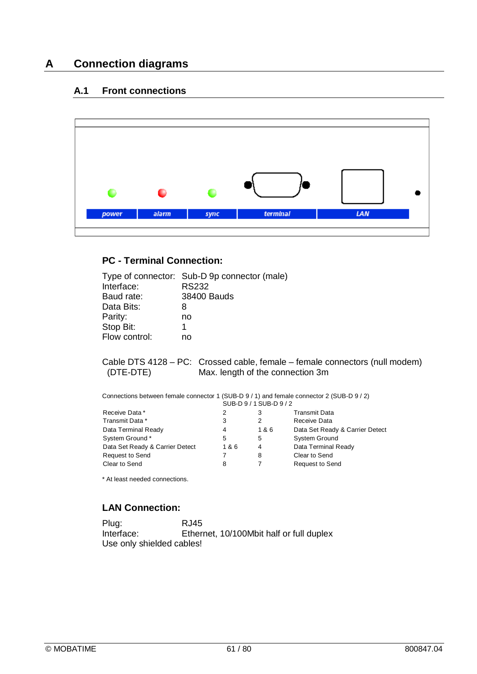# **A Connection diagrams**

## **A.1 Front connections**



## **PC - Terminal Connection:**

| Type of connector: Sub-D 9p connector (male)<br>Interface:<br>Baud rate:<br>Data Bits:<br>Parity:<br>Stop Bit:<br>Flow control: | <b>RS232</b><br>38400 Bauds<br>8<br>no<br>1<br>no |     |                         |                                                                                                                                                                                                              |
|---------------------------------------------------------------------------------------------------------------------------------|---------------------------------------------------|-----|-------------------------|--------------------------------------------------------------------------------------------------------------------------------------------------------------------------------------------------------------|
|                                                                                                                                 |                                                   |     |                         |                                                                                                                                                                                                              |
| (DTE-DTE)                                                                                                                       |                                                   |     | SUB-D 9 / 1 SUB-D 9 / 2 | Cable DTS 4128 - PC: Crossed cable, female - female connectors (null modem)<br>Max. length of the connection 3m<br>Connections between female connector 1 (SUB-D 9 / 1) and female connector 2 (SUB-D 9 / 2) |
| Receive Data *                                                                                                                  |                                                   | 2   | 3                       | <b>Transmit Data</b>                                                                                                                                                                                         |
| Transmit Data *                                                                                                                 |                                                   | 3   | 2                       | Receive Data                                                                                                                                                                                                 |
| Data Terminal Ready                                                                                                             |                                                   | 4   | 1&6                     | Data Set Ready & Carrier Detect                                                                                                                                                                              |
| System Ground*                                                                                                                  |                                                   | 5   | 5                       | <b>System Ground</b>                                                                                                                                                                                         |
| Data Set Ready & Carrier Detect                                                                                                 |                                                   | 1&6 | $\overline{4}$          | Data Terminal Ready                                                                                                                                                                                          |
| <b>Request to Send</b>                                                                                                          |                                                   | 7   | 8                       | Clear to Send                                                                                                                                                                                                |
| Clear to Send                                                                                                                   |                                                   | 8   | $\overline{7}$          | Request to Send                                                                                                                                                                                              |
| * At least needed connections.                                                                                                  |                                                   |     |                         |                                                                                                                                                                                                              |

## **LAN Connection:**

Plug: RJ45<br>Interface: Ether Ethernet, 10/100Mbit half or full duplex Use only shielded cables!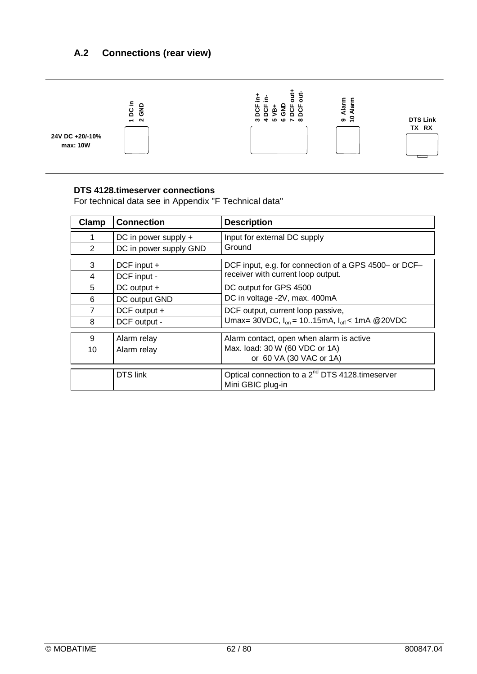

## **DTS 4128.timeserver connections**

For technical data see in Appendix "F Technical data"

| Clamp | <b>Connection</b>      | <b>Description</b>                                                               |  |
|-------|------------------------|----------------------------------------------------------------------------------|--|
|       | DC in power supply +   | Input for external DC supply<br>Ground                                           |  |
| 2     | DC in power supply GND |                                                                                  |  |
| 3     | DCF input +            | DCF input, e.g. for connection of a GPS 4500- or DCF-                            |  |
| 4     | DCF input -            | receiver with current loop output.                                               |  |
| 5     | DC output +            | DC output for GPS 4500<br>DC in voltage -2V, max. 400mA                          |  |
| 6     | DC output GND          |                                                                                  |  |
| 7     | DCF output +           | DCF output, current loop passive,                                                |  |
| 8     | DCF output -           | Umax= 30VDC, $I_{on}$ = 1015mA, $I_{off}$ < 1mA @ 20VDC                          |  |
| 9     | Alarm relay            | Alarm contact, open when alarm is active                                         |  |
| 10    | Alarm relay            | Max. load: 30 W (60 VDC or 1A)                                                   |  |
|       |                        | or 60 VA (30 VAC or 1A)                                                          |  |
|       | <b>DTS</b> link        | Optical connection to a 2 <sup>nd</sup> DTS 4128.timeserver<br>Mini GBIC plug-in |  |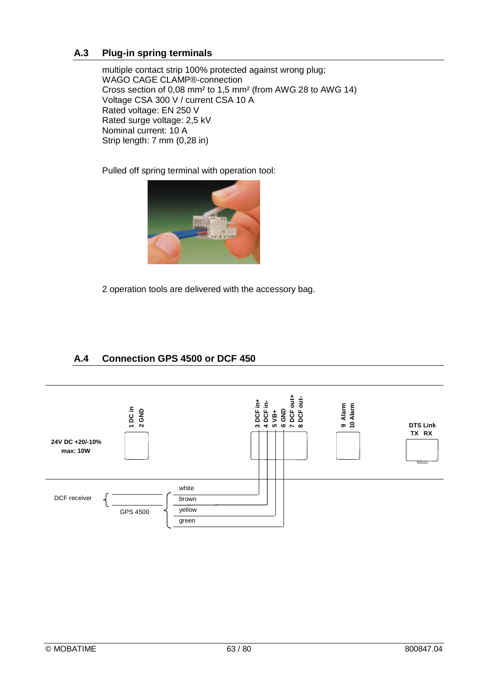## **A.3 Plug-in spring terminals**

multiple contact strip 100% protected against wrong plug; WAGO CAGE CLAMP®-connection Cross section of 0,08 mm² to 1,5 mm² (from AWG 28 to AWG 14) Voltage CSA 300 V / current CSA 10 A Rated voltage: EN 250 V Rated surge voltage: 2,5 kV Nominal current: 10 A Strip length: 7 mm (0,28 in)

Pulled off spring terminal with operation tool:



2 operation tools are delivered with the accessory bag.

## **A.4 Connection GPS 4500 or DCF 450**

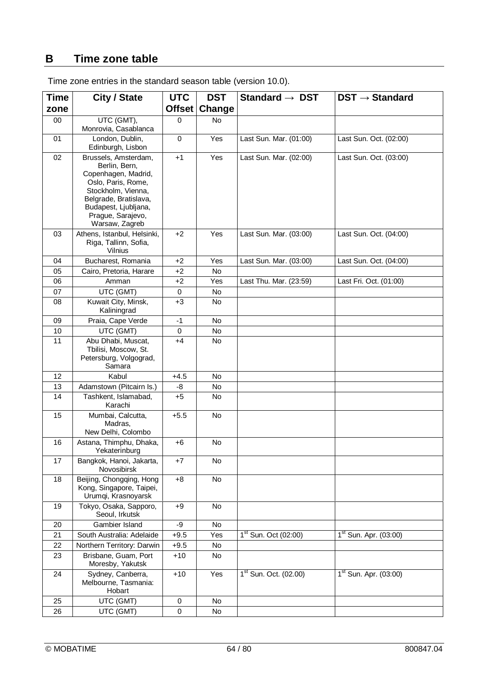## **B Time zone table**

| <b>Time</b> | City / State                                                                                                                                                                                     | <b>UTC</b>  | <b>DST</b> | Standard $\rightarrow$ DST        | $DST \rightarrow Standard$        |
|-------------|--------------------------------------------------------------------------------------------------------------------------------------------------------------------------------------------------|-------------|------------|-----------------------------------|-----------------------------------|
| zone        |                                                                                                                                                                                                  | Offset      | Change     |                                   |                                   |
| $00\,$      | UTC (GMT),                                                                                                                                                                                       | $\Omega$    | No.        |                                   |                                   |
|             | Monrovia, Casablanca                                                                                                                                                                             |             |            |                                   |                                   |
| 01          | London, Dublin,<br>Edinburgh, Lisbon                                                                                                                                                             | $\mathbf 0$ | Yes        | Last Sun. Mar. (01:00)            | Last Sun. Oct. (02:00)            |
| 02          | Brussels, Amsterdam,<br>Berlin, Bern,<br>Copenhagen, Madrid,<br>Oslo, Paris, Rome,<br>Stockholm, Vienna,<br>Belgrade, Bratislava,<br>Budapest, Ljubljana,<br>Prague, Sarajevo,<br>Warsaw, Zagreb | $+1$        | Yes        | Last Sun. Mar. (02:00)            | Last Sun. Oct. (03:00)            |
| 03          | Athens, Istanbul, Helsinki,<br>Riga, Tallinn, Sofia,<br>Vilnius                                                                                                                                  | $+2$        | Yes        | Last Sun. Mar. (03:00)            | Last Sun. Oct. (04:00)            |
| 04          | Bucharest, Romania                                                                                                                                                                               | $+2$        | Yes        | Last Sun. Mar. (03:00)            | Last Sun. Oct. (04:00)            |
| 05          | Cairo, Pretoria, Harare                                                                                                                                                                          | $+2$        | <b>No</b>  |                                   |                                   |
| 06          | Amman                                                                                                                                                                                            | $+2$        | Yes        | Last Thu. Mar. (23:59)            | Last Fri. Oct. (01:00)            |
| 07          | UTC (GMT)                                                                                                                                                                                        | 0           | No.        |                                   |                                   |
| 08          | Kuwait City, Minsk,<br>Kaliningrad                                                                                                                                                               | $+3$        | No         |                                   |                                   |
| 09          | Praia, Cape Verde                                                                                                                                                                                | $-1$        | <b>No</b>  |                                   |                                   |
| 10          | UTC (GMT)                                                                                                                                                                                        | 0           | No         |                                   |                                   |
| 11          | Abu Dhabi, Muscat,<br>Tbilisi, Moscow, St.<br>Petersburg, Volgograd,<br>Samara                                                                                                                   | +4          | <b>No</b>  |                                   |                                   |
| 12          | Kabul                                                                                                                                                                                            | $+4.5$      | <b>No</b>  |                                   |                                   |
| 13          | Adamstown (Pitcairn Is.)                                                                                                                                                                         | -8          | <b>No</b>  |                                   |                                   |
| 14          | Tashkent, Islamabad,<br>Karachi                                                                                                                                                                  | $+5$        | No         |                                   |                                   |
| 15          | Mumbai, Calcutta,<br>Madras,<br>New Delhi, Colombo                                                                                                                                               | $+5.5$      | <b>No</b>  |                                   |                                   |
| 16          | Astana, Thimphu, Dhaka,<br>Yekaterinburg                                                                                                                                                         | $+6$        | No         |                                   |                                   |
| 17          | Bangkok, Hanoi, Jakarta,<br>Novosibirsk                                                                                                                                                          | $+7$        | No         |                                   |                                   |
| 18          | Beijing, Chongqing, Hong<br>Kong, Singapore, Taipei,<br>Urumqi, Krasnoyarsk                                                                                                                      | $+8$        | No         |                                   |                                   |
| 19          | Tokyo, Osaka, Sapporo,<br>Seoul, Irkutsk                                                                                                                                                         | $+9$        | <b>No</b>  |                                   |                                   |
| 20          | Gambier Island                                                                                                                                                                                   | -9          | <b>No</b>  |                                   |                                   |
| 21          | South Australia: Adelaide                                                                                                                                                                        | $+9.5$      | Yes        | $1st$ Sun. Oct (02:00)            | $1st$ Sun. Apr. (03:00)           |
| 22          | Northern Territory: Darwin                                                                                                                                                                       | $+9.5$      | No         |                                   |                                   |
| 23          | Brisbane, Guam, Port<br>Moresby, Yakutsk                                                                                                                                                         | $+10$       | No         |                                   |                                   |
| 24          | Sydney, Canberra,<br>Melbourne, Tasmania:<br>Hobart                                                                                                                                              | $+10$       | Yes        | 1 <sup>st</sup> Sun. Oct. (02.00) | 1 <sup>st</sup> Sun. Apr. (03:00) |
| 25          | UTC (GMT)                                                                                                                                                                                        | $\mathbf 0$ | No         |                                   |                                   |
| 26          | UTC (GMT)                                                                                                                                                                                        | 0           | No         |                                   |                                   |

Time zone entries in the standard season table (version 10.0).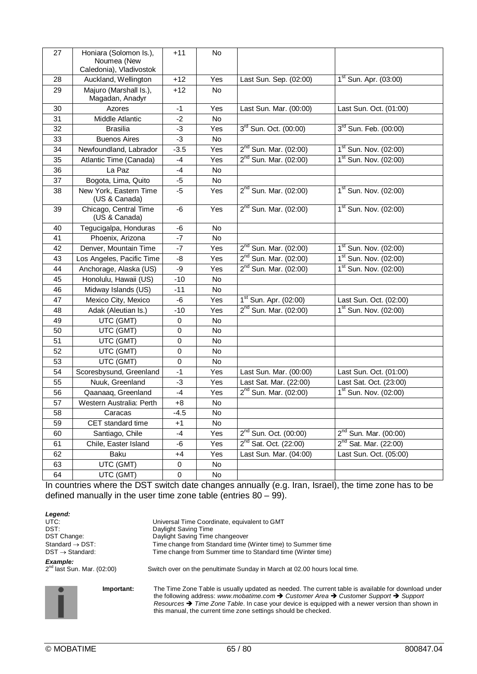| 27 | Honiara (Solomon Is.),<br>Noumea (New<br>Caledonia), Vladivostok | $+11$                                  | No        |                                                                        |                                   |
|----|------------------------------------------------------------------|----------------------------------------|-----------|------------------------------------------------------------------------|-----------------------------------|
| 28 | Auckland, Wellington                                             | $+12$<br>Yes<br>Last Sun. Sep. (02:00) |           | $1st$ Sun. Apr. (03:00)                                                |                                   |
| 29 | Majuro (Marshall Is.),<br>Magadan, Anadyr                        | $+12$                                  | No.       |                                                                        |                                   |
| 30 | Azores                                                           | $-1$                                   | Yes       | Last Sun. Mar. (00:00)                                                 | Last Sun. Oct. (01:00)            |
| 31 | Middle Atlantic                                                  | $-2$                                   | <b>No</b> |                                                                        |                                   |
| 32 | <b>Brasilia</b>                                                  | -3                                     | Yes       | 3 <sup>rd</sup> Sun. Oct. (00:00)                                      | $3^{rd}$ Sun. Feb. (00:00)        |
| 33 | <b>Buenos Aires</b>                                              | $-3$                                   | <b>No</b> |                                                                        |                                   |
| 34 | Newfoundland, Labrador                                           | $-3.5$                                 | Yes       | $2^{nd}$ Sun. Mar. (02:00)                                             | $1st$ Sun. Nov. (02:00)           |
| 35 | Atlantic Time (Canada)                                           | -4                                     | Yes       | $2^{nd}$ Sun. Mar. (02:00)                                             | $1st$ Sun. Nov. (02:00)           |
| 36 | La Paz                                                           | $-4$                                   | No        |                                                                        |                                   |
| 37 | Bogota, Lima, Quito                                              | $-5$                                   | No        |                                                                        |                                   |
| 38 | New York, Eastern Time<br>(US & Canada)                          | $-5$                                   | Yes       | 2 <sup>nd</sup> Sun. Mar. (02:00)                                      | $1st$ Sun. Nov. (02:00)           |
| 39 | Chicago, Central Time<br>(US & Canada)                           | -6                                     | Yes       | $2^{nd}$ Sun. Mar. (02:00)                                             | $1st$ Sun. Nov. (02:00)           |
| 40 | Tegucigalpa, Honduras                                            | $-6$                                   | <b>No</b> |                                                                        |                                   |
| 41 | Phoenix, Arizona                                                 | $-7$                                   | No        |                                                                        |                                   |
| 42 | Denver, Mountain Time                                            | $-7$                                   | Yes       | $2^{nd}$ Sun. Mar. (02:00)                                             | $1st$ Sun. Nov. (02:00)           |
| 43 | Los Angeles, Pacific Time                                        | -8                                     | Yes       | $2^{nd}$ Sun. Mar. (02:00)                                             | $1st$ Sun. Nov. (02:00)           |
| 44 | Anchorage, Alaska (US)                                           | $-9$                                   | Yes       | $2^{nd}$ Sun. Mar. (02:00)                                             | 1 <sup>st</sup> Sun. Nov. (02:00) |
| 45 | Honolulu, Hawaii (US)                                            | $-10$                                  | No        |                                                                        |                                   |
| 46 | Midway Islands (US)                                              | $-11$                                  | No        |                                                                        |                                   |
| 47 | Mexico City, Mexico                                              | $-6$                                   | Yes       | $1st$ Sun. Apr. (02:00)<br>Last Sun. Oct. (02:00)                      |                                   |
| 48 | Adak (Aleutian Is.)                                              | $-10$                                  | Yes       | $2^{nd}$ Sun. Mar. (02:00)<br>$1st$ Sun. Nov. (02:00)                  |                                   |
| 49 | UTC (GMT)                                                        | $\mathbf 0$                            | No        |                                                                        |                                   |
| 50 | UTC (GMT)                                                        | 0                                      | No        |                                                                        |                                   |
| 51 | UTC (GMT)                                                        | 0                                      | No        |                                                                        |                                   |
| 52 | UTC (GMT)                                                        | 0                                      | <b>No</b> |                                                                        |                                   |
| 53 | UTC (GMT)                                                        | 0                                      | No        |                                                                        |                                   |
| 54 | Scoresbysund, Greenland                                          | $-1$                                   | Yes       | Last Sun. Mar. (00:00)<br>Last Sun. Oct. (01:00)                       |                                   |
| 55 | Nuuk, Greenland                                                  | $-3$                                   | Yes       | Last Sat. Mar. (22:00)                                                 | Last Sat. Oct. (23:00)            |
| 56 | Qaanaaq, Greenland                                               | $-4$                                   | Yes       | $2^{nd}$ Sun. Mar. (02:00)                                             | $1st$ Sun. Nov. (02:00)           |
| 57 | Western Australia: Perth                                         | $+8$                                   | No        |                                                                        |                                   |
| 58 | Caracas                                                          | $-4.5$                                 | No        |                                                                        |                                   |
| 59 | CET standard time                                                | $+1$                                   | No        |                                                                        |                                   |
| 60 | Santiago, Chile                                                  | $-4$                                   | Yes       | 2 <sup>nd</sup> Sun. Oct. (00:00)<br>2 <sup>nd</sup> Sun. Mar. (00:00) |                                   |
| 61 | Chile, Easter Island                                             | -6                                     | Yes       | $2^{nd}$ Sat. Oct. (22:00)                                             | $2^{nd}$ Sat. Mar. (22:00)        |
| 62 | Baku                                                             | $+4$                                   | Yes       | Last Sun. Mar. (04:00)<br>Last Sun. Oct. (05:00)                       |                                   |
| 63 | UTC (GMT)                                                        | $\pmb{0}$                              | No        |                                                                        |                                   |
| 64 | UTC (GMT)                                                        | $\pmb{0}$                              | No        |                                                                        |                                   |

In countries where the DST switch date changes annually (e.g. Iran, Israel), the time zone has to be defined manually in the user time zone table (entries  $80 - 99$ ).

| Legend:                                    |                                                                                                     |  |  |  |
|--------------------------------------------|-----------------------------------------------------------------------------------------------------|--|--|--|
| UTC:                                       | Universal Time Coordinate, equivalent to GMT                                                        |  |  |  |
| DST:                                       | Daylight Saving Time                                                                                |  |  |  |
| DST Change:                                | Daylight Saving Time changeover                                                                     |  |  |  |
| Standard $\rightarrow$ DST:                | Time change from Standard time (Winter time) to Summer time                                         |  |  |  |
| $DST \rightarrow Standard$ :               | Time change from Summer time to Standard time (Winter time)                                         |  |  |  |
| Example:<br>$2^{n}$ last Sun. Mar. (02:00) | Switch over on the penultimate Sunday in March at 02.00 hours local time.                           |  |  |  |
| Important:                                 | The Time Zone Table is usually updated as needed. The current table is available for download under |  |  |  |

the following address: *www.mobatime.com Customer Area Customer Support Support Resources Time Zone Table*. In case your device is equipped with a newer version than shown in this manual, the current time zone settings should be checked.

.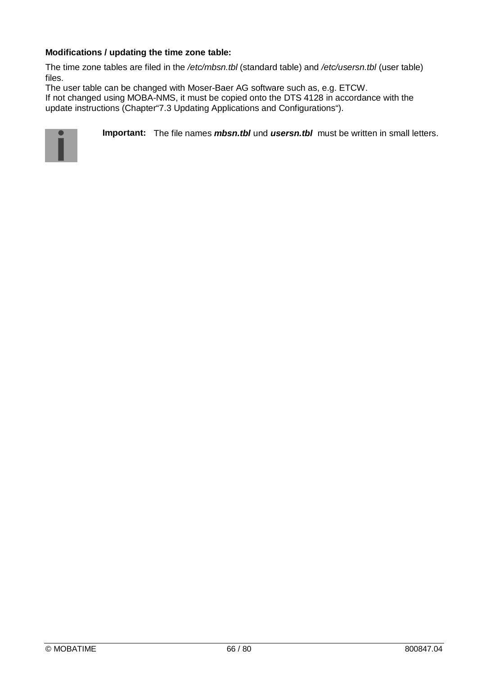## **Modifications / updating the time zone table:**

The time zone tables are filed in the */etc/mbsn.tbl* (standard table) and */etc/usersn.tbl* (user table) files.

The user table can be changed with Moser-Baer AG software such as, e.g. ETCW.

If not changed using MOBA-NMS, it must be copied onto the DTS 4128 in accordance with the update instructions (Chapter"7.3 Updating Applications and Configurations").



**Important:** The file names *mbsn.tbl* und *usersn.tbl* must be written in small letters.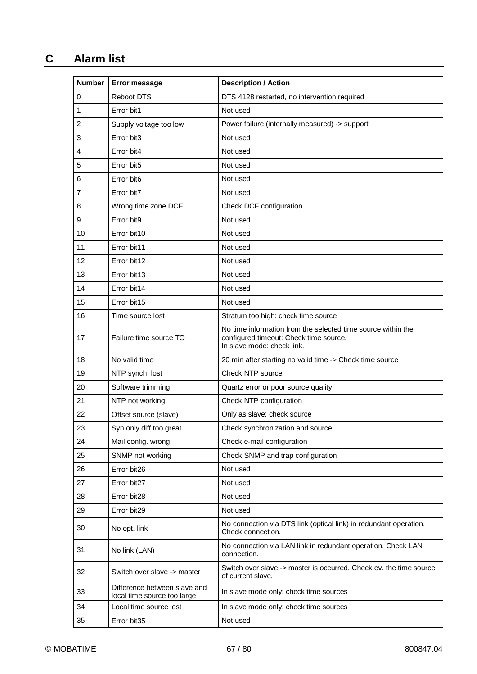# **C Alarm list**

| <b>Number</b>  | <b>Error message</b>                                        | <b>Description / Action</b>                                                                                                          |  |
|----------------|-------------------------------------------------------------|--------------------------------------------------------------------------------------------------------------------------------------|--|
| 0              | Reboot DTS                                                  | DTS 4128 restarted, no intervention required                                                                                         |  |
| 1              | Error bit1                                                  | Not used                                                                                                                             |  |
| $\overline{c}$ | Supply voltage too low                                      | Power failure (internally measured) -> support                                                                                       |  |
| 3              | Error bit3                                                  | Not used                                                                                                                             |  |
| 4              | Error bit4                                                  | Not used                                                                                                                             |  |
| 5              | Error bit5                                                  | Not used                                                                                                                             |  |
| 6              | Error bit6                                                  | Not used                                                                                                                             |  |
| 7              | Error bit7                                                  | Not used                                                                                                                             |  |
| 8              | Wrong time zone DCF                                         | Check DCF configuration                                                                                                              |  |
| 9              | Error bit9                                                  | Not used                                                                                                                             |  |
| 10             | Error bit10                                                 | Not used                                                                                                                             |  |
| 11             | Error bit11                                                 | Not used                                                                                                                             |  |
| 12             | Error bit12                                                 | Not used                                                                                                                             |  |
| 13             | Error bit13                                                 | Not used                                                                                                                             |  |
| 14             | Error bit14                                                 | Not used                                                                                                                             |  |
| 15             | Error bit15                                                 | Not used                                                                                                                             |  |
| 16             | Time source lost                                            | Stratum too high: check time source                                                                                                  |  |
| 17             | Failure time source TO                                      | No time information from the selected time source within the<br>configured timeout: Check time source.<br>In slave mode: check link. |  |
| 18             | No valid time                                               | 20 min after starting no valid time -> Check time source                                                                             |  |
| 19             | NTP synch. lost                                             | Check NTP source                                                                                                                     |  |
| 20             | Software trimming                                           | Quartz error or poor source quality                                                                                                  |  |
| 21             | NTP not working                                             | Check NTP configuration                                                                                                              |  |
| 22             | Offset source (slave)                                       | Only as slave: check source                                                                                                          |  |
| 23             | Syn only diff too great                                     | Check synchronization and source                                                                                                     |  |
| 24             | Mail config. wrong                                          | Check e-mail configuration                                                                                                           |  |
| 25             | SNMP not working                                            | Check SNMP and trap configuration                                                                                                    |  |
| 26             | Error bit26                                                 | Not used                                                                                                                             |  |
| 27             | Error bit27                                                 | Not used                                                                                                                             |  |
| 28             | Error bit28                                                 | Not used                                                                                                                             |  |
| 29             | Error bit29                                                 | Not used                                                                                                                             |  |
| 30             | No opt. link                                                | No connection via DTS link (optical link) in redundant operation.<br>Check connection.                                               |  |
| 31             | No link (LAN)                                               | No connection via LAN link in redundant operation. Check LAN<br>connection.                                                          |  |
| 32             | Switch over slave -> master                                 | Switch over slave -> master is occurred. Check ev. the time source<br>of current slave.                                              |  |
| 33             | Difference between slave and<br>local time source too large | In slave mode only: check time sources                                                                                               |  |
| 34             | Local time source lost                                      | In slave mode only: check time sources                                                                                               |  |
| 35             | Error bit35                                                 | Not used                                                                                                                             |  |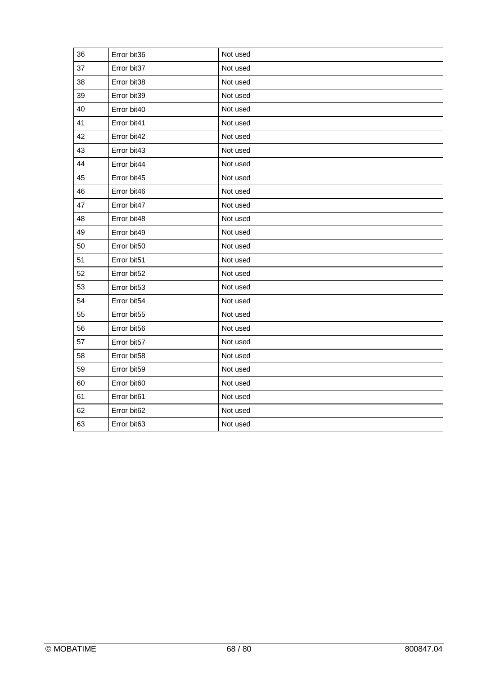| 36 | Error bit36 | Not used |
|----|-------------|----------|
| 37 | Error bit37 | Not used |
| 38 | Error bit38 | Not used |
| 39 | Error bit39 | Not used |
| 40 | Error bit40 | Not used |
| 41 | Error bit41 | Not used |
| 42 | Error bit42 | Not used |
| 43 | Error bit43 | Not used |
| 44 | Error bit44 | Not used |
| 45 | Error bit45 | Not used |
| 46 | Error bit46 | Not used |
| 47 | Error bit47 | Not used |
| 48 | Error bit48 | Not used |
| 49 | Error bit49 | Not used |
| 50 | Error bit50 | Not used |
| 51 | Error bit51 | Not used |
| 52 | Error bit52 | Not used |
| 53 | Error bit53 | Not used |
| 54 | Error bit54 | Not used |
| 55 | Error bit55 | Not used |
| 56 | Error bit56 | Not used |
| 57 | Error bit57 | Not used |
| 58 | Error bit58 | Not used |
| 59 | Error bit59 | Not used |
| 60 | Error bit60 | Not used |
| 61 | Error bit61 | Not used |
| 62 | Error bit62 | Not used |
| 63 | Error bit63 | Not used |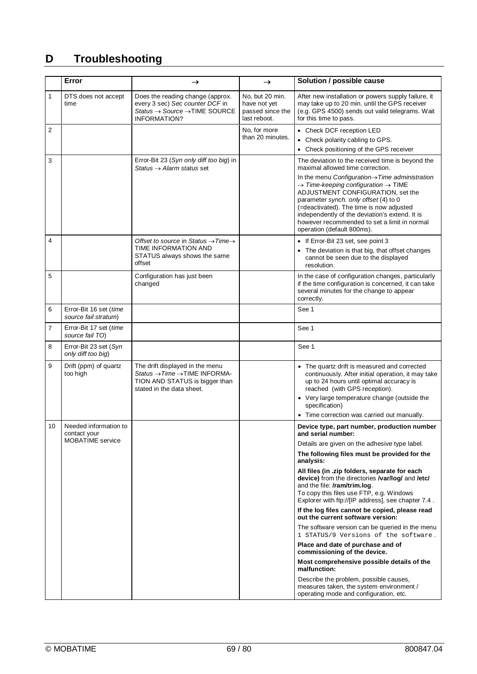# **D Troubleshooting**

|                | Error                                                            | $\rightarrow$                                                                                                                                           | $\rightarrow$                                                       | Solution / possible cause                                                                                                                                                                                                                                                                                                                                                            |
|----------------|------------------------------------------------------------------|---------------------------------------------------------------------------------------------------------------------------------------------------------|---------------------------------------------------------------------|--------------------------------------------------------------------------------------------------------------------------------------------------------------------------------------------------------------------------------------------------------------------------------------------------------------------------------------------------------------------------------------|
| 1              | DTS does not accept<br>time                                      | Does the reading change (approx.<br>every 3 sec) Sec counter DCF in<br>Status $\rightarrow$ Source $\rightarrow$ TIME SOURCE<br><b>INFORMATION?</b>     | No, but 20 min.<br>have not yet<br>passed since the<br>last reboot. | After new installation or powers supply failure, it<br>may take up to 20 min. until the GPS receiver<br>(e.g. GPS 4500) sends out valid telegrams. Wait<br>for this time to pass.                                                                                                                                                                                                    |
| 2              |                                                                  |                                                                                                                                                         | No, for more                                                        | • Check DCF reception LED                                                                                                                                                                                                                                                                                                                                                            |
|                |                                                                  |                                                                                                                                                         | than 20 minutes.                                                    | • Check polarity cabling to GPS.                                                                                                                                                                                                                                                                                                                                                     |
|                |                                                                  |                                                                                                                                                         |                                                                     | • Check positioning of the GPS receiver                                                                                                                                                                                                                                                                                                                                              |
| 3              |                                                                  | Error-Bit 23 (Syn only diff too big) in<br>Status $\rightarrow$ Alarm status set                                                                        |                                                                     | The deviation to the received time is beyond the<br>maximal allowed time correction.                                                                                                                                                                                                                                                                                                 |
|                |                                                                  |                                                                                                                                                         |                                                                     | In the menu Configuration $\rightarrow$ Time administration<br>$\rightarrow$ Time-keeping configuration $\rightarrow$ TIME<br>ADJUSTMENT CONFIGURATION, set the<br>parameter synch. only offset (4) to 0<br>(=deactivated). The time is now adjusted<br>independently of the deviation's extend. It is<br>however recommended to set a limit in normal<br>operation (default 800ms). |
| 4              |                                                                  | Offset to source in Status $\rightarrow$ Time $\rightarrow$<br>TIME INFORMATION AND<br>STATUS always shows the same<br>offset                           |                                                                     | • If Error-Bit 23 set, see point 3<br>• The deviation is that big, that offset changes<br>cannot be seen due to the displayed<br>resolution.                                                                                                                                                                                                                                         |
| 5              |                                                                  | Configuration has just been<br>changed                                                                                                                  |                                                                     | In the case of configuration changes, particularly<br>if the time configuration is concerned, it can take<br>several minutes for the change to appear<br>correctly.                                                                                                                                                                                                                  |
| 6              | Error-Bit 16 set (time<br>source fail stratum)                   |                                                                                                                                                         |                                                                     | See 1                                                                                                                                                                                                                                                                                                                                                                                |
| $\overline{7}$ | Error-Bit 17 set (time<br>source fail TO)                        |                                                                                                                                                         |                                                                     | See 1                                                                                                                                                                                                                                                                                                                                                                                |
| 8              | Error-Bit 23 set (Syn<br>only diff too big)                      |                                                                                                                                                         |                                                                     | See 1                                                                                                                                                                                                                                                                                                                                                                                |
| 9              | Drift (ppm) of quartz<br>too high                                | The drift displayed in the menu<br>Status $\rightarrow$ Time $\rightarrow$ TIME INFORMA-<br>TION AND STATUS is bigger than<br>stated in the data sheet. |                                                                     | • The quartz drift is measured and corrected<br>continuously. After initial operation, it may take<br>up to 24 hours until optimal accuracy is<br>reached (with GPS reception).<br>• Very large temperature change (outside the                                                                                                                                                      |
|                |                                                                  |                                                                                                                                                         |                                                                     | specification)                                                                                                                                                                                                                                                                                                                                                                       |
|                |                                                                  |                                                                                                                                                         |                                                                     | • Time correction was carried out manually.                                                                                                                                                                                                                                                                                                                                          |
| 10             | Needed information to<br>contact your<br><b>MOBATIME</b> service |                                                                                                                                                         |                                                                     | Device type, part number, production number<br>and serial number:                                                                                                                                                                                                                                                                                                                    |
|                |                                                                  |                                                                                                                                                         |                                                                     | Details are given on the adhesive type label.                                                                                                                                                                                                                                                                                                                                        |
|                |                                                                  |                                                                                                                                                         |                                                                     | The following files must be provided for the<br>analysis:                                                                                                                                                                                                                                                                                                                            |
|                |                                                                  |                                                                                                                                                         |                                                                     | All files (in .zip folders, separate for each<br>device) from the directories /var/log/ and /etc/<br>and the file: /ram/trim.log.<br>To copy this files use FTP, e.g. Windows<br>Explorer with ftp://[IP address], see chapter 7.4.                                                                                                                                                  |
|                |                                                                  |                                                                                                                                                         |                                                                     | If the log files cannot be copied, please read<br>out the current software version:                                                                                                                                                                                                                                                                                                  |
|                |                                                                  |                                                                                                                                                         |                                                                     | The software version can be queried in the menu<br>1 STATUS/9 Versions of the software.                                                                                                                                                                                                                                                                                              |
|                |                                                                  |                                                                                                                                                         |                                                                     | Place and date of purchase and of<br>commissioning of the device.                                                                                                                                                                                                                                                                                                                    |
|                |                                                                  |                                                                                                                                                         |                                                                     | Most comprehensive possible details of the<br>malfunction:                                                                                                                                                                                                                                                                                                                           |
|                |                                                                  |                                                                                                                                                         |                                                                     | Describe the problem, possible causes,<br>measures taken, the system environment /<br>operating mode and configuration, etc.                                                                                                                                                                                                                                                         |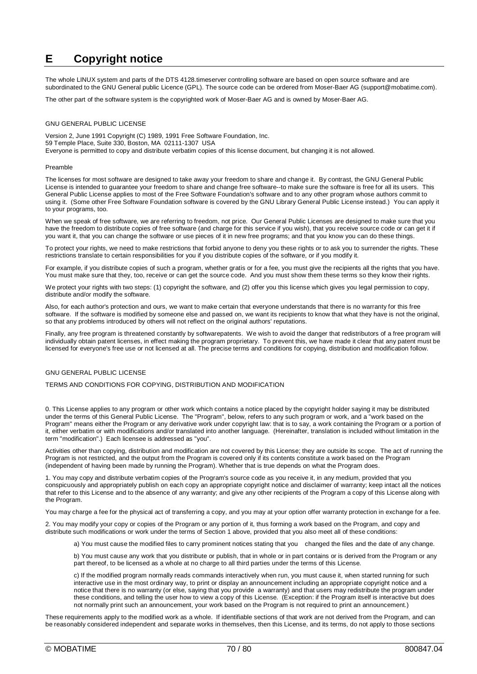# **E Copyright notice**

The whole LINUX system and parts of the DTS 4128.timeserver controlling software are based on open source software and are subordinated to the GNU General public Licence (GPL). The source code can be ordered from Moser-Baer AG (support@mobatime.com).

The other part of the software system is the copyrighted work of Moser-Baer AG and is owned by Moser-Baer AG.

#### GNU GENERAL PUBLIC LICENSE

Version 2, June 1991 Copyright (C) 1989, 1991 Free Software Foundation, Inc. 59 Temple Place, Suite 330, Boston, MA 02111-1307 USA Everyone is permitted to copy and distribute verbatim copies of this license document, but changing it is not allowed.

#### Preamble

The licenses for most software are designed to take away your freedom to share and change it. By contrast, the GNU General Public License is intended to guarantee your freedom to share and change free software--to make sure the software is free for all its users. This General Public License applies to most of the Free Software Foundation's software and to any other program whose authors commit to using it. (Some other Free Software Foundation software is covered by the GNU Library General Public License instead.) You can apply it to your programs, too.

When we speak of free software, we are referring to freedom, not price. Our General Public Licenses are designed to make sure that you have the freedom to distribute copies of free software (and charge for this service if you wish), that you receive source code or can get it if you want it, that you can change the software or use pieces of it in new free programs; and that you know you can do these things.

To protect your rights, we need to make restrictions that forbid anyone to deny you these rights or to ask you to surrender the rights. These restrictions translate to certain responsibilities for you if you distribute copies of the software, or if you modify it.

For example, if you distribute copies of such a program, whether gratis or for a fee, you must give the recipients all the rights that you have. You must make sure that they, too, receive or can get the source code. And you must show them these terms so they know their rights.

We protect your rights with two steps: (1) copyright the software, and (2) offer you this license which gives you legal permission to copy, distribute and/or modify the software.

Also, for each author's protection and ours, we want to make certain that everyone understands that there is no warranty for this free software. If the software is modified by someone else and passed on, we want its recipients to know that what they have is not the original, so that any problems introduced by others will not reflect on the original authors' reputations.

Finally, any free program is threatened constantly by softwarepatents. We wish to avoid the danger that redistributors of a free program will individually obtain patent licenses, in effect making the program proprietary. To prevent this, we have made it clear that any patent must be licensed for everyone's free use or not licensed at all. The precise terms and conditions for copying, distribution and modification follow.

#### GNU GENERAL PUBLIC LICENSE

#### TERMS AND CONDITIONS FOR COPYING, DISTRIBUTION AND MODIFICATION

0. This License applies to any program or other work which contains a notice placed by the copyright holder saying it may be distributed under the terms of this General Public License. The "Program", below, refers to any such program or work, and a "work based on the Program" means either the Program or any derivative work under copyright law: that is to say, a work containing the Program or a portion of it, either verbatim or with modifications and/or translated into another language. (Hereinafter, translation is included without limitation in the term "modification".) Each licensee is addressed as "you".

Activities other than copying, distribution and modification are not covered by this License; they are outside its scope. The act of running the Program is not restricted, and the output from the Program is covered only if its contents constitute a work based on the Program (independent of having been made by running the Program). Whether that is true depends on what the Program does.

1. You may copy and distribute verbatim copies of the Program's source code as you receive it, in any medium, provided that you conspicuously and appropriately publish on each copy an appropriate copyright notice and disclaimer of warranty; keep intact all the notices that refer to this License and to the absence of any warranty; and give any other recipients of the Program a copy of this License along with the Program.

You may charge a fee for the physical act of transferring a copy, and you may at your option offer warranty protection in exchange for a fee.

2. You may modify your copy or copies of the Program or any portion of it, thus forming a work based on the Program, and copy and distribute such modifications or work under the terms of Section 1 above, provided that you also meet all of these conditions:

a) You must cause the modified files to carry prominent notices stating that you changed the files and the date of any change.

b) You must cause any work that you distribute or publish, that in whole or in part contains or is derived from the Program or any part thereof, to be licensed as a whole at no charge to all third parties under the terms of this License.

c) If the modified program normally reads commands interactively when run, you must cause it, when started running for such interactive use in the most ordinary way, to print or display an announcement including an appropriate copyright notice and a notice that there is no warranty (or else, saying that you provide a warranty) and that users may redistribute the program under these conditions, and telling the user how to view a copy of this License. (Exception: if the Program itself is interactive but does not normally print such an announcement, your work based on the Program is not required to print an announcement.)

These requirements apply to the modified work as a whole. If identifiable sections of that work are not derived from the Program, and can be reasonably considered independent and separate works in themselves, then this License, and its terms, do not apply to those sections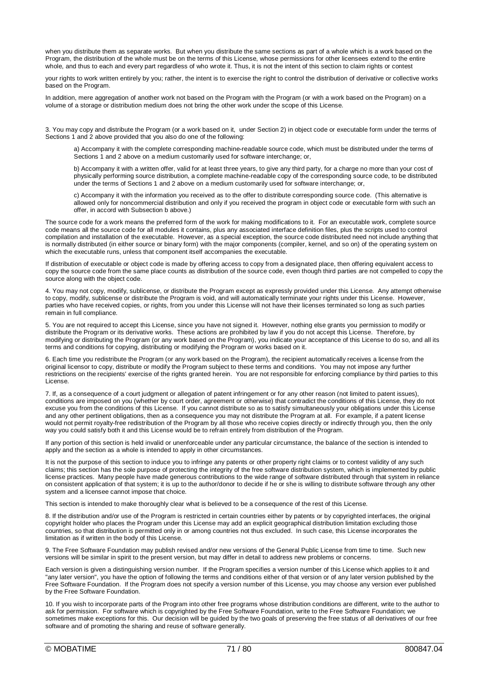when you distribute them as separate works. But when you distribute the same sections as part of a whole which is a work based on the Program, the distribution of the whole must be on the terms of this License, whose permissions for other licensees extend to the entire whole, and thus to each and every part regardless of who wrote it. Thus, it is not the intent of this section to claim rights or contest

your rights to work written entirely by you; rather, the intent is to exercise the right to control the distribution of derivative or collective works based on the Program.

In addition, mere aggregation of another work not based on the Program with the Program (or with a work based on the Program) on a volume of a storage or distribution medium does not bring the other work under the scope of this License.

3. You may copy and distribute the Program (or a work based on it, under Section 2) in object code or executable form under the terms of Sections 1 and 2 above provided that you also do one of the following:

a) Accompany it with the complete corresponding machine-readable source code, which must be distributed under the terms of Sections 1 and 2 above on a medium customarily used for software interchange; or,

b) Accompany it with a written offer, valid for at least three years, to give any third party, for a charge no more than your cost of physically performing source distribution, a complete machine-readable copy of the corresponding source code, to be distributed under the terms of Sections 1 and 2 above on a medium customarily used for software interchange; or,

c) Accompany it with the information you received as to the offer to distribute corresponding source code. (This alternative is allowed only for noncommercial distribution and only if you received the program in object code or executable form with such an offer, in accord with Subsection b above.)

The source code for a work means the preferred form of the work for making modifications to it. For an executable work, complete source code means all the source code for all modules it contains, plus any associated interface definition files, plus the scripts used to control compilation and installation of the executable. However, as a special exception, the source code distributed need not include anything that is normally distributed (in either source or binary form) with the major components (compiler, kernel, and so on) of the operating system on which the executable runs, unless that component itself accompanies the executable.

If distribution of executable or object code is made by offering access to copy from a designated place, then offering equivalent access to copy the source code from the same place counts as distribution of the source code, even though third parties are not compelled to copy the source along with the object code.

4. You may not copy, modify, sublicense, or distribute the Program except as expressly provided under this License. Any attempt otherwise to copy, modify, sublicense or distribute the Program is void, and will automatically terminate your rights under this License. However, parties who have received copies, or rights, from you under this License will not have their licenses terminated so long as such parties remain in full compliance.

5. You are not required to accept this License, since you have not signed it. However, nothing else grants you permission to modify or distribute the Program or its derivative works. These actions are prohibited by law if you do not accept this License. Therefore, by modifying or distributing the Program (or any work based on the Program), you indicate your acceptance of this License to do so, and all its terms and conditions for copying, distributing or modifying the Program or works based on it.

6. Each time you redistribute the Program (or any work based on the Program), the recipient automatically receives a license from the original licensor to copy, distribute or modify the Program subject to these terms and conditions. You may not impose any further restrictions on the recipients' exercise of the rights granted herein. You are not responsible for enforcing compliance by third parties to this License.

7. If, as a consequence of a court judgment or allegation of patent infringement or for any other reason (not limited to patent issues), conditions are imposed on you (whether by court order, agreement or otherwise) that contradict the conditions of this License, they do not excuse you from the conditions of this License. If you cannot distribute so as to satisfy simultaneously your obligations under this License and any other pertinent obligations, then as a consequence you may not distribute the Program at all. For example, if a patent license would not permit royalty-free redistribution of the Program by all those who receive copies directly or indirectly through you, then the only way you could satisfy both it and this License would be to refrain entirely from distribution of the Program.

If any portion of this section is held invalid or unenforceable under any particular circumstance, the balance of the section is intended to apply and the section as a whole is intended to apply in other circumstances.

It is not the purpose of this section to induce you to infringe any patents or other property right claims or to contest validity of any such claims; this section has the sole purpose of protecting the integrity of the free software distribution system, which is implemented by public license practices. Many people have made generous contributions to the wide range of software distributed through that system in reliance on consistent application of that system; it is up to the author/donor to decide if he or she is willing to distribute software through any other system and a licensee cannot impose that choice.

This section is intended to make thoroughly clear what is believed to be a consequence of the rest of this License.

8. If the distribution and/or use of the Program is restricted in certain countries either by patents or by copyrighted interfaces, the original copyright holder who places the Program under this License may add an explicit geographical distribution limitation excluding those countries, so that distribution is permitted only in or among countries not thus excluded. In such case, this License incorporates the limitation as if written in the body of this License.

9. The Free Software Foundation may publish revised and/or new versions of the General Public License from time to time. Such new versions will be similar in spirit to the present version, but may differ in detail to address new problems or concerns.

Each version is given a distinguishing version number. If the Program specifies a version number of this License which applies to it and "any later version", you have the option of following the terms and conditions either of that version or of any later version published by the Free Software Foundation. If the Program does not specify a version number of this License, you may choose any version ever published by the Free Software Foundation.

10. If you wish to incorporate parts of the Program into other free programs whose distribution conditions are different, write to the author to ask for permission. For software which is copyrighted by the Free Software Foundation, write to the Free Software Foundation; we sometimes make exceptions for this. Our decision will be guided by the two goals of preserving the free status of all derivatives of our free software and of promoting the sharing and reuse of software generally.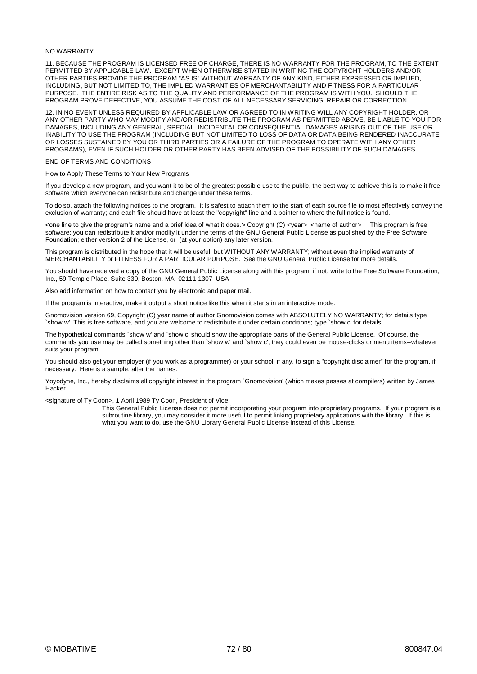#### NO WARRANTY

11. BECAUSE THE PROGRAM IS LICENSED FREE OF CHARGE, THERE IS NO WARRANTY FOR THE PROGRAM, TO THE EXTENT PERMITTED BY APPLICABLE LAW. EXCEPT WHEN OTHERWISE STATED IN WRITING THE COPYRIGHT HOLDERS AND/OR OTHER PARTIES PROVIDE THE PROGRAM "AS IS" WITHOUT WARRANTY OF ANY KIND, EITHER EXPRESSED OR IMPLIED, INCLUDING, BUT NOT LIMITED TO, THE IMPLIED WARRANTIES OF MERCHANTABILITY AND FITNESS FOR A PARTICULAR PURPOSE. THE ENTIRE RISK AS TO THE QUALITY AND PERFORMANCE OF THE PROGRAM IS WITH YOU. SHOULD THE PROGRAM PROVE DEFECTIVE, YOU ASSUME THE COST OF ALL NECESSARY SERVICING, REPAIR OR CORRECTION.

12. IN NO EVENT UNLESS REQUIRED BY APPLICABLE LAW OR AGREED TO IN WRITING WILL ANY COPYRIGHT HOLDER, OR ANY OTHER PARTY WHO MAY MODIFY AND/OR REDISTRIBUTE THE PROGRAM AS PERMITTED ABOVE, BE LIABLE TO YOU FOR DAMAGES, INCLUDING ANY GENERAL, SPECIAL, INCIDENTAL OR CONSEQUENTIAL DAMAGES ARISING OUT OF THE USE OR INABILITY TO USE THE PROGRAM (INCLUDING BUT NOT LIMITED TO LOSS OF DATA OR DATA BEING RENDERED INACCURATE OR LOSSES SUSTAINED BY YOU OR THIRD PARTIES OR A FAILURE OF THE PROGRAM TO OPERATE WITH ANY OTHER PROGRAMS), EVEN IF SUCH HOLDER OR OTHER PARTY HAS BEEN ADVISED OF THE POSSIBILITY OF SUCH DAMAGES.

#### END OF TERMS AND CONDITIONS

How to Apply These Terms to Your New Programs

If you develop a new program, and you want it to be of the greatest possible use to the public, the best way to achieve this is to make it free software which everyone can redistribute and change under these terms.

To do so, attach the following notices to the program. It is safest to attach them to the start of each source file to most effectively convey the exclusion of warranty; and each file should have at least the "copyright" line and a pointer to where the full notice is found.

<one line to give the program's name and a brief idea of what it does.> Copyright (C) <year> <name of author> This program is free software; you can redistribute it and/or modify it under the terms of the GNU General Public License as published by the Free Software Foundation; either version 2 of the License, or (at your option) any later version.

This program is distributed in the hope that it will be useful, but WITHOUT ANY WARRANTY; without even the implied warranty of MERCHANTABILITY or FITNESS FOR A PARTICULAR PURPOSE. See the GNU General Public License for more details.

You should have received a copy of the GNU General Public License along with this program; if not, write to the Free Software Foundation, Inc., 59 Temple Place, Suite 330, Boston, MA 02111-1307 USA

Also add information on how to contact you by electronic and paper mail.

If the program is interactive, make it output a short notice like this when it starts in an interactive mode:

Gnomovision version 69, Copyright (C) year name of author Gnomovision comes with ABSOLUTELY NO WARRANTY; for details type `show w'. This is free software, and you are welcome to redistribute it under certain conditions; type `show c' for details.

The hypothetical commands `show w' and `show c' should show the appropriate parts of the General Public License. Of course, the commands you use may be called something other than `show w' and `show c'; they could even be mouse-clicks or menu items--whatever suits your program.

You should also get your employer (if you work as a programmer) or your school, if any, to sign a "copyright disclaimer" for the program, if necessary. Here is a sample; alter the names:

Yoyodyne, Inc., hereby disclaims all copyright interest in the program `Gnomovision' (which makes passes at compilers) written by James Hacker.

<signature of Ty Coon>, 1 April 1989 Ty Coon, President of Vice

This General Public License does not permit incorporating your program into proprietary programs. If your program is a subroutine library, you may consider it more useful to permit linking proprietary applications with the library. If this is what you want to do, use the GNU Library General Public License instead of this License.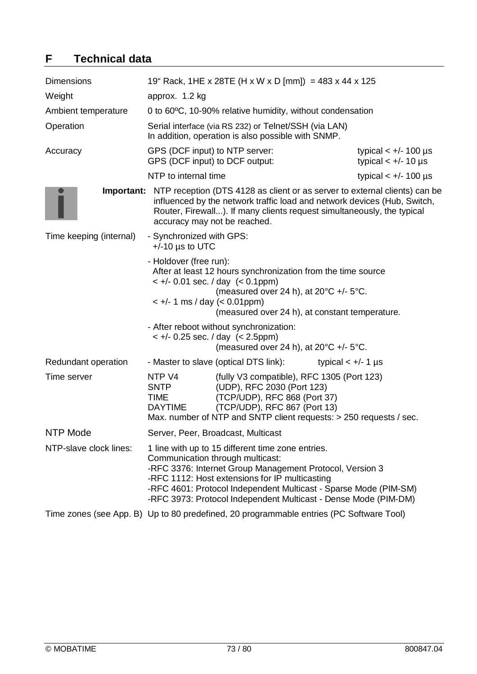# **F Technical data**

| <b>Dimensions</b>       |                                                                  | 19" Rack, 1HE x 28TE (H x W x D [mm]) = 483 x 44 x 125                                                                                                                                                                                                                                                                                     |                                                                                                                                                                                                                                                    |
|-------------------------|------------------------------------------------------------------|--------------------------------------------------------------------------------------------------------------------------------------------------------------------------------------------------------------------------------------------------------------------------------------------------------------------------------------------|----------------------------------------------------------------------------------------------------------------------------------------------------------------------------------------------------------------------------------------------------|
| Weight                  | approx. 1.2 kg                                                   |                                                                                                                                                                                                                                                                                                                                            |                                                                                                                                                                                                                                                    |
| Ambient temperature     |                                                                  | 0 to 60°C, 10-90% relative humidity, without condensation                                                                                                                                                                                                                                                                                  |                                                                                                                                                                                                                                                    |
| Operation               |                                                                  | Serial interface (via RS 232) or Telnet/SSH (via LAN)<br>In addition, operation is also possible with SNMP.                                                                                                                                                                                                                                |                                                                                                                                                                                                                                                    |
| Accuracy                | GPS (DCF input) to NTP server:<br>GPS (DCF input) to DCF output: |                                                                                                                                                                                                                                                                                                                                            | typical $< +/- 100$ µs<br>typical $< +/- 10$ µs                                                                                                                                                                                                    |
|                         | NTP to internal time                                             |                                                                                                                                                                                                                                                                                                                                            | typical $< +/- 100$ µs                                                                                                                                                                                                                             |
|                         | accuracy may not be reached.                                     |                                                                                                                                                                                                                                                                                                                                            | <b>Important:</b> NTP reception (DTS 4128 as client or as server to external clients) can be<br>influenced by the network traffic load and network devices (Hub, Switch,<br>Router, Firewall). If many clients request simultaneously, the typical |
| Time keeping (internal) | - Synchronized with GPS:<br>$+/-10$ µs to UTC                    |                                                                                                                                                                                                                                                                                                                                            |                                                                                                                                                                                                                                                    |
|                         | - Holdover (free run):<br>$\lt$ +/- 1 ms / day ( $\lt$ 0.01ppm)  | After at least 12 hours synchronization from the time source<br>$< +/- 0.01$ sec. / day $(< 0.1$ ppm)<br>(measured over 24 h), at $20^{\circ}C$ +/- $5^{\circ}C$ .<br>(measured over 24 h), at constant temperature.                                                                                                                       |                                                                                                                                                                                                                                                    |
|                         |                                                                  | - After reboot without synchronization:<br>$< +/- 0.25$ sec. / day $(< 2.5$ ppm)<br>(measured over 24 h), at $20^{\circ}C$ +/- $5^{\circ}C$ .                                                                                                                                                                                              |                                                                                                                                                                                                                                                    |
| Redundant operation     |                                                                  | - Master to slave (optical DTS link):                                                                                                                                                                                                                                                                                                      | typical $< +/- 1$ µs                                                                                                                                                                                                                               |
| Time server             | NTP V4<br>SNTP<br><b>TIME</b><br><b>DAYTIME</b>                  | (fully V3 compatible), RFC 1305 (Port 123)<br>(UDP), RFC 2030 (Port 123)<br>(TCP/UDP), RFC 868 (Port 37)<br>(TCP/UDP), RFC 867 (Port 13)<br>Max. number of NTP and SNTP client requests: > 250 requests / sec.                                                                                                                             |                                                                                                                                                                                                                                                    |
| <b>NTP Mode</b>         |                                                                  | Server, Peer, Broadcast, Multicast                                                                                                                                                                                                                                                                                                         |                                                                                                                                                                                                                                                    |
| NTP-slave clock lines:  |                                                                  | 1 line with up to 15 different time zone entries.<br>Communication through multicast:<br>-RFC 3376: Internet Group Management Protocol, Version 3<br>-RFC 1112: Host extensions for IP multicasting<br>-RFC 4601: Protocol Independent Multicast - Sparse Mode (PIM-SM)<br>-RFC 3973: Protocol Independent Multicast - Dense Mode (PIM-DM) |                                                                                                                                                                                                                                                    |
|                         |                                                                  | Time zones (see App. B) Up to 80 predefined, 20 programmable entries (PC Software Tool)                                                                                                                                                                                                                                                    |                                                                                                                                                                                                                                                    |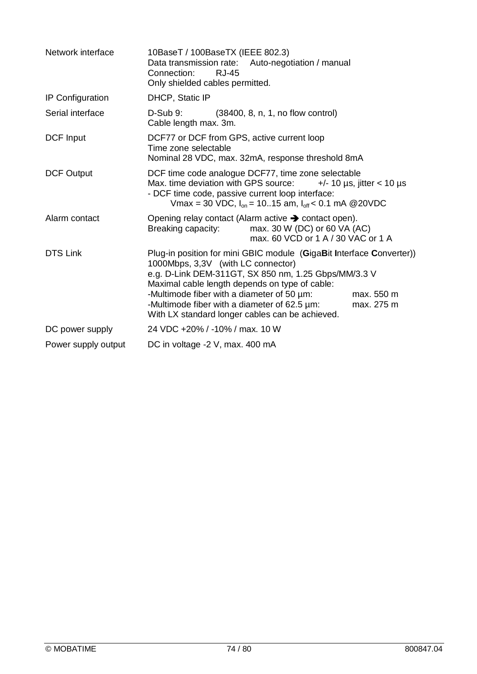| Network interface   | 10BaseT / 100BaseTX (IEEE 802.3)<br>Data transmission rate: Auto-negotiation / manual<br>Connection:<br><b>RJ-45</b><br>Only shielded cables permitted.                                                                                                                                                                                                                                           |  |
|---------------------|---------------------------------------------------------------------------------------------------------------------------------------------------------------------------------------------------------------------------------------------------------------------------------------------------------------------------------------------------------------------------------------------------|--|
| IP Configuration    | <b>DHCP, Static IP</b>                                                                                                                                                                                                                                                                                                                                                                            |  |
| Serial interface    | $D-Sub9$ :<br>(38400, 8, n, 1, no flow control)<br>Cable length max. 3m.                                                                                                                                                                                                                                                                                                                          |  |
| DCF Input           | DCF77 or DCF from GPS, active current loop<br>Time zone selectable<br>Nominal 28 VDC, max. 32mA, response threshold 8mA                                                                                                                                                                                                                                                                           |  |
| <b>DCF Output</b>   | DCF time code analogue DCF77, time zone selectable<br>Max. time deviation with GPS source:<br>$+/- 10 \text{ }\mu\text{s}$ , jitter < 10 $\mu\text{s}$<br>- DCF time code, passive current loop interface:<br>Vmax = 30 VDC, $I_{on}$ = 1015 am, $I_{off}$ < 0.1 mA @ 20VDC                                                                                                                       |  |
| Alarm contact       | Opening relay contact (Alarm active $\rightarrow$ contact open).<br>max. 30 W (DC) or 60 VA (AC)<br>Breaking capacity:<br>max, 60 VCD or 1 A / 30 VAC or 1 A                                                                                                                                                                                                                                      |  |
| <b>DTS Link</b>     | Plug-in position for mini GBIC module (GigaBit Interface Converter))<br>1000Mbps, 3,3V (with LC connector)<br>e.g. D-Link DEM-311GT, SX 850 nm, 1.25 Gbps/MM/3.3 V<br>Maximal cable length depends on type of cable:<br>-Multimode fiber with a diameter of 50 µm:<br>max. 550 m<br>-Multimode fiber with a diameter of 62.5 um:<br>max. 275 m<br>With LX standard longer cables can be achieved. |  |
| DC power supply     | 24 VDC +20% / -10% / max. 10 W                                                                                                                                                                                                                                                                                                                                                                    |  |
| Power supply output | DC in voltage -2 V, max. 400 mA                                                                                                                                                                                                                                                                                                                                                                   |  |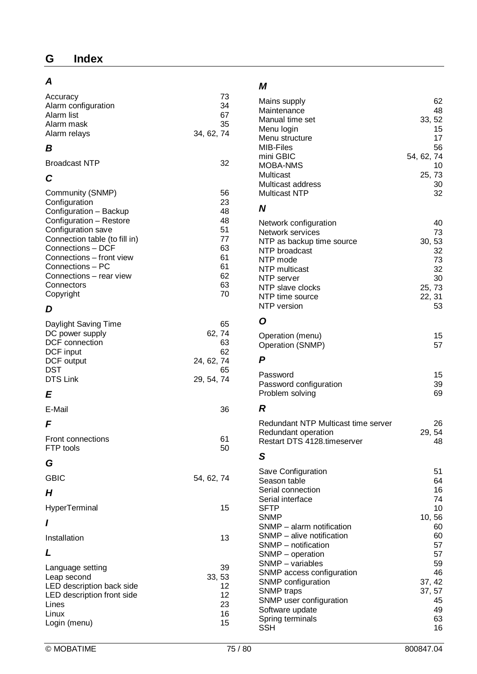## *A*

| Accuracy<br>Alarm configuration<br>Alarm list<br>Alarm mask<br>Alarm relays                                                                                                                                                                                              | 73<br>34<br>67<br>35<br>34, 62, 74                                   |
|--------------------------------------------------------------------------------------------------------------------------------------------------------------------------------------------------------------------------------------------------------------------------|----------------------------------------------------------------------|
| В                                                                                                                                                                                                                                                                        |                                                                      |
| <b>Broadcast NTP</b>                                                                                                                                                                                                                                                     | 32                                                                   |
| C                                                                                                                                                                                                                                                                        |                                                                      |
| Community (SNMP)<br>Configuration<br>Configuration - Backup<br>Configuration - Restore<br>Configuration save<br>Connection table (to fill in)<br>Connections - DCF<br>Connections - front view<br>Connections - PC<br>Connections - rear view<br>Connectors<br>Copyright | 56<br>23<br>48<br>48<br>51<br>77<br>63<br>61<br>61<br>62<br>63<br>70 |
| D                                                                                                                                                                                                                                                                        |                                                                      |
| Daylight Saving Time<br>DC power supply<br>DCF connection<br>DCF input<br>DCF output<br><b>DST</b><br><b>DTS Link</b>                                                                                                                                                    | 65<br>62, 74<br>63<br>62<br>24, 62, 74<br>65<br>29, 54, 74           |
| E                                                                                                                                                                                                                                                                        |                                                                      |
| E-Mail                                                                                                                                                                                                                                                                   | 36                                                                   |
| F                                                                                                                                                                                                                                                                        |                                                                      |
| <b>Front connections</b><br>FTP tools                                                                                                                                                                                                                                    | 61<br>50                                                             |
| G                                                                                                                                                                                                                                                                        |                                                                      |
| <b>GBIC</b>                                                                                                                                                                                                                                                              | 54, 62, 74                                                           |
| Н                                                                                                                                                                                                                                                                        |                                                                      |
| HyperTerminal                                                                                                                                                                                                                                                            | 15                                                                   |
| ı                                                                                                                                                                                                                                                                        |                                                                      |
| Installation                                                                                                                                                                                                                                                             | 13                                                                   |
| L                                                                                                                                                                                                                                                                        |                                                                      |
| Language setting<br>Leap second<br>LED description back side<br>LED description front side<br>Lines<br>Linux<br>Login (menu)                                                                                                                                             | 39<br>33, 53<br>12<br>12<br>23<br>16<br>15                           |

### *M*

| Mains supply                        | 62         |
|-------------------------------------|------------|
| Maintenance                         | 48         |
| Manual time set                     | 33, 52     |
| Menu login                          | 15         |
| Menu structure                      | 17         |
| MIB-Files                           | 56         |
| mini GBIC                           | 54, 62, 74 |
| MOBA-NMS                            | 10         |
| Multicast                           | 25, 73     |
| Multicast address                   | 30         |
| <b>Multicast NTP</b>                | 32         |
| N                                   |            |
| Network configuration               | 40         |
| Network services                    | 73         |
| NTP as backup time source           | 30, 53     |
| NTP broadcast                       | 32         |
| NTP mode                            | 73         |
| <b>NTP</b> multicast                | 32         |
| NTP server                          | 30         |
| NTP slave clocks                    | 25, 73     |
| NTP time source                     | 22, 31     |
| NTP version                         | 53         |
| O                                   |            |
| Operation (menu)                    | 15         |
| Operation (SNMP)                    | 57         |
| P                                   |            |
| Password                            | 15         |
| Password configuration              | 39         |
| Problem solving                     | 69         |
| R                                   |            |
| Redundant NTP Multicast time server | 26         |
| Redundant operation                 | 29, 54     |
| Restart DTS 4128.timeserver         | 48         |
| S                                   |            |
| Save Configuration                  | 51         |
| Season table                        | 64         |
| Serial connection                   | 16         |
| Serial interface                    | 74         |
| <b>SFTP</b>                         | 10         |
| SNMP                                | 10,56      |
| SNMP - alarm notification           | 60         |
| SNMP - alive notification           | 60         |
| SNMP - notification                 | 57         |
| SNMP - operation                    | 57         |
| SNMP - variables                    | 59         |
| SNMP access configuration           | 46         |
| SNMP configuration                  | 37, 42     |
| <b>SNMP</b> traps                   | 37, 57     |
| SNMP user configuration             | 45         |
| Software update                     | 49         |
| Spring terminals                    | 63         |
| SSH                                 | 16         |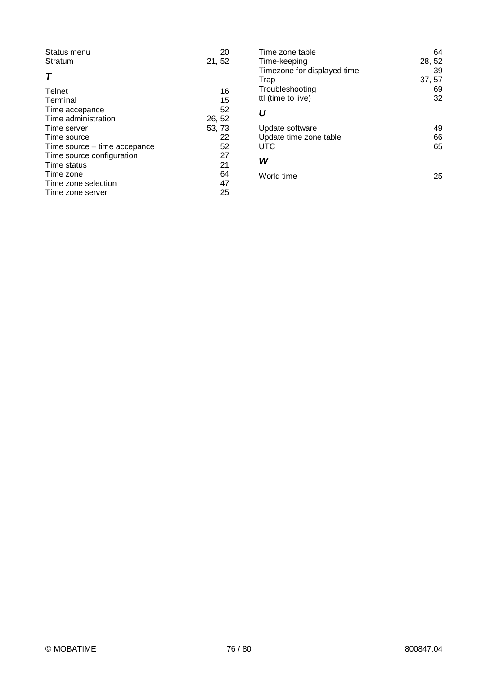| Status menu<br>Stratum       | 20<br>21, 52 |
|------------------------------|--------------|
| т                            |              |
| Telnet                       | 16           |
| Terminal                     | 15           |
| Time accepance               | 52           |
| Time administration          | 26, 52       |
| Time server                  | 53, 73       |
| Time source                  | 22           |
| Time source – time accepance | 52           |
| Time source configuration    | 27           |
| Time status                  | 21           |
| Time zone                    | 64           |
| Time zone selection          | 47           |
| Time zone server             | 25           |

| 64<br>28, 52 |
|--------------|
| 39           |
| 37, 57       |
| 69           |
| 32           |
|              |
| 49           |
| 66           |
| 65           |
|              |
| 25           |
|              |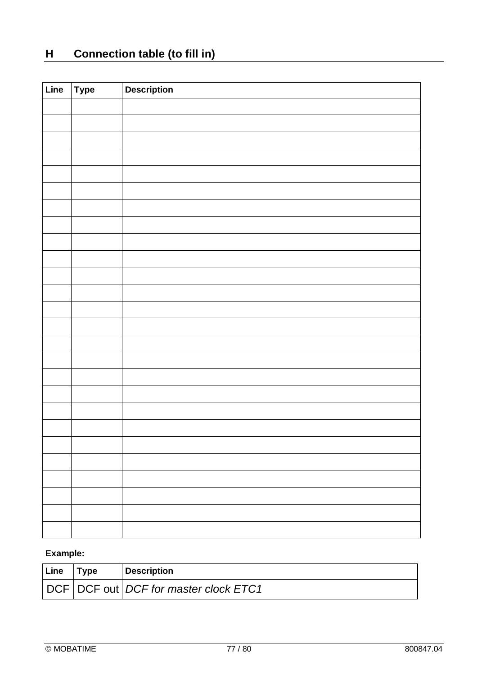# **H Connection table (to fill in)**

| Line | $\vert$ Type | <b>Description</b> |
|------|--------------|--------------------|
|      |              |                    |
|      |              |                    |
|      |              |                    |
|      |              |                    |
|      |              |                    |
|      |              |                    |
|      |              |                    |
|      |              |                    |
|      |              |                    |
|      |              |                    |
|      |              |                    |
|      |              |                    |
|      |              |                    |
|      |              |                    |
|      |              |                    |
|      |              |                    |
|      |              |                    |
|      |              |                    |
|      |              |                    |
|      |              |                    |
|      |              |                    |
|      |              |                    |
|      |              |                    |
|      |              |                    |
|      |              |                    |
|      |              |                    |

# **Example:**

| Line | Tvpe | <b>Description</b>                        |
|------|------|-------------------------------------------|
|      |      | DCF   DCF out   DCF for master clock ETC1 |